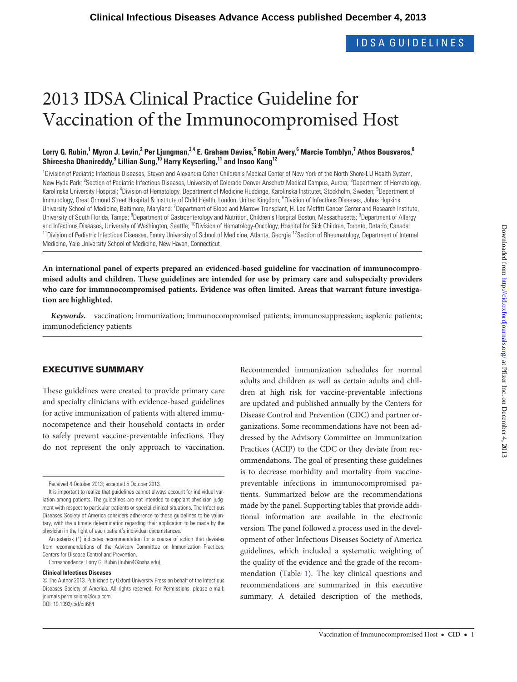# IDSA GUIDELINES

# 2013 IDSA Clinical Practice Guideline for Vaccination of the Immunocompromised Host

# Lorry G. Rubin,<sup>1</sup> Myron J. Levin,<sup>2</sup> Per Ljungman,<sup>3,4</sup> E. Graham Davies,<sup>5</sup> Robin Avery,<sup>6</sup> Marcie Tomblyn,<sup>7</sup> Athos Bousvaros,<sup>8</sup> Shireesha Dhanireddy, $9$  Lillian Sung, $10$  Harry Keyserling, $11$  and Insoo Kang $12$

<sup>1</sup> Division of Pediatric Infectious Diseases, Steven and Alexandra Cohen Children's Medical Center of New York of the North Shore-LIJ Health System, New Hyde Park; <sup>2</sup>Section of Pediatric Infectious Diseases, University of Colorado Denver Anschutz Medical Campus, Aurora; <sup>3</sup>Department of Hematology, Karolinska University Hospital; <sup>4</sup>Division of Hematology, Department of Medicine Huddinge, Karolinska Institutet, Stockholm, Sweden; <sup>5</sup>Department of Immunology, Great Ormond Street Hospital & Institute of Child Health, London, United Kingdom; <sup>6</sup> Division of Infectious Diseases, Johns Hopkins University School of Medicine, Baltimore, Maryland; <sup>7</sup>Department of Blood and Marrow Transplant, H. Lee Moffitt Cancer Center and Research Institute, University of South Florida, Tampa; <sup>8</sup>Department of Gastroenterology and Nutrition, Children's Hospital Boston, Massachusetts; <sup>9</sup>Department of Allergy and Infectious Diseases, University of Washington, Seattle; <sup>10</sup>Division of Hematology-Oncology, Hospital for Sick Children, Toronto, Ontario, Canada; <sup>11</sup>Division of Pediatric Infectious Diseases, Emory University of School of Medicine, Atlanta, Georgia<sup>12</sup>Section of Rheumatology, Department of Internal Medicine, Yale University School of Medicine, New Haven, Connecticut

An international panel of experts prepared an evidenced-based guideline for vaccination of immunocompromised adults and children. These guidelines are intended for use by primary care and subspecialty providers who care for immunocompromised patients. Evidence was often limited. Areas that warrant future investigation are highlighted.

Keywords. vaccination; immunization; immunocompromised patients; immunosuppression; asplenic patients; immunodeficiency patients

## EXECUTIVE SUMMARY

These guidelines were created to provide primary care and specialty clinicians with evidence-based guidelines for active immunization of patients with altered immunocompetence and their household contacts in order to safely prevent vaccine-preventable infections. They do not represent the only approach to vaccination.

#### Clinical Infectious Diseases

Recommended immunization schedules for normal adults and children as well as certain adults and children at high risk for vaccine-preventable infections are updated and published annually by the Centers for Disease Control and Prevention (CDC) and partner organizations. Some recommendations have not been addressed by the Advisory Committee on Immunization Practices (ACIP) to the CDC or they deviate from recommendations. The goal of presenting these guidelines is to decrease morbidity and mortality from vaccinepreventable infections in immunocompromised patients. Summarized below are the recommendations made by the panel. Supporting tables that provide additional information are available in the electronic version. The panel followed a process used in the development of other Infectious Diseases Society of America guidelines, which included a systematic weighting of the quality of the evidence and the grade of the recommendation (Table [1](#page-1-0)). The key clinical questions and recommendations are summarized in this executive summary. A detailed description of the methods,

Received 4 October 2013; accepted 5 October 2013.

It is important to realize that guidelines cannot always account for individual variation among patients. The guidelines are not intended to supplant physician judgment with respect to particular patients or special clinical situations. The Infectious Diseases Society of America considers adherence to these guidelines to be voluntary, with the ultimate determination regarding their application to be made by the physician in the light of each patient's individual circumstances.

An asterisk  $(*)$  indicates recommendation for a course of action that deviates from recommendations of the Advisory Committee on Immunization Practices, Centers for Disease Control and Prevention.

Correspondence: Lorry G. Rubin [\(lrubin4@nshs.edu](mailto:lrubin4@nshs.edu)).

<sup>©</sup> The Author 2013. Published by Oxford University Press on behalf of the Infectious Diseases Society of America. All rights reserved. For Permissions, please e-mail: [journals.permissions@oup.com](mailto:journals.permissions@oup.com). DOI: 10.1093/cid/cit684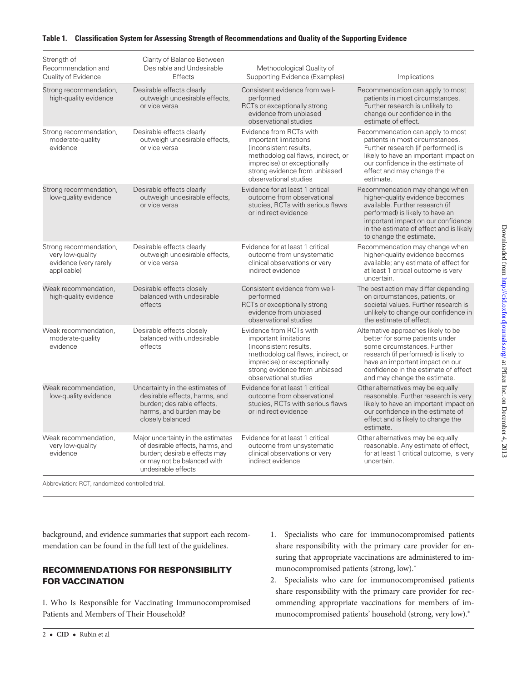| Strength of<br>Recommendation and<br>Quality of Evidence                           | Clarity of Balance Between<br>Desirable and Undesirable<br><b>Effects</b>                                                                                     | Methodological Quality of<br>Supporting Evidence (Examples)                                                                                                                                               | Implications                                                                                                                                                                                                                                            |
|------------------------------------------------------------------------------------|---------------------------------------------------------------------------------------------------------------------------------------------------------------|-----------------------------------------------------------------------------------------------------------------------------------------------------------------------------------------------------------|---------------------------------------------------------------------------------------------------------------------------------------------------------------------------------------------------------------------------------------------------------|
| Strong recommendation,<br>high-quality evidence                                    | Desirable effects clearly<br>outweigh undesirable effects,<br>or vice versa                                                                                   | Consistent evidence from well-<br>performed<br>RCTs or exceptionally strong<br>evidence from unbiased<br>observational studies                                                                            | Recommendation can apply to most<br>patients in most circumstances.<br>Further research is unlikely to<br>change our confidence in the<br>estimate of effect.                                                                                           |
| Strong recommendation,<br>moderate-quality<br>evidence                             | Desirable effects clearly<br>outweigh undesirable effects,<br>or vice versa                                                                                   | Evidence from RCTs with<br>important limitations<br>(inconsistent results,<br>methodological flaws, indirect, or<br>imprecise) or exceptionally<br>strong evidence from unbiased<br>observational studies | Recommendation can apply to most<br>patients in most circumstances.<br>Further research (if performed) is<br>likely to have an important impact on<br>our confidence in the estimate of<br>effect and may change the<br>estimate.                       |
| Strong recommendation,<br>low-quality evidence                                     | Desirable effects clearly<br>outweigh undesirable effects,<br>or vice versa                                                                                   | Evidence for at least 1 critical<br>outcome from observational<br>studies, RCTs with serious flaws<br>or indirect evidence                                                                                | Recommendation may change when<br>higher-quality evidence becomes<br>available. Further research (if<br>performed) is likely to have an<br>important impact on our confidence<br>in the estimate of effect and is likely<br>to change the estimate.     |
| Strong recommendation,<br>very low-quality<br>evidence (very rarely<br>applicable) | Desirable effects clearly<br>outweigh undesirable effects,<br>or vice versa                                                                                   | Evidence for at least 1 critical<br>outcome from unsystematic<br>clinical observations or very<br>indirect evidence                                                                                       | Recommendation may change when<br>higher-quality evidence becomes<br>available; any estimate of effect for<br>at least 1 critical outcome is very<br>uncertain.                                                                                         |
| Weak recommendation,<br>high-quality evidence                                      | Desirable effects closely<br>balanced with undesirable<br>effects                                                                                             | Consistent evidence from well-<br>performed<br>RCTs or exceptionally strong<br>evidence from unbiased<br>observational studies                                                                            | The best action may differ depending<br>on circumstances, patients, or<br>societal values. Further research is<br>unlikely to change our confidence in<br>the estimate of effect.                                                                       |
| Weak recommendation,<br>moderate-quality<br>evidence                               | Desirable effects closely<br>balanced with undesirable<br>effects                                                                                             | Evidence from RCTs with<br>important limitations<br>(inconsistent results,<br>methodological flaws, indirect, or<br>imprecise) or exceptionally<br>strong evidence from unbiased<br>observational studies | Alternative approaches likely to be<br>better for some patients under<br>some circumstances. Further<br>research (if performed) is likely to<br>have an important impact on our<br>confidence in the estimate of effect<br>and may change the estimate. |
| Weak recommendation,<br>low-quality evidence                                       | Uncertainty in the estimates of<br>desirable effects, harms, and<br>burden; desirable effects,<br>harms, and burden may be<br>closely balanced                | Evidence for at least 1 critical<br>outcome from observational<br>studies, RCTs with serious flaws<br>or indirect evidence                                                                                | Other alternatives may be equally<br>reasonable. Further research is very<br>likely to have an important impact on<br>our confidence in the estimate of<br>effect and is likely to change the<br>estimate.                                              |
| Weak recommendation,<br>very low-quality<br>evidence                               | Major uncertainty in the estimates<br>of desirable effects, harms, and<br>burden; desirable effects may<br>or may not be balanced with<br>undesirable effects | Evidence for at least 1 critical<br>outcome from unsystematic<br>clinical observations or very<br>indirect evidence                                                                                       | Other alternatives may be equally<br>reasonable. Any estimate of effect,<br>for at least 1 critical outcome, is very<br>uncertain.                                                                                                                      |

#### <span id="page-1-0"></span>Table 1. Classification System for Assessing Strength of Recommendations and Quality of the Supporting Evidence

Abbreviation: RCT, randomized controlled trial.

background, and evidence summaries that support each recommendation can be found in the full text of the guidelines.

# RECOMMENDATIONS FOR RESPONSIBILITY FOR VACCINATION

I. Who Is Responsible for Vaccinating Immunocompromised Patients and Members of Their Household?

- 1. Specialists who care for immunocompromised patients share responsibility with the primary care provider for ensuring that appropriate vaccinations are administered to immunocompromised patients (strong, low).
- 2. Specialists who care for immunocompromised patients share responsibility with the primary care provider for recommending appropriate vaccinations for members of immunocompromised patients' household (strong, very low).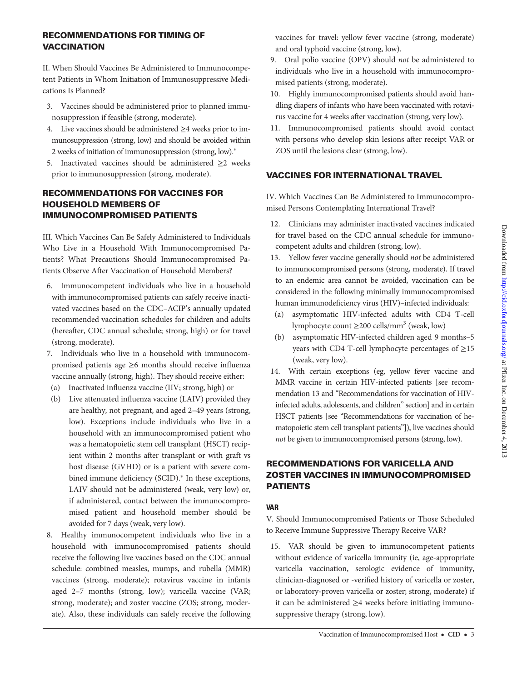# RECOMMENDATIONS FOR TIMING OF **VACCINATION**

II. When Should Vaccines Be Administered to Immunocompetent Patients in Whom Initiation of Immunosuppressive Medications Is Planned?

- 3. Vaccines should be administered prior to planned immunosuppression if feasible (strong, moderate).
- 4. Live vaccines should be administered ≥4 weeks prior to immunosuppression (strong, low) and should be avoided within 2 weeks of initiation of immunosuppression (strong, low).
- 5. Inactivated vaccines should be administered ≥2 weeks prior to immunosuppression (strong, moderate).

# RECOMMENDATIONS FOR VACCINES FOR HOUSEHOLD MEMBERS OF IMMUNOCOMPROMISED PATIENTS

III. Which Vaccines Can Be Safely Administered to Individuals Who Live in a Household With Immunocompromised Patients? What Precautions Should Immunocompromised Patients Observe After Vaccination of Household Members?

- 6. Immunocompetent individuals who live in a household with immunocompromised patients can safely receive inactivated vaccines based on the CDC–ACIP's annually updated recommended vaccination schedules for children and adults (hereafter, CDC annual schedule; strong, high) or for travel (strong, moderate).
- 7. Individuals who live in a household with immunocompromised patients age ≥6 months should receive influenza vaccine annually (strong, high). They should receive either:
- (a) Inactivated influenza vaccine (IIV; strong, high) or
- (b) Live attenuated influenza vaccine (LAIV) provided they are healthy, not pregnant, and aged 2–49 years (strong, low). Exceptions include individuals who live in a household with an immunocompromised patient who was a hematopoietic stem cell transplant (HSCT) recipient within 2 months after transplant or with graft vs host disease (GVHD) or is a patient with severe combined immune deficiency (SCID).<sup>\*</sup> In these exceptions, LAIV should not be administered (weak, very low) or, if administered, contact between the immunocompromised patient and household member should be avoided for 7 days (weak, very low).
- 8. Healthy immunocompetent individuals who live in a household with immunocompromised patients should receive the following live vaccines based on the CDC annual schedule: combined measles, mumps, and rubella (MMR) vaccines (strong, moderate); rotavirus vaccine in infants aged 2–7 months (strong, low); varicella vaccine (VAR; strong, moderate); and zoster vaccine (ZOS; strong, moderate). Also, these individuals can safely receive the following

vaccines for travel: yellow fever vaccine (strong, moderate) and oral typhoid vaccine (strong, low).

- 9. Oral polio vaccine (OPV) should not be administered to individuals who live in a household with immunocompromised patients (strong, moderate).
- 10. Highly immunocompromised patients should avoid handling diapers of infants who have been vaccinated with rotavirus vaccine for 4 weeks after vaccination (strong, very low).
- 11. Immunocompromised patients should avoid contact with persons who develop skin lesions after receipt VAR or ZOS until the lesions clear (strong, low).

# VACCINES FOR INTERNATIONAL TRAVEL

IV. Which Vaccines Can Be Administered to Immunocompromised Persons Contemplating International Travel?

- 12. Clinicians may administer inactivated vaccines indicated for travel based on the CDC annual schedule for immunocompetent adults and children (strong, low).
- 13. Yellow fever vaccine generally should not be administered to immunocompromised persons (strong, moderate). If travel to an endemic area cannot be avoided, vaccination can be considered in the following minimally immunocompromised human immunodeficiency virus (HIV)–infected individuals:
- (a) asymptomatic HIV-infected adults with CD4 T-cell lymphocyte count  $\geq$ 200 cells/mm<sup>3</sup> (weak, low)
- (b) asymptomatic HIV-infected children aged 9 months–5 years with CD4 T-cell lymphocyte percentages of  $\geq$ 15 (weak, very low).
- 14. With certain exceptions (eg, yellow fever vaccine and MMR vaccine in certain HIV-infected patients [see recommendation 13 and "Recommendations for vaccination of HIVinfected adults, adolescents, and children" section] and in certain HSCT patients [see "Recommendations for vaccination of hematopoietic stem cell transplant patients"]), live vaccines should not be given to immunocompromised persons (strong, low).

# RECOMMENDATIONS FOR VARICELLA AND ZOSTER VACCINES IN IMMUNOCOMPROMISED PATIENTS

# VAR

V. Should Immunocompromised Patients or Those Scheduled to Receive Immune Suppressive Therapy Receive VAR?

15. VAR should be given to immunocompetent patients without evidence of varicella immunity (ie, age-appropriate varicella vaccination, serologic evidence of immunity, clinician-diagnosed or -verified history of varicella or zoster, or laboratory-proven varicella or zoster; strong, moderate) if it can be administered  $\geq$ 4 weeks before initiating immunosuppressive therapy (strong, low).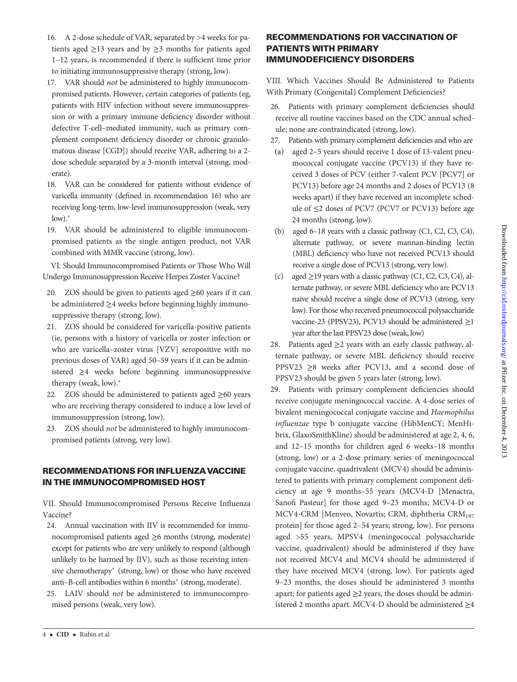- 16. A 2-dose schedule of VAR, separated by >4 weeks for patients aged  $\geq$ 13 years and by  $\geq$ 3 months for patients aged 1–12 years, is recommended if there is sufficient time prior to initiating immunosuppressive therapy (strong, low).
- 17. VAR should not be administered to highly immunocompromised patients. However, certain categories of patients (eg, patients with HIV infection without severe immunosuppression or with a primary immune deficiency disorder without defective T-cell–mediated immunity, such as primary complement component deficiency disorder or chronic granulomatous disease [CGD]) should receive VAR, adhering to a 2 dose schedule separated by a 3-month interval (strong, moderate).
- 18. VAR can be considered for patients without evidence of varicella immunity (defined in recommendation 16) who are receiving long-term, low-level immunosuppression (weak, very  $low).$
- 19. VAR should be administered to eligible immunocompromised patients as the single antigen product, not VAR combined with MMR vaccine (strong, low).

VI. Should Immunocompromised Patients or Those Who Will Undergo Immunosuppression Receive Herpes Zoster Vaccine?

- 20. ZOS should be given to patients aged  $\geq 60$  years if it can be administered ≥4 weeks before beginning highly immunosuppressive therapy (strong, low).
- 21. ZOS should be considered for varicella-positive patients (ie, persons with a history of varicella or zoster infection or who are varicella–zoster virus [VZV] seropositive with no previous doses of VAR) aged 50–59 years if it can be administered ≥4 weeks before beginning immunosuppressive therapy (weak, low).
- 22. ZOS should be administered to patients aged  $\geq 60$  years who are receiving therapy considered to induce a low level of immunosuppression (strong, low).
- 23. ZOS should not be administered to highly immunocompromised patients (strong, very low).

# RECOMMENDATIONS FOR INFLUENZAVACCINE IN THE IMMUNOCOMPROMISED HOST

VII. Should Immunocompromised Persons Receive Influenza Vaccine?

- 24. Annual vaccination with IIV is recommended for immunocompromised patients aged ≥6 months (strong, moderate) except for patients who are very unlikely to respond (although unlikely to be harmed by IIV), such as those receiving intensive chemotherapy\* (strong, low) or those who have received anti-B-cell antibodies within 6 months<sup>\*</sup> (strong, moderate).
- 25. LAIV should not be administered to immunocompromised persons (weak, very low).

# RECOMMENDATIONS FOR VACCINATION OF PATIENTS WITH PRIMARY IMMUNODEFICIENCY DISORDERS

VIII. Which Vaccines Should Be Administered to Patients With Primary (Congenital) Complement Deficiencies?

- 26. Patients with primary complement deficiencies should receive all routine vaccines based on the CDC annual schedule; none are contraindicated (strong, low).
- 27. Patients with primary complement deficiencies and who are
- (a) aged 2–5 years should receive 1 dose of 13-valent pneumococcal conjugate vaccine (PCV13) if they have received 3 doses of PCV (either 7-valent PCV [PCV7] or PCV13) before age 24 months and 2 doses of PCV13 (8 weeks apart) if they have received an incomplete schedule of  $≤$ 2 doses of PCV7 (PCV7 or PCV13) before age 24 months (strong, low).
- (b) aged 6–18 years with a classic pathway (C1, C2, C3, C4), alternate pathway, or severe mannan-binding lectin (MBL) deficiency who have not received PCV13 should receive a single dose of PCV13 (strong, very low).
- (c) aged  $\geq$ 19 years with a classic pathway (C1, C2, C3, C4), alternate pathway, or severe MBL deficiency who are PCV13 naive should receive a single dose of PCV13 (strong, very low). For those who received pneumococcal polysaccharide vaccine-23 (PPSV23), PCV13 should be administered  $\geq$ 1 year after the last PPSV23 dose (weak, low)
- 28. Patients aged  $\geq$ 2 years with an early classic pathway, alternate pathway, or severe MBL deficiency should receive PPSV23 ≥8 weeks after PCV13, and a second dose of PPSV23 should be given 5 years later (strong, low).
- 29. Patients with primary complement deficiencies should receive conjugate meningococcal vaccine. A 4-dose series of bivalent meningococcal conjugate vaccine and Haemophilus influenzae type b conjugate vaccine (HibMenCY; MenHibrix, GlaxoSmithKline) should be administered at age 2, 4, 6, and 12–15 months for children aged 6 weeks–18 months (strong, low) or a 2-dose primary series of meningococcal conjugate vaccine, quadrivalent (MCV4) should be administered to patients with primary complement component deficiency at age 9 months–55 years (MCV4-D [Menactra, Sanofi Pasteur] for those aged 9–23 months; MCV4-D or MCV4-CRM [Menveo, Novartis; CRM, diphtheria CRM<sub>197</sub> protein] for those aged 2–54 years; strong, low). For persons aged >55 years, MPSV4 (meningococcal polysaccharide vaccine, quadrivalent) should be administered if they have not received MCV4 and MCV4 should be administered if they have received MCV4 (strong, low). For patients aged 9–23 months, the doses should be administered 3 months apart; for patients aged  $\geq$ 2 years, the doses should be administered 2 months apart. MCV4-D should be administered  $\geq$ 4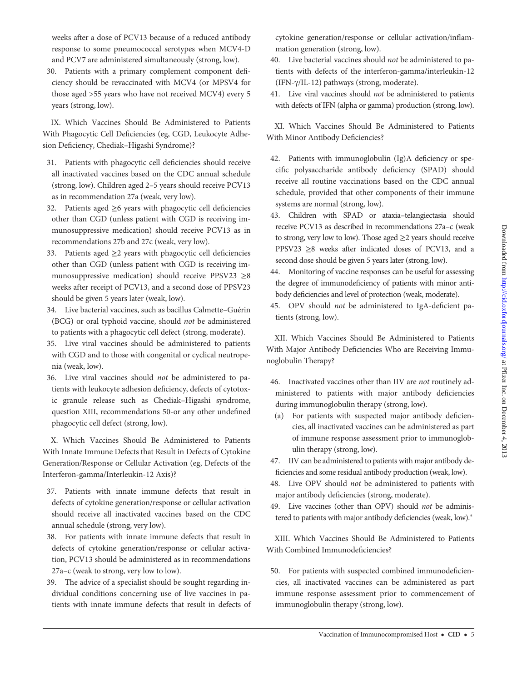weeks after a dose of PCV13 because of a reduced antibody response to some pneumococcal serotypes when MCV4-D and PCV7 are administered simultaneously (strong, low).

30. Patients with a primary complement component deficiency should be revaccinated with MCV4 (or MPSV4 for those aged >55 years who have not received MCV4) every 5 years (strong, low).

IX. Which Vaccines Should Be Administered to Patients With Phagocytic Cell Deficiencies (eg, CGD, Leukocyte Adhesion Deficiency, Chediak–Higashi Syndrome)?

- 31. Patients with phagocytic cell deficiencies should receive all inactivated vaccines based on the CDC annual schedule (strong, low). Children aged 2–5 years should receive PCV13 as in recommendation 27a (weak, very low).
- 32. Patients aged  $\geq 6$  years with phagocytic cell deficiencies other than CGD (unless patient with CGD is receiving immunosuppressive medication) should receive PCV13 as in recommendations 27b and 27c (weak, very low).
- 33. Patients aged ≥2 years with phagocytic cell deficiencies other than CGD (unless patient with CGD is receiving immunosuppressive medication) should receive PPSV23  $\geq$ 8 weeks after receipt of PCV13, and a second dose of PPSV23 should be given 5 years later (weak, low).
- 34. Live bacterial vaccines, such as bacillus Calmette–Guérin (BCG) or oral typhoid vaccine, should not be administered to patients with a phagocytic cell defect (strong, moderate).
- 35. Live viral vaccines should be administered to patients with CGD and to those with congenital or cyclical neutropenia (weak, low).
- 36. Live viral vaccines should not be administered to patients with leukocyte adhesion deficiency, defects of cytotoxic granule release such as Chediak–Higashi syndrome, question XIII, recommendations 50-or any other undefined phagocytic cell defect (strong, low).

X. Which Vaccines Should Be Administered to Patients With Innate Immune Defects that Result in Defects of Cytokine Generation/Response or Cellular Activation (eg, Defects of the Interferon-gamma/Interleukin-12 Axis)?

- 37. Patients with innate immune defects that result in defects of cytokine generation/response or cellular activation should receive all inactivated vaccines based on the CDC annual schedule (strong, very low).
- 38. For patients with innate immune defects that result in defects of cytokine generation/response or cellular activation, PCV13 should be administered as in recommendations 27a–c (weak to strong, very low to low).
- 39. The advice of a specialist should be sought regarding individual conditions concerning use of live vaccines in patients with innate immune defects that result in defects of

cytokine generation/response or cellular activation/inflammation generation (strong, low).

- 40. Live bacterial vaccines should not be administered to patients with defects of the interferon-gamma/interleukin-12 (IFN-γ/IL-12) pathways (strong, moderate).
- 41. Live viral vaccines should not be administered to patients with defects of IFN (alpha or gamma) production (strong, low).

XI. Which Vaccines Should Be Administered to Patients With Minor Antibody Deficiencies?

- 42. Patients with immunoglobulin (Ig)A deficiency or specific polysaccharide antibody deficiency (SPAD) should receive all routine vaccinations based on the CDC annual schedule, provided that other components of their immune systems are normal (strong, low).
- 43. Children with SPAD or ataxia–telangiectasia should receive PCV13 as described in recommendations 27a–c (weak to strong, very low to low). Those aged  $\geq$ 2 years should receive PPSV23 ≥8 weeks after indicated doses of PCV13, and a second dose should be given 5 years later (strong, low).
- 44. Monitoring of vaccine responses can be useful for assessing the degree of immunodeficiency of patients with minor antibody deficiencies and level of protection (weak, moderate).
- 45. OPV should not be administered to IgA-deficient patients (strong, low).

XII. Which Vaccines Should Be Administered to Patients With Major Antibody Deficiencies Who are Receiving Immunoglobulin Therapy?

- 46. Inactivated vaccines other than IIV are not routinely administered to patients with major antibody deficiencies during immunoglobulin therapy (strong, low).
- (a) For patients with suspected major antibody deficiencies, all inactivated vaccines can be administered as part of immune response assessment prior to immunoglobulin therapy (strong, low).
- 47. IIV can be administered to patients with major antibody deficiencies and some residual antibody production (weak, low).
- 48. Live OPV should not be administered to patients with major antibody deficiencies (strong, moderate).
- 49. Live vaccines (other than OPV) should not be administered to patients with major antibody deficiencies (weak, low).

XIII. Which Vaccines Should Be Administered to Patients With Combined Immunodeficiencies?

50. For patients with suspected combined immunodeficiencies, all inactivated vaccines can be administered as part immune response assessment prior to commencement of immunoglobulin therapy (strong, low).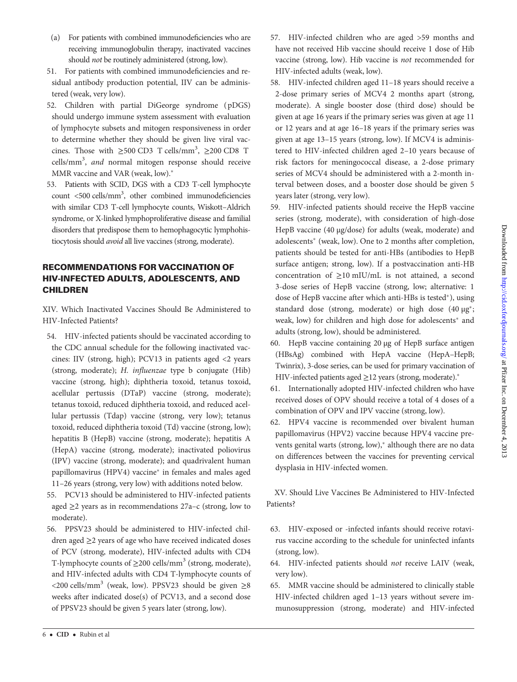- (a) For patients with combined immunodeficiencies who are receiving immunoglobulin therapy, inactivated vaccines should not be routinely administered (strong, low).
- 51. For patients with combined immunodeficiencies and residual antibody production potential, IIV can be administered (weak, very low).
- 52. Children with partial DiGeorge syndrome ( pDGS) should undergo immune system assessment with evaluation of lymphocyte subsets and mitogen responsiveness in order to determine whether they should be given live viral vaccines. Those with  $\geq$ 500 CD3 T cells/mm<sup>3</sup>,  $\geq$ 200 CD8 T cells/mm<sup>3</sup>, and normal mitogen response should receive MMR vaccine and VAR (weak, low).
- 53. Patients with SCID, DGS with a CD3 T-cell lymphocyte count <500 cells/mm<sup>3</sup>, other combined immunodeficiencies with similar CD3 T-cell lymphocyte counts, Wiskott–Aldrich syndrome, or X-linked lymphoproliferative disease and familial disorders that predispose them to hemophagocytic lymphohistiocytosis should avoid all live vaccines (strong, moderate).

# RECOMMENDATIONS FOR VACCINATION OF HIV-INFECTED ADULTS, ADOLESCENTS, AND CHILDREN

XIV. Which Inactivated Vaccines Should Be Administered to HIV-Infected Patients?

- 54. HIV-infected patients should be vaccinated according to the CDC annual schedule for the following inactivated vaccines: IIV (strong, high); PCV13 in patients aged <2 years (strong, moderate); H. influenzae type b conjugate (Hib) vaccine (strong, high); diphtheria toxoid, tetanus toxoid, acellular pertussis (DTaP) vaccine (strong, moderate); tetanus toxoid, reduced diphtheria toxoid, and reduced acellular pertussis (Tdap) vaccine (strong, very low); tetanus toxoid, reduced diphtheria toxoid (Td) vaccine (strong, low); hepatitis B (HepB) vaccine (strong, moderate); hepatitis A (HepA) vaccine (strong, moderate); inactivated poliovirus (IPV) vaccine (strong, moderate); and quadrivalent human papillomavirus (HPV4) vaccine\* in females and males aged 11–26 years (strong, very low) with additions noted below.
- 55. PCV13 should be administered to HIV-infected patients aged  $\geq$ 2 years as in recommendations 27a–c (strong, low to moderate).
- 56. PPSV23 should be administered to HIV-infected children aged  $\geq$ 2 years of age who have received indicated doses of PCV (strong, moderate), HIV-infected adults with CD4 T-lymphocyte counts of  $\geq$ 200 cells/mm<sup>3</sup> (strong, moderate), and HIV-infected adults with CD4 T-lymphocyte counts of <200 cells/mm<sup>3</sup> (weak, low). PPSV23 should be given  $\geq$ 8 weeks after indicated dose(s) of PCV13, and a second dose of PPSV23 should be given 5 years later (strong, low).
- 57. HIV-infected children who are aged >59 months and have not received Hib vaccine should receive 1 dose of Hib vaccine (strong, low). Hib vaccine is not recommended for HIV-infected adults (weak, low).
- 58. HIV-infected children aged 11–18 years should receive a 2-dose primary series of MCV4 2 months apart (strong, moderate). A single booster dose (third dose) should be given at age 16 years if the primary series was given at age 11 or 12 years and at age 16–18 years if the primary series was given at age 13–15 years (strong, low). If MCV4 is administered to HIV-infected children aged 2–10 years because of risk factors for meningococcal disease, a 2-dose primary series of MCV4 should be administered with a 2-month interval between doses, and a booster dose should be given 5 years later (strong, very low).
- 59. HIV-infected patients should receive the HepB vaccine series (strong, moderate), with consideration of high-dose HepB vaccine (40 µg/dose) for adults (weak, moderate) and adolescents<sup>\*</sup> (weak, low). One to 2 months after completion, patients should be tested for anti-HBs (antibodies to HepB surface antigen; strong, low). If a postvaccination anti-HB concentration of ≥10 mIU/mL is not attained, a second 3-dose series of HepB vaccine (strong, low; alternative: 1 dose of HepB vaccine after which anti-HBs is tested<sup>\*</sup>), using standard dose (strong, moderate) or high dose  $(40 \mu g^*;$ weak, low) for children and high dose for adolescents<sup>\*</sup> and adults (strong, low), should be administered.
- 60. HepB vaccine containing 20 µg of HepB surface antigen (HBsAg) combined with HepA vaccine (HepA–HepB; Twinrix), 3-dose series, can be used for primary vaccination of HIV-infected patients aged ≥12 years (strong, moderate).
- 61. Internationally adopted HIV-infected children who have received doses of OPV should receive a total of 4 doses of a combination of OPV and IPV vaccine (strong, low).
- 62. HPV4 vaccine is recommended over bivalent human papillomavirus (HPV2) vaccine because HPV4 vaccine prevents genital warts (strong, low),\* although there are no data on differences between the vaccines for preventing cervical dysplasia in HIV-infected women.

XV. Should Live Vaccines Be Administered to HIV-Infected Patients?

- 63. HIV-exposed or -infected infants should receive rotavirus vaccine according to the schedule for uninfected infants (strong, low).
- 64. HIV-infected patients should not receive LAIV (weak, very low).
- 65. MMR vaccine should be administered to clinically stable HIV-infected children aged 1–13 years without severe immunosuppression (strong, moderate) and HIV-infected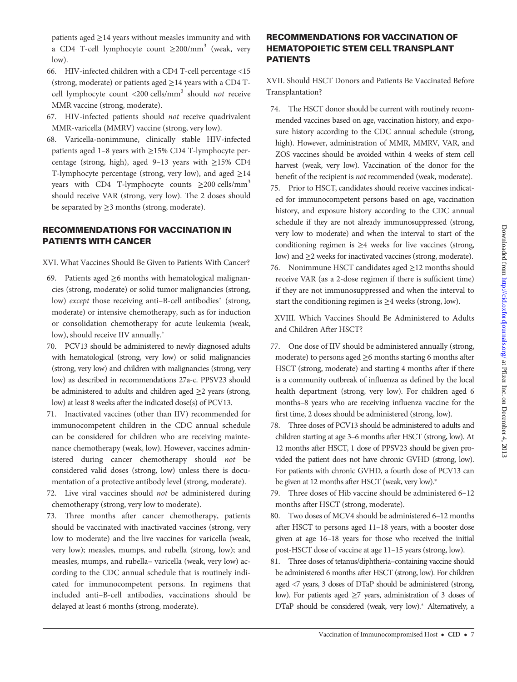patients aged  $\geq$ 14 years without measles immunity and with a CD4 T-cell lymphocyte count  $\geq$ 200/mm<sup>3</sup> (weak, very low).

- 66. HIV-infected children with a CD4 T-cell percentage <15 (strong, moderate) or patients aged ≥14 years with a CD4 Tcell lymphocyte count  $\langle 200 \text{ cells/mm}^3 \rangle$  should *not* receive MMR vaccine (strong, moderate).
- 67. HIV-infected patients should not receive quadrivalent MMR-varicella (MMRV) vaccine (strong, very low).
- 68. Varicella-nonimmune, clinically stable HIV-infected patients aged 1–8 years with ≥15% CD4 T-lymphocyte percentage (strong, high), aged 9–13 years with ≥15% CD4 T-lymphocyte percentage (strong, very low), and aged  $\geq$ 14 years with CD4 T-lymphocyte counts  $\geq 200$  cells/mm<sup>3</sup> should receive VAR (strong, very low). The 2 doses should be separated by  $\geq$ 3 months (strong, moderate).

# RECOMMENDATIONS FOR VACCINATION IN PATIENTS WITH CANCER

XVI. What Vaccines Should Be Given to Patients With Cancer?

- 69. Patients aged  $\geq$ 6 months with hematological malignancies (strong, moderate) or solid tumor malignancies (strong, low) except those receiving anti-B-cell antibodies\* (strong, moderate) or intensive chemotherapy, such as for induction or consolidation chemotherapy for acute leukemia (weak, low), should receive IIV annually.
- 70. PCV13 should be administered to newly diagnosed adults with hematological (strong, very low) or solid malignancies (strong, very low) and children with malignancies (strong, very low) as described in recommendations 27a-c. PPSV23 should be administered to adults and children aged  $\geq$ 2 years (strong, low) at least 8 weeks after the indicated dose(s) of PCV13.
- 71. Inactivated vaccines (other than IIV) recommended for immunocompetent children in the CDC annual schedule can be considered for children who are receiving maintenance chemotherapy (weak, low). However, vaccines administered during cancer chemotherapy should not be considered valid doses (strong, low) unless there is documentation of a protective antibody level (strong, moderate).
- 72. Live viral vaccines should not be administered during chemotherapy (strong, very low to moderate).
- 73. Three months after cancer chemotherapy, patients should be vaccinated with inactivated vaccines (strong, very low to moderate) and the live vaccines for varicella (weak, very low); measles, mumps, and rubella (strong, low); and measles, mumps, and rubella– varicella (weak, very low) according to the CDC annual schedule that is routinely indicated for immunocompetent persons. In regimens that included anti–B-cell antibodies, vaccinations should be delayed at least 6 months (strong, moderate).

# RECOMMENDATIONS FOR VACCINATION OF HEMATOPOIETIC STEM CELL TRANSPLANT PATIENTS

XVII. Should HSCT Donors and Patients Be Vaccinated Before Transplantation?

- 74. The HSCT donor should be current with routinely recommended vaccines based on age, vaccination history, and exposure history according to the CDC annual schedule (strong, high). However, administration of MMR, MMRV, VAR, and ZOS vaccines should be avoided within 4 weeks of stem cell harvest (weak, very low). Vaccination of the donor for the benefit of the recipient is not recommended (weak, moderate).
- 75. Prior to HSCT, candidates should receive vaccines indicated for immunocompetent persons based on age, vaccination history, and exposure history according to the CDC annual schedule if they are not already immunosuppressed (strong, very low to moderate) and when the interval to start of the conditioning regimen is  $\geq 4$  weeks for live vaccines (strong, low) and ≥2 weeks for inactivated vaccines (strong, moderate).
- 76. Nonimmune HSCT candidates aged ≥12 months should receive VAR (as a 2-dose regimen if there is sufficient time) if they are not immunosuppressed and when the interval to start the conditioning regimen is ≥4 weeks (strong, low).

XVIII. Which Vaccines Should Be Administered to Adults and Children After HSCT?

- 77. One dose of IIV should be administered annually (strong, moderate) to persons aged  $\geq$ 6 months starting 6 months after HSCT (strong, moderate) and starting 4 months after if there is a community outbreak of influenza as defined by the local health department (strong, very low). For children aged 6 months–8 years who are receiving influenza vaccine for the first time, 2 doses should be administered (strong, low).
- 78. Three doses of PCV13 should be administered to adults and children starting at age 3–6 months after HSCT (strong, low). At 12 months after HSCT, 1 dose of PPSV23 should be given provided the patient does not have chronic GVHD (strong, low). For patients with chronic GVHD, a fourth dose of PCV13 can be given at 12 months after HSCT (weak, very low).
- 79. Three doses of Hib vaccine should be administered 6–12 months after HSCT (strong, moderate).
- 80. Two doses of MCV4 should be administered 6–12 months after HSCT to persons aged 11–18 years, with a booster dose given at age 16–18 years for those who received the initial post-HSCT dose of vaccine at age 11–15 years (strong, low).
- 81. Three doses of tetanus/diphtheria–containing vaccine should be administered 6 months after HSCT (strong, low). For children aged <7 years, 3 doses of DTaP should be administered (strong, low). For patients aged ≥7 years, administration of 3 doses of DTaP should be considered (weak, very low).\* Alternatively, a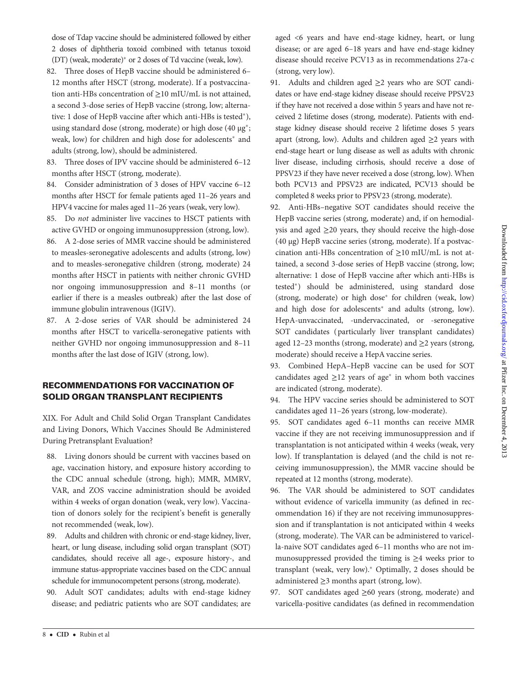dose of Tdap vaccine should be administered followed by either 2 doses of diphtheria toxoid combined with tetanus toxoid (DT) (weak, moderate) $*$  or 2 doses of Td vaccine (weak, low).

- 82. Three doses of HepB vaccine should be administered 6– 12 months after HSCT (strong, moderate). If a postvaccination anti-HBs concentration of ≥10 mIU/mL is not attained, a second 3-dose series of HepB vaccine (strong, low; alternative: 1 dose of HepB vaccine after which anti-HBs is tested\*), using standard dose (strong, moderate) or high dose (40 µg<sup>\*</sup>; weak, low) for children and high dose for adolescents<sup>\*</sup> and adults (strong, low), should be administered.
- 83. Three doses of IPV vaccine should be administered 6–12 months after HSCT (strong, moderate).
- 84. Consider administration of 3 doses of HPV vaccine 6–12 months after HSCT for female patients aged 11–26 years and HPV4 vaccine for males aged 11–26 years (weak, very low).
- 85. Do not administer live vaccines to HSCT patients with active GVHD or ongoing immunosuppression (strong, low).
- 86. A 2-dose series of MMR vaccine should be administered to measles-seronegative adolescents and adults (strong, low) and to measles-seronegative children (strong, moderate) 24 months after HSCT in patients with neither chronic GVHD nor ongoing immunosuppression and 8–11 months (or earlier if there is a measles outbreak) after the last dose of immune globulin intravenous (IGIV).
- 87. A 2-dose series of VAR should be administered 24 months after HSCT to varicella-seronegative patients with neither GVHD nor ongoing immunosuppression and 8–11 months after the last dose of IGIV (strong, low).

# RECOMMENDATIONS FOR VACCINATION OF SOLID ORGAN TRANSPLANT RECIPIENTS

XIX. For Adult and Child Solid Organ Transplant Candidates and Living Donors, Which Vaccines Should Be Administered During Pretransplant Evaluation?

- 88. Living donors should be current with vaccines based on age, vaccination history, and exposure history according to the CDC annual schedule (strong, high); MMR, MMRV, VAR, and ZOS vaccine administration should be avoided within 4 weeks of organ donation (weak, very low). Vaccination of donors solely for the recipient's benefit is generally not recommended (weak, low).
- 89. Adults and children with chronic or end-stage kidney, liver, heart, or lung disease, including solid organ transplant (SOT) candidates, should receive all age-, exposure history-, and immune status-appropriate vaccines based on the CDC annual schedule for immunocompetent persons (strong, moderate).
- 90. Adult SOT candidates; adults with end-stage kidney disease; and pediatric patients who are SOT candidates; are

aged <6 years and have end-stage kidney, heart, or lung disease; or are aged 6–18 years and have end-stage kidney disease should receive PCV13 as in recommendations 27a-c (strong, very low).

- 91. Adults and children aged ≥2 years who are SOT candidates or have end-stage kidney disease should receive PPSV23 if they have not received a dose within 5 years and have not received 2 lifetime doses (strong, moderate). Patients with endstage kidney disease should receive 2 lifetime doses 5 years apart (strong, low). Adults and children aged  $\geq$ 2 years with end-stage heart or lung disease as well as adults with chronic liver disease, including cirrhosis, should receive a dose of PPSV23 if they have never received a dose (strong, low). When both PCV13 and PPSV23 are indicated, PCV13 should be completed 8 weeks prior to PPSV23 (strong, moderate).
- 92. Anti-HBs–negative SOT candidates should receive the HepB vaccine series (strong, moderate) and, if on hemodialysis and aged  $\geq$ 20 years, they should receive the high-dose (40 µg) HepB vaccine series (strong, moderate). If a postvaccination anti-HBs concentration of  $\geq$ 10 mIU/mL is not attained, a second 3-dose series of HepB vaccine (strong, low; alternative: 1 dose of HepB vaccine after which anti-HBs is tested) should be administered, using standard dose (strong, moderate) or high dose\* for children (weak, low) and high dose for adolescents<sup>\*</sup> and adults (strong, low). HepA-unvaccinated, -undervaccinated, or -seronegative SOT candidates ( particularly liver transplant candidates) aged 12–23 months (strong, moderate) and  $\geq$ 2 years (strong, moderate) should receive a HepA vaccine series.
- 93. Combined HepA–HepB vaccine can be used for SOT candidates aged  $\geq$ 12 years of age<sup>\*</sup> in whom both vaccines are indicated (strong, moderate).
- 94. The HPV vaccine series should be administered to SOT candidates aged 11–26 years (strong, low-moderate).
- 95. SOT candidates aged 6–11 months can receive MMR vaccine if they are not receiving immunosuppression and if transplantation is not anticipated within 4 weeks (weak, very low). If transplantation is delayed (and the child is not receiving immunosuppression), the MMR vaccine should be repeated at 12 months (strong, moderate).
- 96. The VAR should be administered to SOT candidates without evidence of varicella immunity (as defined in recommendation 16) if they are not receiving immunosuppression and if transplantation is not anticipated within 4 weeks (strong, moderate). The VAR can be administered to varicella-naive SOT candidates aged 6–11 months who are not immunosuppressed provided the timing is ≥4 weeks prior to transplant (weak, very low).\* Optimally, 2 doses should be administered ≥3 months apart (strong, low).
- 97. SOT candidates aged ≥60 years (strong, moderate) and varicella-positive candidates (as defined in recommendation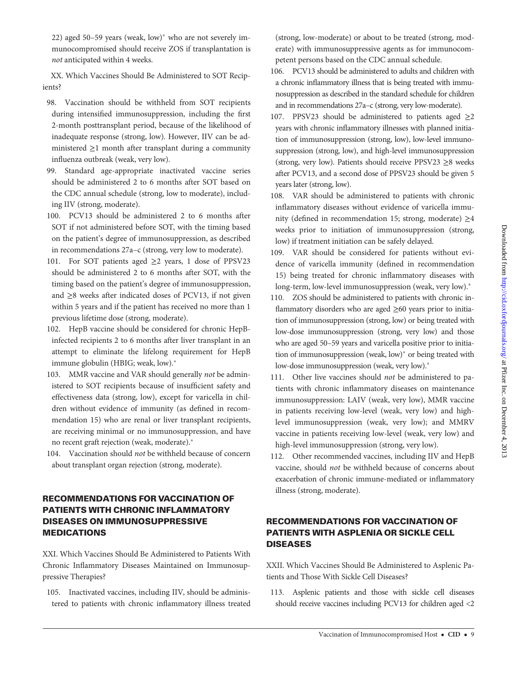22) aged 50–59 years (weak, low)\* who are not severely immunocompromised should receive ZOS if transplantation is not anticipated within 4 weeks.

XX. Which Vaccines Should Be Administered to SOT Recipients?

- 98. Vaccination should be withheld from SOT recipients during intensified immunosuppression, including the first 2-month posttransplant period, because of the likelihood of inadequate response (strong, low). However, IIV can be administered ≥1 month after transplant during a community influenza outbreak (weak, very low).
- 99. Standard age-appropriate inactivated vaccine series should be administered 2 to 6 months after SOT based on the CDC annual schedule (strong, low to moderate), including IIV (strong, moderate).
- 100. PCV13 should be administered 2 to 6 months after SOT if not administered before SOT, with the timing based on the patient's degree of immunosuppression, as described in recommendations 27a–c (strong, very low to moderate).
- 101. For SOT patients aged  $\geq$ 2 years, 1 dose of PPSV23 should be administered 2 to 6 months after SOT, with the timing based on the patient's degree of immunosuppression, and ≥8 weeks after indicated doses of PCV13, if not given within 5 years and if the patient has received no more than 1 previous lifetime dose (strong, moderate).
- 102. HepB vaccine should be considered for chronic HepBinfected recipients 2 to 6 months after liver transplant in an attempt to eliminate the lifelong requirement for HepB immune globulin (HBIG; weak, low).
- 103. MMR vaccine and VAR should generally not be administered to SOT recipients because of insufficient safety and effectiveness data (strong, low), except for varicella in children without evidence of immunity (as defined in recommendation 15) who are renal or liver transplant recipients, are receiving minimal or no immunosuppression, and have no recent graft rejection (weak, moderate).
- 104. Vaccination should not be withheld because of concern about transplant organ rejection (strong, moderate).

# RECOMMENDATIONS FOR VACCINATION OF PATIENTS WITH CHRONIC INFLAMMATORY DISEASES ON IMMUNOSUPPRESSIVE MEDICATIONS

XXI. Which Vaccines Should Be Administered to Patients With Chronic Inflammatory Diseases Maintained on Immunosuppressive Therapies?

105. Inactivated vaccines, including IIV, should be administered to patients with chronic inflammatory illness treated (strong, low-moderate) or about to be treated (strong, moderate) with immunosuppressive agents as for immunocompetent persons based on the CDC annual schedule.

- 106. PCV13 should be administered to adults and children with a chronic inflammatory illness that is being treated with immunosuppression as described in the standard schedule for children and in recommendations 27a–c (strong, very low-moderate).
- 107. PPSV23 should be administered to patients aged  $\geq$ 2 years with chronic inflammatory illnesses with planned initiation of immunosuppression (strong, low), low-level immunosuppression (strong, low), and high-level immunosuppression (strong, very low). Patients should receive PPSV23 ≥8 weeks after PCV13, and a second dose of PPSV23 should be given 5 years later (strong, low).
- 108. VAR should be administered to patients with chronic inflammatory diseases without evidence of varicella immunity (defined in recommendation 15; strong, moderate)  $\geq 4$ weeks prior to initiation of immunosuppression (strong, low) if treatment initiation can be safely delayed.
- 109. VAR should be considered for patients without evidence of varicella immunity (defined in recommendation 15) being treated for chronic inflammatory diseases with long-term, low-level immunosuppression (weak, very low).
- 110. ZOS should be administered to patients with chronic inflammatory disorders who are aged  $\geq 60$  years prior to initiation of immunosuppression (strong, low) or being treated with low-dose immunosuppression (strong, very low) and those who are aged 50–59 years and varicella positive prior to initiation of immunosuppression (weak,  $low$ ) $*$  or being treated with low-dose immunosuppression (weak, very low).
- 111. Other live vaccines should not be administered to patients with chronic inflammatory diseases on maintenance immunosuppression: LAIV (weak, very low), MMR vaccine in patients receiving low-level (weak, very low) and highlevel immunosuppression (weak, very low); and MMRV vaccine in patients receiving low-level (weak, very low) and high-level immunosuppression (strong, very low).
- 112. Other recommended vaccines, including IIV and HepB vaccine, should not be withheld because of concerns about exacerbation of chronic immune-mediated or inflammatory illness (strong, moderate).

# RECOMMENDATIONS FOR VACCINATION OF PATIENTS WITH ASPLENIA OR SICKLE CELL DISEASES

XXII. Which Vaccines Should Be Administered to Asplenic Patients and Those With Sickle Cell Diseases?

113. Asplenic patients and those with sickle cell diseases should receive vaccines including PCV13 for children aged <2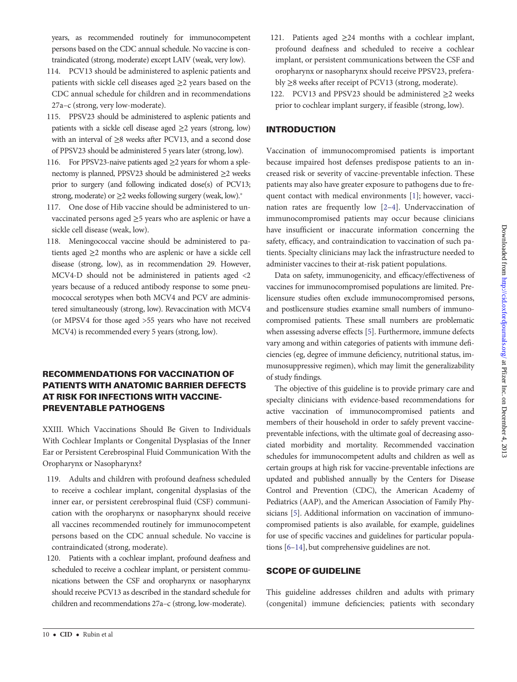years, as recommended routinely for immunocompetent persons based on the CDC annual schedule. No vaccine is contraindicated (strong, moderate) except LAIV (weak, very low).

- 114. PCV13 should be administered to asplenic patients and patients with sickle cell diseases aged ≥2 years based on the CDC annual schedule for children and in recommendations 27a–c (strong, very low-moderate).
- 115. PPSV23 should be administered to asplenic patients and patients with a sickle cell disease aged  $\geq$ 2 years (strong, low) with an interval of ≥8 weeks after PCV13, and a second dose of PPSV23 should be administered 5 years later (strong, low).
- 116. For PPSV23-naive patients aged ≥2 years for whom a splenectomy is planned, PPSV23 should be administered ≥2 weeks prior to surgery (and following indicated dose(s) of PCV13; strong, moderate) or  $\geq$ 2 weeks following surgery (weak, low).<sup>\*</sup>
- 117. One dose of Hib vaccine should be administered to unvaccinated persons aged ≥5 years who are asplenic or have a sickle cell disease (weak, low).
- 118. Meningococcal vaccine should be administered to patients aged ≥2 months who are asplenic or have a sickle cell disease (strong, low), as in recommendation 29. However, MCV4-D should not be administered in patients aged <2 years because of a reduced antibody response to some pneumococcal serotypes when both MCV4 and PCV are administered simultaneously (strong, low). Revaccination with MCV4 (or MPSV4 for those aged >55 years who have not received MCV4) is recommended every 5 years (strong, low).

# RECOMMENDATIONS FOR VACCINATION OF PATIENTS WITH ANATOMIC BARRIER DEFECTS AT RISK FOR INFECTIONS WITH VACCINE-PREVENTABLE PATHOGENS

XXIII. Which Vaccinations Should Be Given to Individuals With Cochlear Implants or Congenital Dysplasias of the Inner Ear or Persistent Cerebrospinal Fluid Communication With the Oropharynx or Nasopharynx?

- 119. Adults and children with profound deafness scheduled to receive a cochlear implant, congenital dysplasias of the inner ear, or persistent cerebrospinal fluid (CSF) communication with the oropharynx or nasopharynx should receive all vaccines recommended routinely for immunocompetent persons based on the CDC annual schedule. No vaccine is contraindicated (strong, moderate).
- 120. Patients with a cochlear implant, profound deafness and scheduled to receive a cochlear implant, or persistent communications between the CSF and oropharynx or nasopharynx should receive PCV13 as described in the standard schedule for children and recommendations 27a–c (strong, low-moderate).
- 121. Patients aged  $\geq$  24 months with a cochlear implant, profound deafness and scheduled to receive a cochlear implant, or persistent communications between the CSF and oropharynx or nasopharynx should receive PPSV23, preferably ≥8 weeks after receipt of PCV13 (strong, moderate).
- 122. PCV13 and PPSV23 should be administered ≥2 weeks prior to cochlear implant surgery, if feasible (strong, low).

## INTRODUCTION

Vaccination of immunocompromised patients is important because impaired host defenses predispose patients to an increased risk or severity of vaccine-preventable infection. These patients may also have greater exposure to pathogens due to frequent contact with medical environments [\[1](#page-43-0)]; however, vaccination rates are frequently low [[2](#page-43-0)–[4\]](#page-43-0). Undervaccination of immunocompromised patients may occur because clinicians have insufficient or inaccurate information concerning the safety, efficacy, and contraindication to vaccination of such patients. Specialty clinicians may lack the infrastructure needed to administer vaccines to their at-risk patient populations.

Data on safety, immunogenicity, and efficacy/effectiveness of vaccines for immunocompromised populations are limited. Prelicensure studies often exclude immunocompromised persons, and postlicensure studies examine small numbers of immunocompromised patients. These small numbers are problematic when assessing adverse effects [\[5\]](#page-43-0). Furthermore, immune defects vary among and within categories of patients with immune deficiencies (eg, degree of immune deficiency, nutritional status, immunosuppressive regimen), which may limit the generalizability of study findings.

The objective of this guideline is to provide primary care and specialty clinicians with evidence-based recommendations for active vaccination of immunocompromised patients and members of their household in order to safely prevent vaccinepreventable infections, with the ultimate goal of decreasing associated morbidity and mortality. Recommended vaccination schedules for immunocompetent adults and children as well as certain groups at high risk for vaccine-preventable infections are updated and published annually by the Centers for Disease Control and Prevention (CDC), the American Academy of Pediatrics (AAP), and the American Association of Family Physicians [\[5](#page-43-0)]. Additional information on vaccination of immunocompromised patients is also available, for example, guidelines for use of specific vaccines and guidelines for particular populations [[6](#page-43-0)–[14\]](#page-43-0), but comprehensive guidelines are not.

## SCOPE OF GUIDELINE

This guideline addresses children and adults with primary (congenital) immune deficiencies; patients with secondary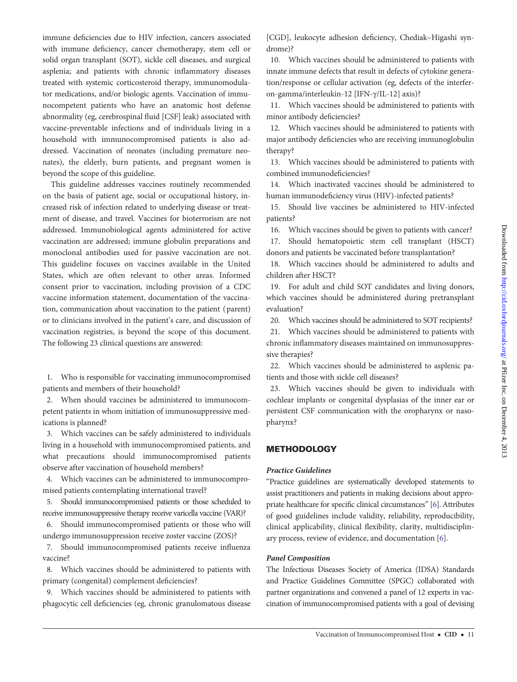immune deficiencies due to HIV infection, cancers associated with immune deficiency, cancer chemotherapy, stem cell or solid organ transplant (SOT), sickle cell diseases, and surgical asplenia; and patients with chronic inflammatory diseases treated with systemic corticosteroid therapy, immunomodulator medications, and/or biologic agents. Vaccination of immunocompetent patients who have an anatomic host defense abnormality (eg, cerebrospinal fluid [CSF] leak) associated with vaccine-preventable infections and of individuals living in a household with immunocompromised patients is also addressed. Vaccination of neonates (including premature neonates), the elderly, burn patients, and pregnant women is beyond the scope of this guideline.

This guideline addresses vaccines routinely recommended on the basis of patient age, social or occupational history, increased risk of infection related to underlying disease or treatment of disease, and travel. Vaccines for bioterrorism are not addressed. Immunobiological agents administered for active vaccination are addressed; immune globulin preparations and monoclonal antibodies used for passive vaccination are not. This guideline focuses on vaccines available in the United States, which are often relevant to other areas. Informed consent prior to vaccination, including provision of a CDC vaccine information statement, documentation of the vaccination, communication about vaccination to the patient ( parent) or to clinicians involved in the patient's care, and discussion of vaccination registries, is beyond the scope of this document. The following 23 clinical questions are answered:

1. Who is responsible for vaccinating immunocompromised patients and members of their household?

2. When should vaccines be administered to immunocompetent patients in whom initiation of immunosuppressive medications is planned?

3. Which vaccines can be safely administered to individuals living in a household with immunocompromised patients, and what precautions should immunocompromised patients observe after vaccination of household members?

4. Which vaccines can be administered to immunocompromised patients contemplating international travel?

5. Should immunocompromised patients or those scheduled to receive immunosuppressive therapy receive varicella vaccine (VAR)?

6. Should immunocompromised patients or those who will undergo immunosuppression receive zoster vaccine (ZOS)?

7. Should immunocompromised patients receive influenza vaccine?

8. Which vaccines should be administered to patients with primary (congenital) complement deficiencies?

9. Which vaccines should be administered to patients with phagocytic cell deficiencies (eg, chronic granulomatous disease [CGD], leukocyte adhesion deficiency, Chediak–Higashi syndrome)?

10. Which vaccines should be administered to patients with innate immune defects that result in defects of cytokine generation/response or cellular activation (eg, defects of the interferon-gamma/interleukin-12 [IFN-γ/IL-12] axis)?

11. Which vaccines should be administered to patients with minor antibody deficiencies?

12. Which vaccines should be administered to patients with major antibody deficiencies who are receiving immunoglobulin therapy?

13. Which vaccines should be administered to patients with combined immunodeficiencies?

14. Which inactivated vaccines should be administered to human immunodeficiency virus (HIV)-infected patients?

15. Should live vaccines be administered to HIV-infected patients?

16. Which vaccines should be given to patients with cancer?

17. Should hematopoietic stem cell transplant (HSCT) donors and patients be vaccinated before transplantation?

18. Which vaccines should be administered to adults and children after HSCT?

19. For adult and child SOT candidates and living donors, which vaccines should be administered during pretransplant evaluation?

20. Which vaccines should be administered to SOT recipients? 21. Which vaccines should be administered to patients with

chronic inflammatory diseases maintained on immunosuppressive therapies?

22. Which vaccines should be administered to asplenic patients and those with sickle cell diseases?

23. Which vaccines should be given to individuals with cochlear implants or congenital dysplasias of the inner ear or persistent CSF communication with the oropharynx or nasopharynx?

# **METHODOLOGY**

#### Practice Guidelines

"Practice guidelines are systematically developed statements to assist practitioners and patients in making decisions about appropriate healthcare for specific clinical circumstances" [\[6\]](#page-43-0). Attributes of good guidelines include validity, reliability, reproducibility, clinical applicability, clinical flexibility, clarity, multidisciplinary process, review of evidence, and documentation [[6\]](#page-43-0).

## Panel Composition

The Infectious Diseases Society of America (IDSA) Standards and Practice Guidelines Committee (SPGC) collaborated with partner organizations and convened a panel of 12 experts in vaccination of immunocompromised patients with a goal of devising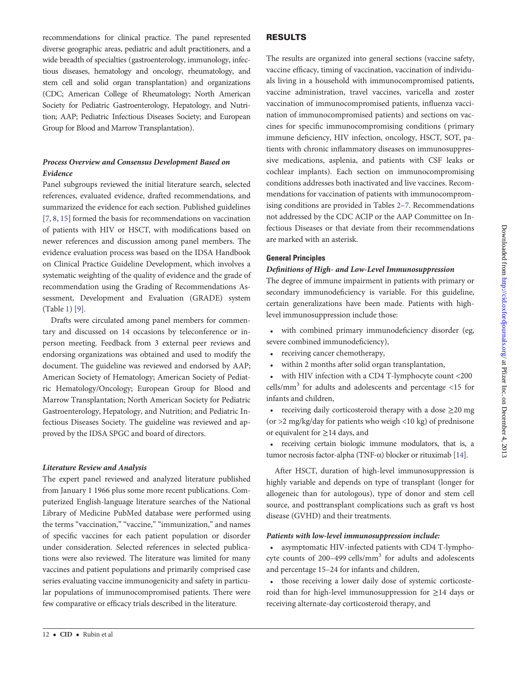recommendations for clinical practice. The panel represented diverse geographic areas, pediatric and adult practitioners, and a wide breadth of specialties (gastroenterology, immunology, infectious diseases, hematology and oncology, rheumatology, and stem cell and solid organ transplantation) and organizations (CDC; American College of Rheumatology; North American Society for Pediatric Gastroenterology, Hepatology, and Nutrition; AAP; Pediatric Infectious Diseases Society; and European Group for Blood and Marrow Transplantation).

# Process Overview and Consensus Development Based on Evidence

Panel subgroups reviewed the initial literature search, selected references, evaluated evidence, drafted recommendations, and summarized the evidence for each section. Published guidelines [\[7,](#page-43-0) [8](#page-43-0), [15](#page-43-0)] formed the basis for recommendations on vaccination of patients with HIV or HSCT, with modifications based on newer references and discussion among panel members. The evidence evaluation process was based on the IDSA Handbook on Clinical Practice Guideline Development, which involves a systematic weighting of the quality of evidence and the grade of recommendation using the Grading of Recommendations Assessment, Development and Evaluation (GRADE) system (Table [1\)](#page-1-0) [[9](#page-43-0)].

Drafts were circulated among panel members for commentary and discussed on 14 occasions by teleconference or inperson meeting. Feedback from 3 external peer reviews and endorsing organizations was obtained and used to modify the document. The guideline was reviewed and endorsed by AAP; American Society of Hematology; American Society of Pediatric Hematology/Oncology; European Group for Blood and Marrow Transplantation; North American Society for Pediatric Gastroenterology, Hepatology, and Nutrition; and Pediatric Infectious Diseases Society. The guideline was reviewed and approved by the IDSA SPGC and board of directors.

## Literature Review and Analysis

The expert panel reviewed and analyzed literature published from January 1 1966 plus some more recent publications. Computerized English-language literature searches of the National Library of Medicine PubMed database were performed using the terms "vaccination," "vaccine," "immunization," and names of specific vaccines for each patient population or disorder under consideration. Selected references in selected publications were also reviewed. The literature was limited for many vaccines and patient populations and primarily comprised case series evaluating vaccine immunogenicity and safety in particular populations of immunocompromised patients. There were few comparative or efficacy trials described in the literature.

# RESULTS

The results are organized into general sections (vaccine safety, vaccine efficacy, timing of vaccination, vaccination of individuals living in a household with immunocompromised patients, vaccine administration, travel vaccines, varicella and zoster vaccination of immunocompromised patients, influenza vaccination of immunocompromised patients) and sections on vaccines for specific immunocompromising conditions ( primary immune deficiency, HIV infection, oncology, HSCT, SOT, patients with chronic inflammatory diseases on immunosuppressive medications, asplenia, and patients with CSF leaks or cochlear implants). Each section on immunocompromising conditions addresses both inactivated and live vaccines. Recommendations for vaccination of patients with immunocompromising conditions are provided in Tables [2](#page-12-0)–[7.](#page-17-0) Recommendations not addressed by the CDC ACIP or the AAP Committee on Infectious Diseases or that deviate from their recommendations are marked with an asterisk.

# General Principles

#### Definitions of High- and Low-Level Immunosuppression

The degree of immune impairment in patients with primary or secondary immunodeficiency is variable. For this guideline, certain generalizations have been made. Patients with highlevel immunosuppression include those:

• with combined primary immunodeficiency disorder (eg, severe combined immunodeficiency),

- receiving cancer chemotherapy,
- within 2 months after solid organ transplantation,

• with HIV infection with a CD4 T-lymphocyte count <200 cells/mm<sup>3</sup> for adults and adolescents and percentage <15 for infants and children,

• receiving daily corticosteroid therapy with a dose  $\geq$ 20 mg (or >2 mg/kg/day for patients who weigh <10 kg) of prednisone or equivalent for ≥14 days, and

• receiving certain biologic immune modulators, that is, a tumor necrosis factor-alpha (TNF-α) blocker or rituximab [[14\]](#page-43-0).

After HSCT, duration of high-level immunosuppression is highly variable and depends on type of transplant (longer for allogeneic than for autologous), type of donor and stem cell source, and posttransplant complications such as graft vs host disease (GVHD) and their treatments.

## Patients with low-level immunosuppression include:

• asymptomatic HIV-infected patients with CD4 T-lymphocyte counts of  $200-499$  cells/mm<sup>3</sup> for adults and adolescents and percentage 15–24 for infants and children,

• those receiving a lower daily dose of systemic corticosteroid than for high-level immunosuppression for ≥14 days or receiving alternate-day corticosteroid therapy, and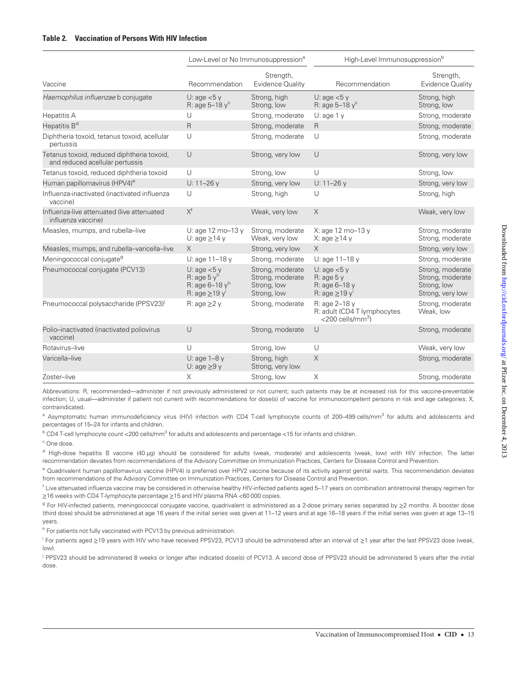<span id="page-12-0"></span>

|                                                                               |                                                                          | Low-Level or No Immunosuppression <sup>a</sup>                     | High-Level Immunosuppression <sup>b</sup>                                       |                                                                         |
|-------------------------------------------------------------------------------|--------------------------------------------------------------------------|--------------------------------------------------------------------|---------------------------------------------------------------------------------|-------------------------------------------------------------------------|
| Vaccine                                                                       | Recommendation                                                           | Strength,<br>Evidence Quality                                      | Recommendation                                                                  | Strength,<br><b>Evidence Quality</b>                                    |
| Haemophilus influenzae b conjugate                                            | U: age $< 5y$<br>R: age $5-18y$ <sup>c</sup>                             | Strong, high<br>Strong, low                                        | U: age $< 5v$<br>R: age $5-18y$ <sup>c</sup>                                    | Strong, high<br>Strong, low                                             |
| Hepatitis A                                                                   | U                                                                        | Strong, moderate                                                   | U: age $1y$                                                                     | Strong, moderate                                                        |
| Hepatitis B <sup>d</sup>                                                      | $\overline{R}$                                                           | Strong, moderate                                                   | $\mathsf{R}$                                                                    | Strong, moderate                                                        |
| Diphtheria toxoid, tetanus toxoid, acellular<br>pertussis                     | $\cup$                                                                   | Strong, moderate                                                   | U                                                                               | Strong, moderate                                                        |
| Tetanus toxoid, reduced diphtheria toxoid,<br>and reduced acellular pertussis | $\cup$                                                                   | Strong, very low                                                   | U                                                                               | Strong, very low                                                        |
| Tetanus toxoid, reduced diphtheria toxoid                                     | $\cup$                                                                   | Strong, low                                                        | U                                                                               | Strong, low                                                             |
| Human papillomavirus (HPV4) <sup>e</sup>                                      | $U: 11 - 26y$                                                            | Strong, very low                                                   | $U: 11 - 26$ y                                                                  | Strong, very low                                                        |
| Influenza-inactivated (inactivated influenza<br>vaccine)                      | U                                                                        | Strong, high                                                       | U                                                                               | Strong, high                                                            |
| Influenza-live attenuated (live attenuated<br>influenza vaccine)              | $X^f$                                                                    | Weak, very low                                                     | $\times$                                                                        | Weak, very low                                                          |
| Measles, mumps, and rubella-live                                              | U: age 12 mo-13 y<br>U: age $\geq$ 14 y                                  | Strong, moderate<br>Weak, very low                                 | X: age 12 mo-13 y<br>X: age $\geq$ 14 y                                         | Strong, moderate<br>Strong, moderate                                    |
| Measles, mumps, and rubella-varicella-live                                    | $\times$                                                                 | Strong, very low                                                   | $\times$                                                                        | Strong, very low                                                        |
| Meningococcal conjugate <sup>9</sup>                                          | U: age 11-18 y                                                           | Strong, moderate                                                   | U: age 11-18 y                                                                  | Strong, moderate                                                        |
| Pneumococcal conjugate (PCV13)                                                | U: age $< 5y$<br>R: age $5y^h$<br>R: age 6-18 $yn$<br>R: age $\geq$ 19 y | Strong, moderate<br>Strong, moderate<br>Strong, low<br>Strong, low | U: age $< 5v$<br>R:age 5 y<br>R: age 6-18 y<br>R: age $\geq$ 19 y <sup>i</sup>  | Strong, moderate<br>Strong, moderate<br>Strong, low<br>Strong, very low |
| Pneumococcal polysaccharide (PPSV23) <sup>1</sup>                             | R: age $\geq$ 2 y                                                        | Strong, moderate                                                   | R: age 2-18 y<br>R: adult (CD4 T lymphocytes<br>$<$ 200 cells/mm <sup>3</sup> ) | Strong, moderate<br>Weak, low                                           |
| Polio-inactivated (inactivated poliovirus<br>vaccine)                         | U                                                                        | Strong, moderate                                                   | U                                                                               | Strong, moderate                                                        |
| Rotavirus-live                                                                | U                                                                        | Strong, low                                                        | U                                                                               | Weak, very low                                                          |
| Varicella-live                                                                | U: age $1-8y$<br>U: age $\geq 9$ y                                       | Strong, high<br>Strong, very low                                   | $\times$                                                                        | Strong, moderate                                                        |
| Zoster-live                                                                   | X                                                                        | Strong, low                                                        | X                                                                               | Strong, moderate                                                        |

Abbreviations: R, recommended—administer if not previously administered or not current; such patients may be at increased risk for this vaccine-preventable infection; U, usual—administer if patient not current with recommendations for dose(s) of vaccine for immunocompetent persons in risk and age categories; X, contraindicated.

<sup>a</sup> Asymptomatic human immunodeficiency virus (HIV) infection with CD4 T-cell lymphocyte counts of 200-499 cells/mm<sup>3</sup> for adults and adolescents and percentages of 15–24 for infants and children.

 $b$  CD4 T-cell lymphocyte count <200 cells/mm<sup>3</sup> for adults and adolescents and percentage <15 for infants and children.

<sup>c</sup> One dose.

 $d$  High-dose hepatitis B vaccine (40 µg) should be considered for adults (weak, moderate) and adolescents (weak, low) with HIV infection. The latter recommendation deviates from recommendations of the Advisory Committee on Immunization Practices, Centers for Disease Control and Prevention.

e Quadrivalent human papillomavirus vaccine (HPV4) is preferred over HPV2 vaccine because of its activity against genital warts. This recommendation deviates from recommendations of the Advisory Committee on Immunization Practices, Centers for Disease Control and Prevention.

f Live attenuated influenza vaccine may be considered in otherwise healthy HIV-infected patients aged 5–17 years on combination antiretroviral therapy regimen for ≥16 weeks with CD4 T-lymphocyte percentage ≥15 and HIV plasma RNA <60 000 copies.

<sup>g</sup> For HIV-infected patients, meningococcal conjugate vaccine, quadrivalent is administered as a 2-dose primary series separated by ≥2 months. A booster dose (third dose) should be administered at age 16 years if the initial series was given at 11–12 years and at age 16–18 years if the initial series was given at age 13–15 years.

h For patients not fully vaccinated with PCV13 by previous administration.

i For patients aged ≥19 years with HIV who have received PPSV23, PCV13 should be administered after an interval of ≥1 year after the last PPSV23 dose (weak, low).

j PPSV23 should be administered 8 weeks or longer after indicated dose(s) of PCV13. A second dose of PPSV23 should be administered 5 years after the initial dose.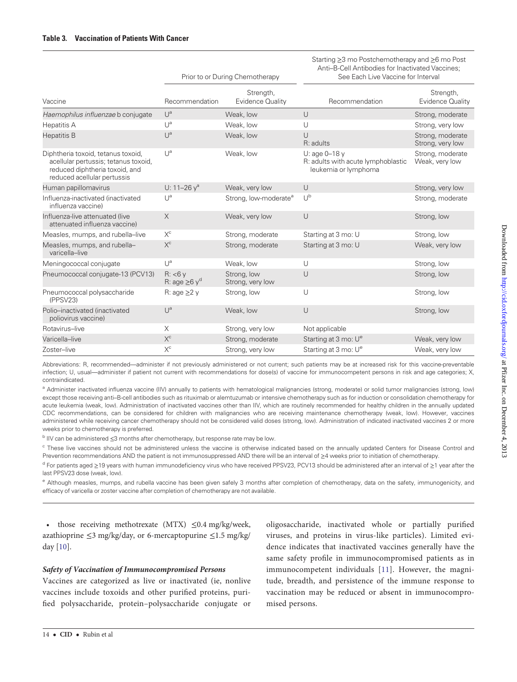<span id="page-13-0"></span>

|                                                                                                                                             |                                           | Prior to or During Chemotherapy      | Starting ≥3 mo Postchemotherapy and ≥6 mo Post<br>Anti-B-Cell Antibodies for Inactivated Vaccines;<br>See Each Live Vaccine for Interval |                                      |  |
|---------------------------------------------------------------------------------------------------------------------------------------------|-------------------------------------------|--------------------------------------|------------------------------------------------------------------------------------------------------------------------------------------|--------------------------------------|--|
| Vaccine                                                                                                                                     | Recommendation                            | Strength,<br><b>Evidence Quality</b> | Recommendation                                                                                                                           | Strength,<br><b>Evidence Quality</b> |  |
| Haemophilus influenzae b conjugate                                                                                                          | $U^a$                                     | Weak, low                            | $\cup$                                                                                                                                   | Strong, moderate                     |  |
| Hepatitis A                                                                                                                                 | $\mathsf{L}^{\mathsf{a}}$                 | Weak, low                            | U                                                                                                                                        | Strong, very low                     |  |
| Hepatitis B                                                                                                                                 | $U^a$                                     | Weak, low                            | $\cup$<br>R: adults                                                                                                                      | Strong, moderate<br>Strong, very low |  |
| Diphtheria toxoid, tetanus toxoid,<br>acellular pertussis; tetanus toxoid,<br>reduced diphtheria toxoid, and<br>reduced acellular pertussis | $U^a$                                     | Weak, low                            | U: age $0-18y$<br>R: adults with acute lymphoblastic<br>leukemia or lymphoma                                                             | Strong, moderate<br>Weak, very low   |  |
| Human papillomavirus                                                                                                                        | U: $11 - 26y^a$                           | Weak, very low                       | $\cup$                                                                                                                                   | Strong, very low                     |  |
| Influenza-inactivated (inactivated<br>influenza vaccine)                                                                                    | $U^a$                                     | Strong, low-moderate <sup>a</sup>    | U <sup>b</sup>                                                                                                                           | Strong, moderate                     |  |
| Influenza-live attenuated (live<br>attenuated influenza vaccine)                                                                            | $\times$                                  | Weak, very low                       | $\cup$                                                                                                                                   | Strong, low                          |  |
| Measles, mumps, and rubella-live                                                                                                            | $X^c$                                     | Strong, moderate                     | Starting at 3 mo: U                                                                                                                      | Strong, low                          |  |
| Measles, mumps, and rubella-<br>varicella-live                                                                                              | $X^c$                                     | Strong, moderate                     | Starting at 3 mo: U                                                                                                                      | Weak, very low                       |  |
| Meningococcal conjugate                                                                                                                     | $U^a$                                     | Weak, low                            | U                                                                                                                                        | Strong, low                          |  |
| Pneumococcal conjugate-13 (PCV13)                                                                                                           | R: < 6V<br>R: age $\geq 6$ y <sup>d</sup> | Strong, low<br>Strong, very low      | $\cup$                                                                                                                                   | Strong, low                          |  |
| Pneumococcal polysaccharide<br>(PPSV23)                                                                                                     | R: age $\geq$ 2 y                         | Strong, low                          | $\cup$                                                                                                                                   | Strong, low                          |  |
| Polio-inactivated (inactivated<br>poliovirus vaccine)                                                                                       | $U^a$                                     | Weak, low                            | $\cup$                                                                                                                                   | Strong, low                          |  |
| Rotavirus-live                                                                                                                              | $\times$                                  | Strong, very low                     | Not applicable                                                                                                                           |                                      |  |
| Varicella-live                                                                                                                              | $X^c$                                     | Strong, moderate                     | Starting at 3 mo: U <sup>e</sup>                                                                                                         | Weak, very low                       |  |
| Zoster-live                                                                                                                                 | $X^c$                                     | Strong, very low                     | Starting at 3 mo: U <sup>e</sup>                                                                                                         | Weak, very low                       |  |

Abbreviations: R, recommended—administer if not previously administered or not current; such patients may be at increased risk for this vaccine-preventable infection; U, usual—administer if patient not current with recommendations for dose(s) of vaccine for immunocompetent persons in risk and age categories; X, contraindicated.

<sup>a</sup> Administer inactivated influenza vaccine (IIV) annually to patients with hematological malignancies (strong, moderate) or solid tumor malignancies (strong, low) except those receiving anti–B-cell antibodies such as rituximab or alemtuzumab or intensive chemotherapy such as for induction or consolidation chemotherapy for acute leukemia (weak, low). Administration of inactivated vaccines other than IIV, which are routinely recommended for healthy children in the annually updated CDC recommendations, can be considered for children with malignancies who are receiving maintenance chemotherapy (weak, low). However, vaccines administered while receiving cancer chemotherapy should not be considered valid doses (strong, low). Administration of indicated inactivated vaccines 2 or more weeks prior to chemotherapy is preferred.

<sup>b</sup> IIV can be administered ≤3 months after chemotherapy, but response rate may be low.

<sup>c</sup> These live vaccines should not be administered unless the vaccine is otherwise indicated based on the annually updated Centers for Disease Control and Prevention recommendations AND the patient is not immunosuppressed AND there will be an interval of ≥4 weeks prior to initiation of chemotherapy.

<sup>d</sup> For patients aged ≥19 years with human immunodeficiency virus who have received PPSV23, PCV13 should be administered after an interval of ≥1 year after the last PPSV23 dose (weak, low).

<sup>e</sup> Although measles, mumps, and rubella vaccine has been given safely 3 months after completion of chemotherapy, data on the safety, immunogenicity, and efficacy of varicella or zoster vaccine after completion of chemotherapy are not available.

• those receiving methotrexate (MTX)  $\leq$ 0.4 mg/kg/week, azathioprine  $\leq$ 3 mg/kg/day, or 6-mercaptopurine  $\leq$ 1.5 mg/kg/ day [[10\]](#page-43-0).

#### Safety of Vaccination of Immunocompromised Persons

Vaccines are categorized as live or inactivated (ie, nonlive vaccines include toxoids and other purified proteins, purified polysaccharide, protein–polysaccharide conjugate or oligosaccharide, inactivated whole or partially purified viruses, and proteins in virus-like particles). Limited evidence indicates that inactivated vaccines generally have the same safety profile in immunocompromised patients as in immunocompetent individuals [[11\]](#page-43-0). However, the magnitude, breadth, and persistence of the immune response to vaccination may be reduced or absent in immunocompromised persons.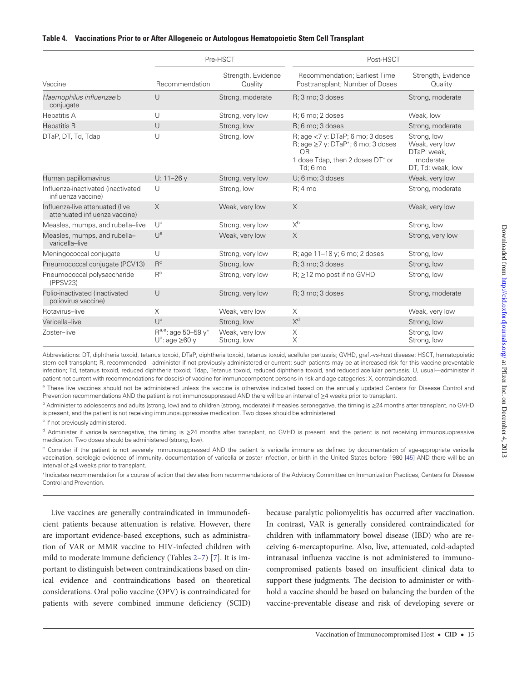#### <span id="page-14-0"></span>Table 4. Vaccinations Prior to or After Allogeneic or Autologous Hematopoietic Stem Cell Transplant

|                                                                  |                                                            | Pre-HSCT                      | Post-HSCT                                                                                                                                                     |                                                                               |  |
|------------------------------------------------------------------|------------------------------------------------------------|-------------------------------|---------------------------------------------------------------------------------------------------------------------------------------------------------------|-------------------------------------------------------------------------------|--|
| Vaccine                                                          | Recommendation                                             | Strength, Evidence<br>Quality | Recommendation; Earliest Time<br>Posttransplant; Number of Doses                                                                                              | Strength, Evidence<br>Quality                                                 |  |
| Haemophilus influenzae b<br>conjugate                            | $\cup$                                                     | Strong, moderate              | R; 3 mo; 3 doses                                                                                                                                              | Strong, moderate                                                              |  |
| <b>Hepatitis A</b>                                               | U                                                          | Strong, very low              | R; 6 mo; 2 doses                                                                                                                                              | Weak, low                                                                     |  |
| <b>Hepatitis B</b>                                               | $\cup$                                                     | Strong, low                   | R; 6 mo; 3 doses                                                                                                                                              | Strong, moderate                                                              |  |
| DTaP, DT, Td, Tdap                                               | U                                                          | Strong, low                   | R; age $<$ 7 y: DTaP; 6 mo; 3 doses<br>R; age $\geq$ 7 y: DTaP <sup>*</sup> ; 6 mo; 3 doses<br>OR<br>1 dose Tdap, then 2 doses DT <sup>*</sup> or<br>Td; 6 mo | Strong, low<br>Weak, very low<br>DTaP: weak,<br>moderate<br>DT, Td: weak, low |  |
| Human papillomavirus                                             | $U: 11 - 26y$                                              | Strong, very low              | $U$ ; 6 mo; 3 doses                                                                                                                                           | Weak, very low                                                                |  |
| Influenza-inactivated (inactivated<br>influenza vaccine)         | U                                                          | Strong, low                   | $R:4$ mo                                                                                                                                                      | Strong, moderate                                                              |  |
| Influenza-live attenuated (live<br>attenuated influenza vaccine) | $\times$                                                   | Weak, very low                | $\times$                                                                                                                                                      | Weak, very low                                                                |  |
| Measles, mumps, and rubella-live                                 | $U^a$                                                      | Strong, very low              | $\mathsf{X}^{\mathsf{b}}$                                                                                                                                     | Strong, low                                                                   |  |
| Measles, mumps, and rubella-<br>varicella-live                   | $U^a$                                                      | Weak, very low                | $\mathsf X$                                                                                                                                                   | Strong, very low                                                              |  |
| Meningococcal conjugate                                          | U                                                          | Strong, very low              | R; age 11-18 y; 6 mo; 2 doses                                                                                                                                 | Strong, low                                                                   |  |
| Pneumococcal conjugate (PCV13)                                   | R <sup>c</sup>                                             | Strong, low                   | R: 3 mo: 3 doses                                                                                                                                              | Strong, low                                                                   |  |
| Pneumococcal polysaccharide<br>(PPSV23)                          | R <sup>c</sup>                                             | Strong, very low              | $R$ ; $\geq$ 12 mo post if no GVHD                                                                                                                            | Strong, low                                                                   |  |
| Polio-inactivated (inactivated<br>poliovirus vaccine)            | U                                                          | Strong, very low              | R; 3 mo; 3 doses                                                                                                                                              | Strong, moderate                                                              |  |
| Rotavirus-live                                                   | $\times$                                                   | Weak, very low                | $\times$                                                                                                                                                      | Weak, very low                                                                |  |
| Varicella-live                                                   | $U^a$                                                      | Strong, low                   | $X^d$                                                                                                                                                         | Strong, low                                                                   |  |
| Zoster-live                                                      | R <sup>a,e</sup> ; age 50-59 v*<br>$U^a$ : age $\geq 60$ y | Weak, very low<br>Strong, low | Χ<br>$\times$                                                                                                                                                 | Strong, low<br>Strong, low                                                    |  |

Abbreviations: DT, diphtheria toxoid, tetanus toxoid, DTaP, diphtheria toxoid, tetanus toxoid, acellular pertussis; GVHD, graft-vs-host disease; HSCT, hematopoietic stem cell transplant; R, recommended—administer if not previously administered or current; such patients may be at increased risk for this vaccine-preventable infection; Td, tetanus toxoid, reduced diphtheria toxoid; Tdap, Tetanus toxoid, reduced diphtheria toxoid, and reduced acellular pertussis; U, usual—administer if patient not current with recommendations for dose(s) of vaccine for immunocompetent persons in risk and age categories; X, contraindicated.

a These live vaccines should not be administered unless the vaccine is otherwise indicated based on the annually updated Centers for Disease Control and Prevention recommendations AND the patient is not immunosuppressed AND there will be an interval of ≥4 weeks prior to transplant.

<sup>b</sup> Administer to adolescents and adults (strong, low) and to children (strong, moderate) if measles seronegative, the timing is ≥24 months after transplant, no GVHD is present, and the patient is not receiving immunosuppressive medication. Two doses should be administered.

<sup>c</sup> If not previously administered.

 $d$  Administer if varicella seronegative, the timing is  $\geq$ 24 months after transplant, no GVHD is present, and the patient is not receiving immunosuppressive medication. Two doses should be administered (strong, low).

e Consider if the patient is not severely immunosuppressed AND the patient is varicella immune as defined by documentation of age-appropriate varicella vaccination, serologic evidence of immunity, documentation of varicella or zoster infection, or birth in the United States before 1980 [[45\]](#page-44-0) AND there will be an interval of ≥4 weeks prior to transplant.

Indicates recommendation for a course of action that deviates from recommendations of the Advisory Committee on Immunization Practices, Centers for Disease Control and Prevention.

Live vaccines are generally contraindicated in immunodeficient patients because attenuation is relative. However, there are important evidence-based exceptions, such as administration of VAR or MMR vaccine to HIV-infected children with mild to moderate immune deficiency (Tables [2](#page-12-0)–[7\)](#page-17-0) [[7\]](#page-43-0). It is important to distinguish between contraindications based on clinical evidence and contraindications based on theoretical considerations. Oral polio vaccine (OPV) is contraindicated for patients with severe combined immune deficiency (SCID) because paralytic poliomyelitis has occurred after vaccination. In contrast, VAR is generally considered contraindicated for children with inflammatory bowel disease (IBD) who are receiving 6-mercaptopurine. Also, live, attenuated, cold-adapted intranasal influenza vaccine is not administered to immunocompromised patients based on insufficient clinical data to support these judgments. The decision to administer or withhold a vaccine should be based on balancing the burden of the vaccine-preventable disease and risk of developing severe or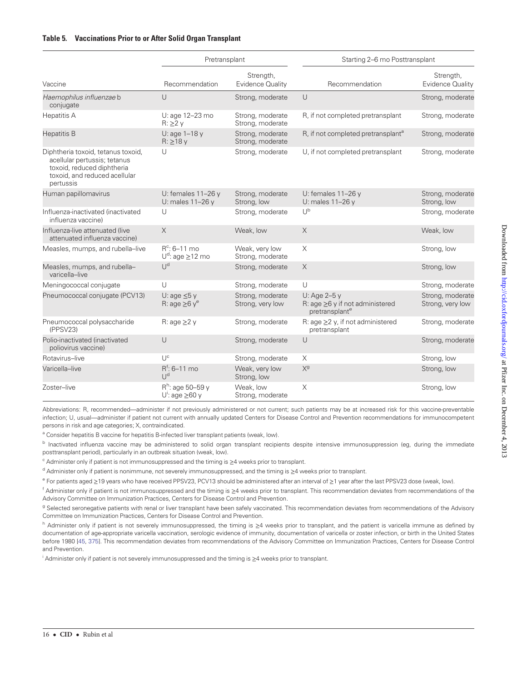#### <span id="page-15-0"></span>Table 5. Vaccinations Prior to or After Solid Organ Transplant

|                                                                                                                                                | Pretransplant                                                    |                                      | Starting 2-6 mo Posttransplant                                                       |                                      |  |
|------------------------------------------------------------------------------------------------------------------------------------------------|------------------------------------------------------------------|--------------------------------------|--------------------------------------------------------------------------------------|--------------------------------------|--|
| Vaccine                                                                                                                                        | Recommendation                                                   | Strength,<br><b>Evidence Quality</b> | Recommendation                                                                       | Strength,<br><b>Evidence Quality</b> |  |
| Haemophilus influenzae b<br>conjugate                                                                                                          | U                                                                | Strong, moderate                     | $\cup$                                                                               | Strong, moderate                     |  |
| <b>Hepatitis A</b>                                                                                                                             | U: age 12-23 mo<br>$R: \geq 2$ y                                 | Strong, moderate<br>Strong, moderate | R, if not completed pretransplant                                                    | Strong, moderate                     |  |
| <b>Hepatitis B</b>                                                                                                                             | U: age 1-18 y<br>$R: \geq 18$ y                                  | Strong, moderate<br>Strong, moderate | R, if not completed pretransplant <sup>a</sup>                                       | Strong, moderate                     |  |
| Diphtheria toxoid, tetanus toxoid,<br>acellular pertussis; tetanus<br>toxoid, reduced diphtheria<br>toxoid, and reduced acellular<br>pertussis | $\cup$                                                           | Strong, moderate                     | U, if not completed pretransplant                                                    | Strong, moderate                     |  |
| Human papillomavirus                                                                                                                           | U: females $11-26y$<br>U: males 11-26 y                          | Strong, moderate<br>Strong, low      | U: females $11-26y$<br>U: males 11-26 y                                              | Strong, moderate<br>Strong, low      |  |
| Influenza-inactivated (inactivated<br>influenza vaccine)                                                                                       | U                                                                | Strong, moderate                     | U <sup>b</sup>                                                                       | Strong, moderate                     |  |
| Influenza-live attenuated (live<br>attenuated influenza vaccine)                                                                               | $\times$                                                         | Weak, low                            | $\times$                                                                             | Weak, low                            |  |
| Measles, mumps, and rubella-live                                                                                                               | $R^c: 6-11$ mo<br>$U^{d}$ : age $\geq$ 12 mo                     | Weak, very low<br>Strong, moderate   | $\times$                                                                             | Strong, low                          |  |
| Measles, mumps, and rubella-<br>varicella-live                                                                                                 | $U^d$                                                            | Strong, moderate                     | $\times$                                                                             | Strong, low                          |  |
| Meningococcal conjugate                                                                                                                        | U                                                                | Strong, moderate                     | U                                                                                    | Strong, moderate                     |  |
| Pneumococcal conjugate (PCV13)                                                                                                                 | U: age $\leq 5$ y<br>R: age $\geq 6$ y <sup>e</sup>              | Strong, moderate<br>Strong, very low | U: Age $2-5y$<br>R: age $\geq$ 6 y if not administered<br>pretransplant <sup>e</sup> | Strong, moderate<br>Strong, very low |  |
| Pneumococcal polysaccharide<br>(PPSV23)                                                                                                        | R: age $\geq$ 2 y                                                | Strong, moderate                     | R: age $\geq$ 2 y, if not administered<br>pretransplant                              | Strong, moderate                     |  |
| Polio-inactivated (inactivated<br>poliovirus vaccine)                                                                                          | U                                                                | Strong, moderate                     | $\cup$                                                                               | Strong, moderate                     |  |
| Rotavirus-live                                                                                                                                 | $U^c$                                                            | Strong, moderate                     | Χ                                                                                    | Strong, low                          |  |
| Varicella-live                                                                                                                                 | $R^f$ : 6-11 mo<br>$\mathsf{U}^{\mathsf{d}}$                     | Weak, very low<br>Strong, low        | $X^g$                                                                                | Strong, low                          |  |
| Zoster-live                                                                                                                                    | R <sup>h</sup> : age 50-59 y<br>U <sup>i</sup> : age $\geq$ 60 y | Weak, low<br>Strong, moderate        | $\times$                                                                             | Strong, low                          |  |

Abbreviations: R, recommended—administer if not previously administered or not current; such patients may be at increased risk for this vaccine-preventable infection; U, usual—administer if patient not current with annually updated Centers for Disease Control and Prevention recommendations for immunocompetent persons in risk and age categories; X, contraindicated.

<sup>a</sup> Consider hepatitis B vaccine for hepatitis B-infected liver transplant patients (weak, low).

<sup>b</sup> Inactivated influenza vaccine may be administered to solid organ transplant recipients despite intensive immunosuppression (eg, during the immediate posttransplant period), particularly in an outbreak situation (weak, low).

 $c$  Administer only if patient is not immunosuppressed and the timing is  $\geq$ 4 weeks prior to transplant.

<sup>d</sup> Administer only if patient is nonimmune, not severely immunosuppressed, and the timing is ≥4 weeks prior to transplant.

<sup>e</sup> For patients aged ≥19 years who have received PPSV23, PCV13 should be administered after an interval of ≥1 year after the last PPSV23 dose (weak, low).

<sup>f</sup> Administer only if patient is not immunosuppressed and the timing is ≥4 weeks prior to transplant. This recommendation deviates from recommendations of the Advisory Committee on Immunization Practices, Centers for Disease Control and Prevention.

<sup>g</sup> Selected seronegative patients with renal or liver transplant have been safely vaccinated. This recommendation deviates from recommendations of the Advisory Committee on Immunization Practices, Centers for Disease Control and Prevention.

<sup>h</sup> Administer only if patient is not severely immunosuppressed, the timing is ≥4 weeks prior to transplant, and the patient is varicella immune as defined by documentation of age-appropriate varicella vaccination, serologic evidence of immunity, documentation of varicella or zoster infection, or birth in the United States before 1980 [[45,](#page-44-0) [375](#page-52-0)]. This recommendation deviates from recommendations of the Advisory Committee on Immunization Practices, Centers for Disease Control and Prevention.

i Administer only if patient is not severely immunosuppressed and the timing is ≥4 weeks prior to transplant.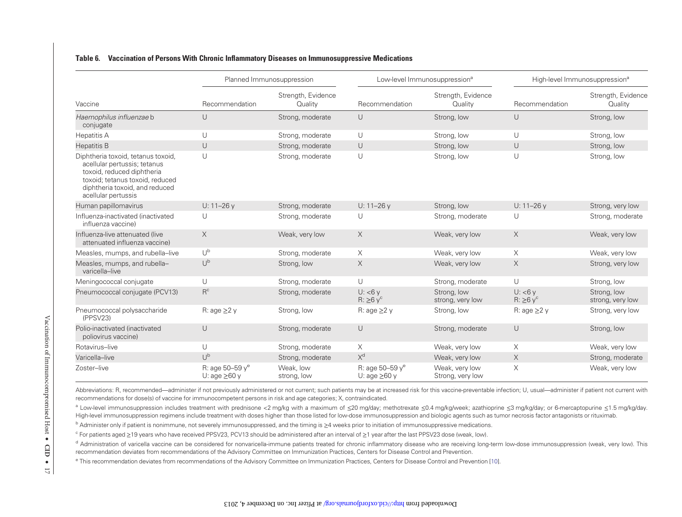|                                                                                                                                                                                              | Planned Immunosuppression                 |                               | Low-level Immunosuppression <sup>a</sup>  |                                    | High-level Immunosuppression <sup>a</sup> |                                 |
|----------------------------------------------------------------------------------------------------------------------------------------------------------------------------------------------|-------------------------------------------|-------------------------------|-------------------------------------------|------------------------------------|-------------------------------------------|---------------------------------|
| Vaccine                                                                                                                                                                                      | Recommendation                            | Strength, Evidence<br>Quality | Recommendation                            | Strength, Evidence<br>Quality      | Recommendation                            | Strength, Evidence<br>Quality   |
| Haemophilus influenzae b<br>conjugate                                                                                                                                                        | $\cup$                                    | Strong, moderate              | $\cup$                                    | Strong, low                        | U                                         | Strong, low                     |
| <b>Hepatitis A</b>                                                                                                                                                                           | U                                         | Strong, moderate              | U                                         | Strong, low                        | U                                         | Strong, low                     |
| <b>Hepatitis B</b>                                                                                                                                                                           | U                                         | Strong, moderate              | $\cup$                                    | Strong, low                        | U                                         | Strong, low                     |
| Diphtheria toxoid, tetanus toxoid,<br>acellular pertussis; tetanus<br>toxoid, reduced diphtheria<br>toxoid: tetanus toxoid, reduced<br>diphtheria toxoid, and reduced<br>acellular pertussis | $\cup$                                    | Strong, moderate              | U                                         | Strong, low                        | U                                         | Strong, low                     |
| Human papillomavirus                                                                                                                                                                         | $U: 11 - 26$ y                            | Strong, moderate              | $U: 11 - 26$ v                            | Strong, low                        | $U: 11 - 26y$                             | Strong, very low                |
| Influenza-inactivated (inactivated<br>influenza vaccine)                                                                                                                                     | U                                         | Strong, moderate              | U                                         | Strong, moderate                   | U                                         | Strong, moderate                |
| Influenza-live attenuated (live<br>attenuated influenza vaccine)                                                                                                                             | $\times$                                  | Weak, very low                | $\times$                                  | Weak, very low                     | $\times$                                  | Weak, very low                  |
| Measles, mumps, and rubella-live                                                                                                                                                             | $U^{\rm b}$                               | Strong, moderate              | $\times$                                  | Weak, very low                     | $\times$                                  | Weak, very low                  |
| Measles, mumps, and rubella-<br>varicella-live                                                                                                                                               | $U^b$                                     | Strong, low                   | $\times$                                  | Weak, very low                     | $\mathsf X$                               | Strong, very low                |
| Meningococcal conjugate                                                                                                                                                                      | U                                         | Strong, moderate              | U                                         | Strong, moderate                   | U                                         | Strong, low                     |
| Pneumococcal conjugate (PCV13)                                                                                                                                                               | R <sup>c</sup>                            | Strong, moderate              | U: < 6V<br>$R: \geq 6$ y <sup>c</sup>     | Strong, low<br>strong, very low    | U: <6y<br>$R: \geq 6$ y <sup>c</sup>      | Strong, low<br>strong, very low |
| Pneumococcal polysaccharide<br>(PPSV23)                                                                                                                                                      | R: age $\geq$ 2 y                         | Strong, low                   | R: age $\geq$ 2 y                         | Strong, low                        | R: age $\geq$ 2 y                         | Strong, very low                |
| Polio-inactivated (inactivated<br>poliovirus vaccine)                                                                                                                                        | U                                         | Strong, moderate              | $\cup$                                    | Strong, moderate                   | $\cup$                                    | Strong, low                     |
| Rotavirus-live                                                                                                                                                                               | U                                         | Strong, moderate              | Χ                                         | Weak, very low                     | X                                         | Weak, very low                  |
| Varicella-live                                                                                                                                                                               | 1 <sup>b</sup>                            | Strong, moderate              | $X^d$                                     | Weak, very low                     | $\times$                                  | Strong, moderate                |
| Zoster-live                                                                                                                                                                                  | R: age $50 - 59y^e$<br>U: age $\geq 60$ y | Weak, low<br>strong, low      | R: age $50 - 59y^e$<br>U: age $\geq 60$ y | Weak, very low<br>Strong, very low | X                                         | Weak, very low                  |

## <span id="page-16-0"></span>Table 6. Vaccination of Persons With Chronic Inflammatory Diseases on Immunosuppressive Medications

Abbreviations: R, recommended—administer if not previously administered or not current; such patients may be at increased risk for this vaccine-preventable infection; U, usual—administer if patient not current with recommendations for dose(s) of vaccine for immunocompetent persons in risk and age categories; X, contraindicated.

<sup>a</sup> Low-level immunosuppression includes treatment with prednisone <2 mg/kg with a maximum of ≤20 mg/day; methotrexate ≤0.4 mg/kg/week; azathioprine ≤3 mg/kg/day; or 6-mercaptopurine ≤1.5 mg/kg/day. High-level immunosuppression regimens include treatment with doses higher than those listed for low-dose immunosuppression and biologic agents such as tumor necrosis factor antagonists or rituximab.

b Administer only if patient is nonimmune, not severely immunosuppressed, and the timing is ≥4 weeks prior to initiation of immunosuppressive medications.

c For patients aged ≥19 years who have received PPSV23, PCV13 should be administered after an interval of ≥1 year after the last PPSV23 dose (weak, low).

<sup>d</sup> Administration of varicella vaccine can be considered for nonvaricella-immune patients treated for chronic inflammatory disease who are receiving long-term low-dose immunosuppression (weak, very low). This recommendation deviates from recommendations of the Advisory Committee on Immunization Practices, Centers for Disease Control and Prevention.

e This recommendation deviates from recommendations of the Advisory Committee on Immunization Practices, Centers for Disease Control and Prevention [[10](#page-43-0)].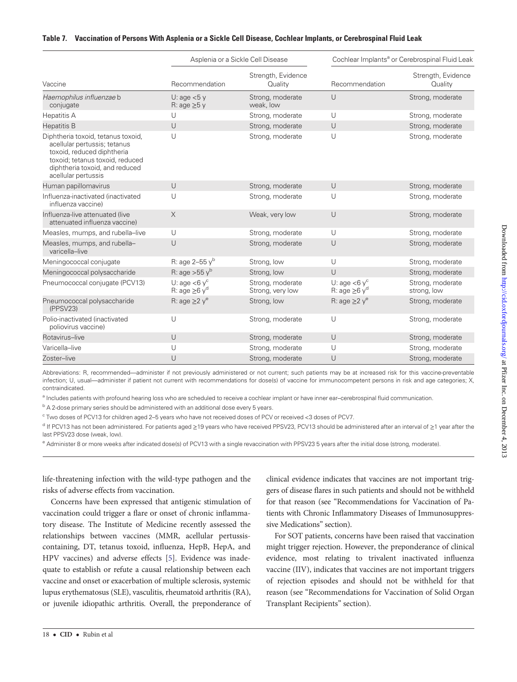#### <span id="page-17-0"></span>Table 7. Vaccination of Persons With Asplenia or a Sickle Cell Disease, Cochlear Implants, or Cerebrospinal Fluid Leak

|                                                                                                                                                                                              |                                                               | Asplenia or a Sickle Cell Disease    | Cochlear Implants <sup>a</sup> or Cerebrospinal Fluid Leak      |                                 |
|----------------------------------------------------------------------------------------------------------------------------------------------------------------------------------------------|---------------------------------------------------------------|--------------------------------------|-----------------------------------------------------------------|---------------------------------|
| Vaccine                                                                                                                                                                                      | Recommendation                                                | Strength, Evidence<br>Quality        | Recommendation                                                  | Strength, Evidence<br>Quality   |
| Haemophilus influenzae b<br>conjugate                                                                                                                                                        | U: age $< 5v$<br>R: age $\geq 5$ y                            | Strong, moderate<br>weak, low        | $\cup$                                                          | Strong, moderate                |
| <b>Hepatitis A</b>                                                                                                                                                                           | U                                                             | Strong, moderate                     | $\cup$                                                          | Strong, moderate                |
| <b>Hepatitis B</b>                                                                                                                                                                           | $\cup$                                                        | Strong, moderate                     | $\cup$                                                          | Strong, moderate                |
| Diphtheria toxoid, tetanus toxoid,<br>acellular pertussis; tetanus<br>toxoid, reduced diphtheria<br>toxoid; tetanus toxoid, reduced<br>diphtheria toxoid, and reduced<br>acellular pertussis | U                                                             | Strong, moderate                     | U                                                               | Strong, moderate                |
| Human papillomavirus                                                                                                                                                                         | $\cup$                                                        | Strong, moderate                     | $\cup$                                                          | Strong, moderate                |
| Influenza-inactivated (inactivated<br>influenza vaccine)                                                                                                                                     | U                                                             | Strong, moderate                     | U                                                               | Strong, moderate                |
| Influenza-live attenuated (live<br>attenuated influenza vaccine)                                                                                                                             | $\times$                                                      | Weak, very low                       | U                                                               | Strong, moderate                |
| Measles, mumps, and rubella-live                                                                                                                                                             | $\cup$                                                        | Strong, moderate                     | U                                                               | Strong, moderate                |
| Measles, mumps, and rubella-<br>varicella-live                                                                                                                                               | $\cup$                                                        | Strong, moderate                     | $\cup$                                                          | Strong, moderate                |
| Meningococcal conjugate                                                                                                                                                                      | R: age $2-55y^b$                                              | Strong, low                          | U                                                               | Strong, moderate                |
| Meningococcal polysaccharide                                                                                                                                                                 | R: age $>55 y^b$                                              | Strong, low                          | $\cup$                                                          | Strong, moderate                |
| Pneumococcal conjugate (PCV13)                                                                                                                                                               | U: age $<$ 6 y <sup>c</sup><br>R: age $\geq 6$ y <sup>d</sup> | Strong, moderate<br>Strong, very low | U: age $<$ 6 $y$ <sup>c</sup><br>R: age $\geq 6$ y <sup>d</sup> | Strong, moderate<br>strong, low |
| Pneumococcal polysaccharide<br>(PPSV23)                                                                                                                                                      | R: age $\geq$ 2 $v^e$                                         | Strong, low                          | R: age $\geq$ 2 $y^e$                                           | Strong, moderate                |
| Polio-inactivated (inactivated<br>poliovirus vaccine)                                                                                                                                        | U                                                             | Strong, moderate                     | U                                                               | Strong, moderate                |
| Rotavirus-live                                                                                                                                                                               | $\cup$                                                        | Strong, moderate                     | $\cup$                                                          | Strong, moderate                |
| Varicella-live                                                                                                                                                                               | U                                                             | Strong, moderate                     | U                                                               | Strong, moderate                |
| Zoster-live                                                                                                                                                                                  | U                                                             | Strong, moderate                     | U                                                               | Strong, moderate                |

Abbreviations: R, recommended—administer if not previously administered or not current; such patients may be at increased risk for this vaccine-preventable infection; U, usual—administer if patient not current with recommendations for dose(s) of vaccine for immunocompetent persons in risk and age categories; X, contraindicated.

a Includes patients with profound hearing loss who are scheduled to receive a cochlear implant or have inner ear–cerebrospinal fluid communication.

b A 2-dose primary series should be administered with an additional dose every 5 years.

<sup>c</sup> Two doses of PCV13 for children aged 2–5 years who have not received doses of PCV or received <3 doses of PCV7.

<sup>d</sup> If PCV13 has not been administered. For patients aged ≥19 years who have received PPSV23, PCV13 should be administered after an interval of ≥1 year after the last PPSV23 dose (weak, low).

e Administer 8 or more weeks after indicated dose(s) of PCV13 with a single revaccination with PPSV23 5 years after the initial dose (strong, moderate).

life-threatening infection with the wild-type pathogen and the risks of adverse effects from vaccination.

Concerns have been expressed that antigenic stimulation of vaccination could trigger a flare or onset of chronic inflammatory disease. The Institute of Medicine recently assessed the relationships between vaccines (MMR, acellular pertussiscontaining, DT, tetanus toxoid, influenza, HepB, HepA, and HPV vaccines) and adverse effects [\[5\]](#page-43-0). Evidence was inadequate to establish or refute a causal relationship between each vaccine and onset or exacerbation of multiple sclerosis, systemic lupus erythematosus (SLE), vasculitis, rheumatoid arthritis (RA), or juvenile idiopathic arthritis. Overall, the preponderance of clinical evidence indicates that vaccines are not important triggers of disease flares in such patients and should not be withheld for that reason (see "Recommendations for Vaccination of Patients with Chronic Inflammatory Diseases of Immunosuppressive Medications" section).

For SOT patients, concerns have been raised that vaccination might trigger rejection. However, the preponderance of clinical evidence, most relating to trivalent inactivated influenza vaccine (IIV), indicates that vaccines are not important triggers of rejection episodes and should not be withheld for that reason (see "Recommendations for Vaccination of Solid Organ Transplant Recipients" section).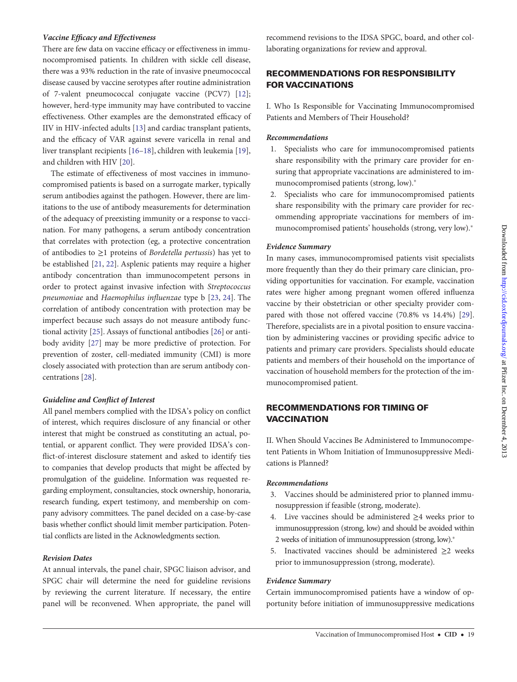# Vaccine Efficacy and Effectiveness

There are few data on vaccine efficacy or effectiveness in immunocompromised patients. In children with sickle cell disease, there was a 93% reduction in the rate of invasive pneumococcal disease caused by vaccine serotypes after routine administration of 7-valent pneumococcal conjugate vaccine (PCV7) [\[12\]](#page-43-0); however, herd-type immunity may have contributed to vaccine effectiveness. Other examples are the demonstrated efficacy of IIV in HIV-infected adults [\[13\]](#page-43-0) and cardiac transplant patients, and the efficacy of VAR against severe varicella in renal and liver transplant recipients [[16](#page-43-0)–[18\]](#page-43-0), children with leukemia [\[19\]](#page-43-0), and children with HIV [\[20](#page-44-0)].

The estimate of effectiveness of most vaccines in immunocompromised patients is based on a surrogate marker, typically serum antibodies against the pathogen. However, there are limitations to the use of antibody measurements for determination of the adequacy of preexisting immunity or a response to vaccination. For many pathogens, a serum antibody concentration that correlates with protection (eg, a protective concentration of antibodies to  $\geq$ 1 proteins of *Bordetella pertussis*) has yet to be established [\[21](#page-44-0), [22](#page-44-0)]. Asplenic patients may require a higher antibody concentration than immunocompetent persons in order to protect against invasive infection with Streptococcus pneumoniae and Haemophilus influenzae type b [[23](#page-44-0), [24](#page-44-0)]. The correlation of antibody concentration with protection may be imperfect because such assays do not measure antibody functional activity [\[25](#page-44-0)]. Assays of functional antibodies [\[26](#page-44-0)] or antibody avidity [\[27\]](#page-44-0) may be more predictive of protection. For prevention of zoster, cell-mediated immunity (CMI) is more closely associated with protection than are serum antibody concentrations [\[28](#page-44-0)].

## Guideline and Conflict of Interest

All panel members complied with the IDSA's policy on conflict of interest, which requires disclosure of any financial or other interest that might be construed as constituting an actual, potential, or apparent conflict. They were provided IDSA's conflict-of-interest disclosure statement and asked to identify ties to companies that develop products that might be affected by promulgation of the guideline. Information was requested regarding employment, consultancies, stock ownership, honoraria, research funding, expert testimony, and membership on company advisory committees. The panel decided on a case-by-case basis whether conflict should limit member participation. Potential conflicts are listed in the Acknowledgments section.

## Revision Dates

At annual intervals, the panel chair, SPGC liaison advisor, and SPGC chair will determine the need for guideline revisions by reviewing the current literature. If necessary, the entire panel will be reconvened. When appropriate, the panel will

recommend revisions to the IDSA SPGC, board, and other collaborating organizations for review and approval.

# RECOMMENDATIONS FOR RESPONSIBILITY FOR VACCINATIONS

I. Who Is Responsible for Vaccinating Immunocompromised Patients and Members of Their Household?

## Recommendations

- 1. Specialists who care for immunocompromised patients share responsibility with the primary care provider for ensuring that appropriate vaccinations are administered to immunocompromised patients (strong, low).
- 2. Specialists who care for immunocompromised patients share responsibility with the primary care provider for recommending appropriate vaccinations for members of immunocompromised patients' households (strong, very low).

## Evidence Summary

In many cases, immunocompromised patients visit specialists more frequently than they do their primary care clinician, providing opportunities for vaccination. For example, vaccination rates were higher among pregnant women offered influenza vaccine by their obstetrician or other specialty provider compared with those not offered vaccine (70.8% vs 14.4%) [\[29\]](#page-44-0). Therefore, specialists are in a pivotal position to ensure vaccination by administering vaccines or providing specific advice to patients and primary care providers. Specialists should educate patients and members of their household on the importance of vaccination of household members for the protection of the immunocompromised patient.

# RECOMMENDATIONS FOR TIMING OF **VACCINATION**

II. When Should Vaccines Be Administered to Immunocompetent Patients in Whom Initiation of Immunosuppressive Medications is Planned?

## Recommendations

- 3. Vaccines should be administered prior to planned immunosuppression if feasible (strong, moderate).
- 4. Live vaccines should be administered ≥4 weeks prior to immunosuppression (strong, low) and should be avoided within 2 weeks of initiation of immunosuppression (strong, low).
- 5. Inactivated vaccines should be administered  $\geq$ 2 weeks prior to immunosuppression (strong, moderate).

## Evidence Summary

Certain immunocompromised patients have a window of opportunity before initiation of immunosuppressive medications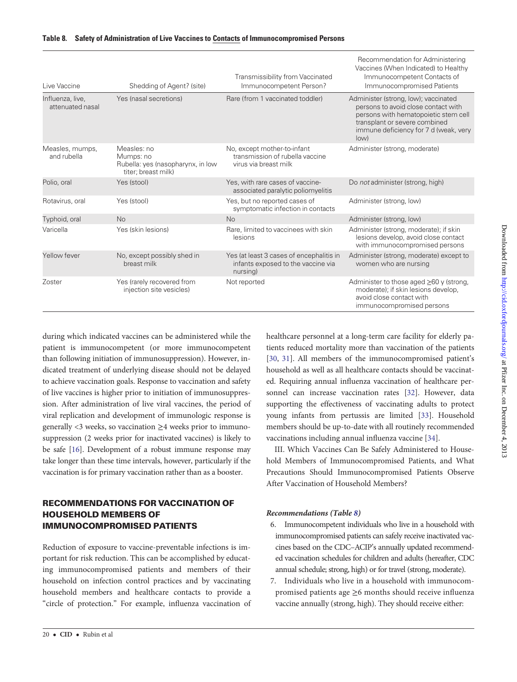| Table 8. Safety of Administration of Live Vaccines to Contacts of Immunocompromised Persons |  |
|---------------------------------------------------------------------------------------------|--|
|                                                                                             |  |

| Live Vaccine                         | Shedding of Agent? (site)                                                            | Transmissibility from Vaccinated<br>Immunocompetent Person?                                | Recommendation for Administering<br>Vaccines (When Indicated) to Healthy<br>Immunocompetent Contacts of<br>Immunocompromised Patients                                                                         |
|--------------------------------------|--------------------------------------------------------------------------------------|--------------------------------------------------------------------------------------------|---------------------------------------------------------------------------------------------------------------------------------------------------------------------------------------------------------------|
| Influenza, live,<br>attenuated nasal | Yes (nasal secretions)                                                               | Rare (from 1 vaccinated toddler)                                                           | Administer (strong, low); vaccinated<br>persons to avoid close contact with<br>persons with hematopoietic stem cell<br>transplant or severe combined<br>immune deficiency for 7 d (weak, very<br>$ ow\rangle$ |
| Measles, mumps,<br>and rubella       | Measles: no<br>Mumps: no<br>Rubella: yes (nasopharynx, in low<br>titer; breast milk) | No, except mother-to-infant<br>transmission of rubella vaccine<br>virus via breast milk    | Administer (strong, moderate)                                                                                                                                                                                 |
| Polio, oral                          | Yes (stool)                                                                          | Yes, with rare cases of vaccine-<br>associated paralytic poliomyelitis                     | Do not administer (strong, high)                                                                                                                                                                              |
| Rotavirus, oral                      | Yes (stool)                                                                          | Yes, but no reported cases of<br>symptomatic infection in contacts                         | Administer (strong, low)                                                                                                                                                                                      |
| Typhoid, oral                        | <b>No</b>                                                                            | <b>No</b>                                                                                  | Administer (strong, low)                                                                                                                                                                                      |
| Varicella                            | Yes (skin lesions)                                                                   | Rare, limited to vaccinees with skin<br>lesions                                            | Administer (strong, moderate); if skin<br>lesions develop, avoid close contact<br>with immunocompromised persons                                                                                              |
| Yellow fever                         | No, except possibly shed in<br>breast milk                                           | Yes (at least 3 cases of encephalitis in<br>infants exposed to the vaccine via<br>nursing) | Administer (strong, moderate) except to<br>women who are nursing                                                                                                                                              |
| Zoster                               | Yes (rarely recovered from<br>injection site vesicles)                               | Not reported                                                                               | Administer to those aged $\geq 60$ y (strong,<br>moderate); if skin lesions develop,<br>avoid close contact with<br>immunocompromised persons                                                                 |

during which indicated vaccines can be administered while the patient is immunocompetent (or more immunocompetent than following initiation of immunosuppression). However, indicated treatment of underlying disease should not be delayed to achieve vaccination goals. Response to vaccination and safety of live vaccines is higher prior to initiation of immunosuppression. After administration of live viral vaccines, the period of viral replication and development of immunologic response is generally <3 weeks, so vaccination ≥4 weeks prior to immunosuppression (2 weeks prior for inactivated vaccines) is likely to be safe [\[16](#page-43-0)]. Development of a robust immune response may take longer than these time intervals, however, particularly if the vaccination is for primary vaccination rather than as a booster.

# RECOMMENDATIONS FOR VACCINATION OF HOUSEHOLD MEMBERS OF IMMUNOCOMPROMISED PATIENTS

Reduction of exposure to vaccine-preventable infections is important for risk reduction. This can be accomplished by educating immunocompromised patients and members of their household on infection control practices and by vaccinating household members and healthcare contacts to provide a "circle of protection." For example, influenza vaccination of healthcare personnel at a long-term care facility for elderly patients reduced mortality more than vaccination of the patients [\[30](#page-44-0), [31](#page-44-0)]. All members of the immunocompromised patient's household as well as all healthcare contacts should be vaccinated. Requiring annual influenza vaccination of healthcare personnel can increase vaccination rates [[32\]](#page-44-0). However, data supporting the effectiveness of vaccinating adults to protect young infants from pertussis are limited [[33\]](#page-44-0). Household members should be up-to-date with all routinely recommended vaccinations including annual influenza vaccine [\[34](#page-44-0)].

III. Which Vaccines Can Be Safely Administered to Household Members of Immunocompromised Patients, and What Precautions Should Immunocompromised Patients Observe After Vaccination of Household Members?

# Recommendations (Table 8)

- 6. Immunocompetent individuals who live in a household with immunocompromised patients can safely receive inactivated vaccines based on the CDC–ACIP's annually updated recommended vaccination schedules for children and adults (hereafter, CDC annual schedule; strong, high) or for travel (strong, moderate).
- 7. Individuals who live in a household with immunocompromised patients age ≥6 months should receive influenza vaccine annually (strong, high). They should receive either: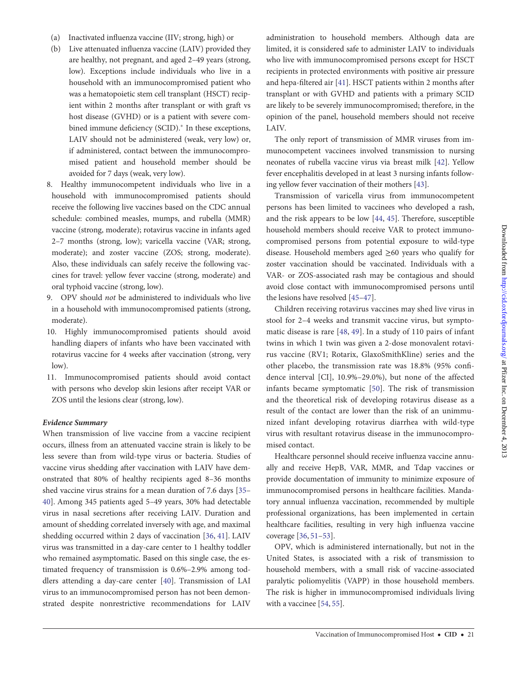- (b) Live attenuated influenza vaccine (LAIV) provided they are healthy, not pregnant, and aged 2–49 years (strong, low). Exceptions include individuals who live in a household with an immunocompromised patient who was a hematopoietic stem cell transplant (HSCT) recipient within 2 months after transplant or with graft vs host disease (GVHD) or is a patient with severe combined immune deficiency (SCID).<sup>\*</sup> In these exceptions, LAIV should not be administered (weak, very low) or, if administered, contact between the immunocompromised patient and household member should be avoided for 7 days (weak, very low).
- 8. Healthy immunocompetent individuals who live in a household with immunocompromised patients should receive the following live vaccines based on the CDC annual schedule: combined measles, mumps, and rubella (MMR) vaccine (strong, moderate); rotavirus vaccine in infants aged 2–7 months (strong, low); varicella vaccine (VAR; strong, moderate); and zoster vaccine (ZOS; strong, moderate). Also, these individuals can safely receive the following vaccines for travel: yellow fever vaccine (strong, moderate) and oral typhoid vaccine (strong, low).
- 9. OPV should not be administered to individuals who live in a household with immunocompromised patients (strong, moderate).
- 10. Highly immunocompromised patients should avoid handling diapers of infants who have been vaccinated with rotavirus vaccine for 4 weeks after vaccination (strong, very low).
- 11. Immunocompromised patients should avoid contact with persons who develop skin lesions after receipt VAR or ZOS until the lesions clear (strong, low).

#### Evidence Summary

When transmission of live vaccine from a vaccine recipient occurs, illness from an attenuated vaccine strain is likely to be less severe than from wild-type virus or bacteria. Studies of vaccine virus shedding after vaccination with LAIV have demonstrated that 80% of healthy recipients aged 8–36 months shed vaccine virus strains for a mean duration of 7.6 days [[35](#page-44-0)– [40](#page-44-0)]. Among 345 patients aged 5–49 years, 30% had detectable virus in nasal secretions after receiving LAIV. Duration and amount of shedding correlated inversely with age, and maximal shedding occurred within 2 days of vaccination [\[36](#page-44-0), [41\]](#page-44-0). LAIV virus was transmitted in a day-care center to 1 healthy toddler who remained asymptomatic. Based on this single case, the estimated frequency of transmission is 0.6%–2.9% among toddlers attending a day-care center [\[40\]](#page-44-0). Transmission of LAI virus to an immunocompromised person has not been demonstrated despite nonrestrictive recommendations for LAIV

administration to household members. Although data are limited, it is considered safe to administer LAIV to individuals who live with immunocompromised persons except for HSCT recipients in protected environments with positive air pressure and hepa-filtered air [\[41](#page-44-0)]. HSCT patients within 2 months after transplant or with GVHD and patients with a primary SCID are likely to be severely immunocompromised; therefore, in the opinion of the panel, household members should not receive LAIV.

The only report of transmission of MMR viruses from immunocompetent vaccinees involved transmission to nursing neonates of rubella vaccine virus via breast milk [[42](#page-44-0)]. Yellow fever encephalitis developed in at least 3 nursing infants following yellow fever vaccination of their mothers [\[43\]](#page-44-0).

Transmission of varicella virus from immunocompetent persons has been limited to vaccinees who developed a rash, and the risk appears to be low [[44,](#page-44-0) [45\]](#page-44-0). Therefore, susceptible household members should receive VAR to protect immunocompromised persons from potential exposure to wild-type disease. Household members aged ≥60 years who qualify for zoster vaccination should be vaccinated. Individuals with a VAR- or ZOS-associated rash may be contagious and should avoid close contact with immunocompromised persons until the lesions have resolved [[45](#page-44-0)–[47\]](#page-44-0).

Children receiving rotavirus vaccines may shed live virus in stool for 2–4 weeks and transmit vaccine virus, but symptomatic disease is rare [[48](#page-44-0), [49\]](#page-44-0). In a study of 110 pairs of infant twins in which 1 twin was given a 2-dose monovalent rotavirus vaccine (RV1; Rotarix, GlaxoSmithKline) series and the other placebo, the transmission rate was 18.8% (95% confidence interval [CI], 10.9%–29.0%), but none of the affected infants became symptomatic [\[50](#page-44-0)]. The risk of transmission and the theoretical risk of developing rotavirus disease as a result of the contact are lower than the risk of an unimmunized infant developing rotavirus diarrhea with wild-type virus with resultant rotavirus disease in the immunocompromised contact.

Healthcare personnel should receive influenza vaccine annually and receive HepB, VAR, MMR, and Tdap vaccines or provide documentation of immunity to minimize exposure of immunocompromised persons in healthcare facilities. Mandatory annual influenza vaccination, recommended by multiple professional organizations, has been implemented in certain healthcare facilities, resulting in very high influenza vaccine coverage [[36,](#page-44-0) [51](#page-44-0)–[53\]](#page-44-0).

OPV, which is administered internationally, but not in the United States, is associated with a risk of transmission to household members, with a small risk of vaccine-associated paralytic poliomyelitis (VAPP) in those household members. The risk is higher in immunocompromised individuals living with a vaccinee [\[54,](#page-44-0) [55](#page-44-0)].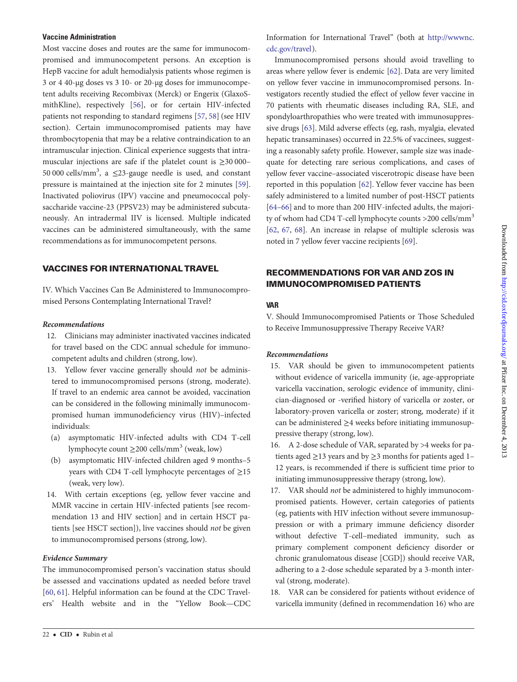#### Vaccine Administration

Most vaccine doses and routes are the same for immunocompromised and immunocompetent persons. An exception is HepB vaccine for adult hemodialysis patients whose regimen is 3 or 4 40-µg doses vs 3 10- or 20-µg doses for immunocompetent adults receiving Recombivax (Merck) or Engerix (GlaxoSmithKline), respectively [[56\]](#page-44-0), or for certain HIV-infected patients not responding to standard regimens [[57,](#page-44-0) [58\]](#page-44-0) (see HIV section). Certain immunocompromised patients may have thrombocytopenia that may be a relative contraindication to an intramuscular injection. Clinical experience suggests that intramuscular injections are safe if the platelet count is ≥30 000– 50 000 cells/mm<sup>3</sup>, a  $\leq$ 23-gauge needle is used, and constant pressure is maintained at the injection site for 2 minutes [\[59\]](#page-44-0). Inactivated poliovirus (IPV) vaccine and pneumococcal polysaccharide vaccine-23 (PPSV23) may be administered subcutaneously. An intradermal IIV is licensed. Multiple indicated vaccines can be administered simultaneously, with the same recommendations as for immunocompetent persons.

# VACCINES FOR INTERNATIONAL TRAVEL

IV. Which Vaccines Can Be Administered to Immunocompromised Persons Contemplating International Travel?

#### Recommendations

- 12. Clinicians may administer inactivated vaccines indicated for travel based on the CDC annual schedule for immunocompetent adults and children (strong, low).
- 13. Yellow fever vaccine generally should not be administered to immunocompromised persons (strong, moderate). If travel to an endemic area cannot be avoided, vaccination can be considered in the following minimally immunocompromised human immunodeficiency virus (HIV)–infected individuals:
- (a) asymptomatic HIV-infected adults with CD4 T-cell lymphocyte count  $\geq$ 200 cells/mm<sup>3</sup> (weak, low)
- (b) asymptomatic HIV-infected children aged 9 months–5 years with CD4 T-cell lymphocyte percentages of ≥15 (weak, very low).
- 14. With certain exceptions (eg, yellow fever vaccine and MMR vaccine in certain HIV-infected patients [see recommendation 13 and HIV section] and in certain HSCT patients [see HSCT section]), live vaccines should not be given to immunocompromised persons (strong, low).

## Evidence Summary

The immunocompromised person's vaccination status should be assessed and vaccinations updated as needed before travel [\[60](#page-44-0), [61\]](#page-45-0). Helpful information can be found at the CDC Travelers' Health website and in the "Yellow Book—CDC Information for International Travel" (both at [http://wwwnc.](http://wwwnc.cdc.gov/travel) [cdc.gov/travel](http://wwwnc.cdc.gov/travel)).

Immunocompromised persons should avoid travelling to areas where yellow fever is endemic [[62\]](#page-45-0). Data are very limited on yellow fever vaccine in immunocompromised persons. Investigators recently studied the effect of yellow fever vaccine in 70 patients with rheumatic diseases including RA, SLE, and spondyloarthropathies who were treated with immunosuppressive drugs [[63\]](#page-45-0). Mild adverse effects (eg, rash, myalgia, elevated hepatic transaminases) occurred in 22.5% of vaccinees, suggesting a reasonably safety profile. However, sample size was inadequate for detecting rare serious complications, and cases of yellow fever vaccine–associated viscerotropic disease have been reported in this population [\[62](#page-45-0)]. Yellow fever vaccine has been safely administered to a limited number of post-HSCT patients [\[64](#page-45-0)-[66](#page-45-0)] and to more than 200 HIV-infected adults, the majority of whom had CD4 T-cell lymphocyte counts >200 cells/mm<sup>3</sup> [\[62](#page-45-0), [67,](#page-45-0) [68\]](#page-45-0). An increase in relapse of multiple sclerosis was noted in 7 yellow fever vaccine recipients [\[69](#page-45-0)].

# RECOMMENDATIONS FOR VAR AND ZOS IN IMMUNOCOMPROMISED PATIENTS

## VAR

V. Should Immunocompromised Patients or Those Scheduled to Receive Immunosuppressive Therapy Receive VAR?

## Recommendations

- 15. VAR should be given to immunocompetent patients without evidence of varicella immunity (ie, age-appropriate varicella vaccination, serologic evidence of immunity, clinician-diagnosed or -verified history of varicella or zoster, or laboratory-proven varicella or zoster; strong, moderate) if it can be administered ≥4 weeks before initiating immunosuppressive therapy (strong, low).
- 16. A 2-dose schedule of VAR, separated by >4 weeks for patients aged  $\geq$ 13 years and by  $\geq$ 3 months for patients aged 1– 12 years, is recommended if there is sufficient time prior to initiating immunosuppressive therapy (strong, low).
- 17. VAR should *not* be administered to highly immunocompromised patients. However, certain categories of patients (eg, patients with HIV infection without severe immunosuppression or with a primary immune deficiency disorder without defective T-cell–mediated immunity, such as primary complement component deficiency disorder or chronic granulomatous disease [CGD]) should receive VAR, adhering to a 2-dose schedule separated by a 3-month interval (strong, moderate).
- 18. VAR can be considered for patients without evidence of varicella immunity (defined in recommendation 16) who are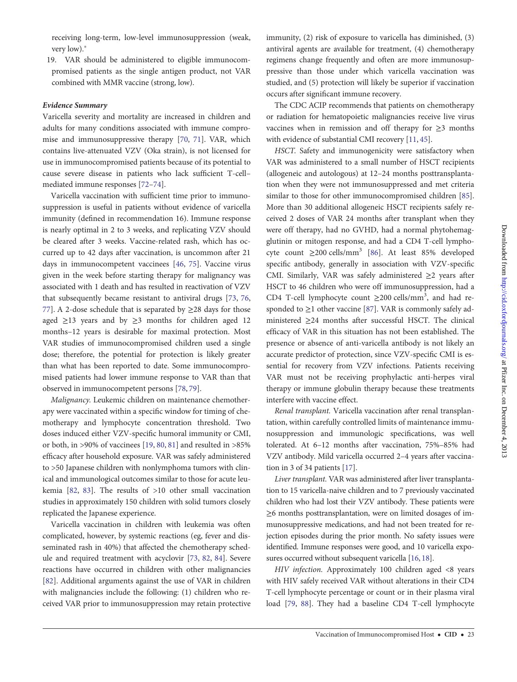receiving long-term, low-level immunosuppression (weak, very low).

19. VAR should be administered to eligible immunocompromised patients as the single antigen product, not VAR combined with MMR vaccine (strong, low).

#### Evidence Summary

Varicella severity and mortality are increased in children and adults for many conditions associated with immune compromise and immunosuppressive therapy [[70,](#page-45-0) [71](#page-45-0)]. VAR, which contains live-attenuated VZV (Oka strain), is not licensed for use in immunocompromised patients because of its potential to cause severe disease in patients who lack sufficient T-cell– mediated immune responses [\[72](#page-45-0)–[74](#page-45-0)].

Varicella vaccination with sufficient time prior to immunosuppression is useful in patients without evidence of varicella immunity (defined in recommendation 16). Immune response is nearly optimal in 2 to 3 weeks, and replicating VZV should be cleared after 3 weeks. Vaccine-related rash, which has occurred up to 42 days after vaccination, is uncommon after 21 days in immunocompetent vaccinees [[46](#page-44-0), [75\]](#page-45-0). Vaccine virus given in the week before starting therapy for malignancy was associated with 1 death and has resulted in reactivation of VZV that subsequently became resistant to antiviral drugs [\[73,](#page-45-0) [76,](#page-45-0) [77](#page-45-0)]. A 2-dose schedule that is separated by  $\geq$  28 days for those aged  $\geq$ 13 years and by  $\geq$ 3 months for children aged 12 months–12 years is desirable for maximal protection. Most VAR studies of immunocompromised children used a single dose; therefore, the potential for protection is likely greater than what has been reported to date. Some immunocompromised patients had lower immune response to VAR than that observed in immunocompetent persons [\[78](#page-45-0), [79](#page-45-0)].

Malignancy. Leukemic children on maintenance chemotherapy were vaccinated within a specific window for timing of chemotherapy and lymphocyte concentration threshold. Two doses induced either VZV-specific humoral immunity or CMI, or both, in >90% of vaccinees [[19,](#page-43-0) [80](#page-45-0), [81](#page-45-0)] and resulted in >85% efficacy after household exposure. VAR was safely administered to >50 Japanese children with nonlymphoma tumors with clinical and immunological outcomes similar to those for acute leukemia [[82,](#page-45-0) [83](#page-45-0)]. The results of >10 other small vaccination studies in approximately 150 children with solid tumors closely replicated the Japanese experience.

Varicella vaccination in children with leukemia was often complicated, however, by systemic reactions (eg, fever and disseminated rash in 40%) that affected the chemotherapy schedule and required treatment with acyclovir [\[73](#page-45-0), [82,](#page-45-0) [84\]](#page-45-0). Severe reactions have occurred in children with other malignancies [\[82](#page-45-0)]. Additional arguments against the use of VAR in children with malignancies include the following: (1) children who received VAR prior to immunosuppression may retain protective immunity, (2) risk of exposure to varicella has diminished, (3) antiviral agents are available for treatment, (4) chemotherapy regimens change frequently and often are more immunosuppressive than those under which varicella vaccination was studied, and (5) protection will likely be superior if vaccination occurs after significant immune recovery.

The CDC ACIP recommends that patients on chemotherapy or radiation for hematopoietic malignancies receive live virus vaccines when in remission and off therapy for ≥3 months with evidence of substantial CMI recovery [[11,](#page-43-0) [45\]](#page-44-0).

HSCT. Safety and immunogenicity were satisfactory when VAR was administered to a small number of HSCT recipients (allogeneic and autologous) at 12–24 months posttransplantation when they were not immunosuppressed and met criteria similar to those for other immunocompromised children [\[85\]](#page-45-0). More than 30 additional allogeneic HSCT recipients safely received 2 doses of VAR 24 months after transplant when they were off therapy, had no GVHD, had a normal phytohemagglutinin or mitogen response, and had a CD4 T-cell lymphocyte count  $\geq$ 200 cells/mm<sup>3</sup> [[86\]](#page-45-0). At least 85% developed specific antibody, generally in association with VZV-specific CMI. Similarly, VAR was safely administered  $\geq$ 2 years after HSCT to 46 children who were off immunosuppression, had a CD4 T-cell lymphocyte count  $\geq$ 200 cells/mm<sup>3</sup>, and had responded to  $\geq$ 1 other vaccine [\[87\]](#page-45-0). VAR is commonly safely administered ≥24 months after successful HSCT. The clinical efficacy of VAR in this situation has not been established. The presence or absence of anti-varicella antibody is not likely an accurate predictor of protection, since VZV-specific CMI is essential for recovery from VZV infections. Patients receiving VAR must not be receiving prophylactic anti-herpes viral therapy or immune globulin therapy because these treatments interfere with vaccine effect.

Renal transplant. Varicella vaccination after renal transplantation, within carefully controlled limits of maintenance immunosuppression and immunologic specifications, was well tolerated. At 6–12 months after vaccination, 75%–85% had VZV antibody. Mild varicella occurred 2–4 years after vaccination in 3 of 34 patients [\[17](#page-43-0)].

Liver transplant. VAR was administered after liver transplantation to 15 varicella-naive children and to 7 previously vaccinated children who had lost their VZV antibody. These patients were ≥6 months posttransplantation, were on limited dosages of immunosuppressive medications, and had not been treated for rejection episodes during the prior month. No safety issues were identified. Immune responses were good, and 10 varicella exposures occurred without subsequent varicella [[16,](#page-43-0) [18](#page-43-0)].

HIV infection. Approximately 100 children aged <8 years with HIV safely received VAR without alterations in their CD4 T-cell lymphocyte percentage or count or in their plasma viral load [\[79](#page-45-0), [88\]](#page-45-0). They had a baseline CD4 T-cell lymphocyte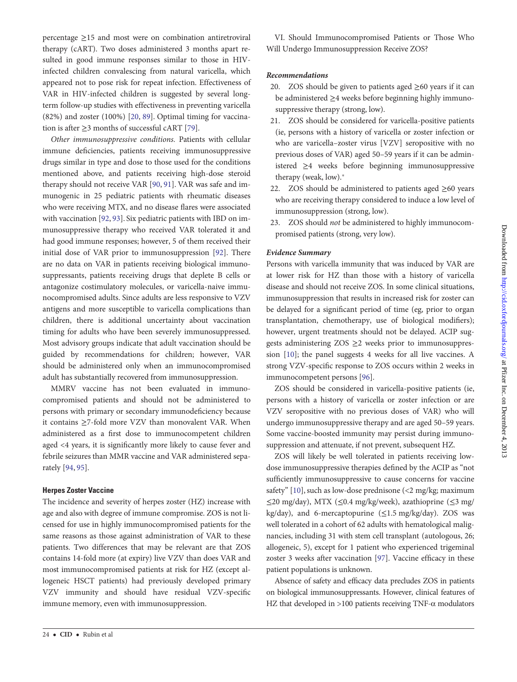percentage ≥15 and most were on combination antiretroviral therapy (cART). Two doses administered 3 months apart resulted in good immune responses similar to those in HIVinfected children convalescing from natural varicella, which appeared not to pose risk for repeat infection. Effectiveness of VAR in HIV-infected children is suggested by several longterm follow-up studies with effectiveness in preventing varicella (82%) and zoster (100%) [\[20](#page-44-0), [89\]](#page-45-0). Optimal timing for vaccination is after  $\geq$ 3 months of successful cART [\[79](#page-45-0)].

Other immunosuppressive conditions. Patients with cellular immune deficiencies, patients receiving immunosuppressive drugs similar in type and dose to those used for the conditions mentioned above, and patients receiving high-dose steroid therapy should not receive VAR [[90](#page-45-0), [91](#page-45-0)]. VAR was safe and immunogenic in 25 pediatric patients with rheumatic diseases who were receiving MTX, and no disease flares were associated with vaccination [\[92](#page-45-0), [93](#page-45-0)]. Six pediatric patients with IBD on immunosuppressive therapy who received VAR tolerated it and had good immune responses; however, 5 of them received their initial dose of VAR prior to immunosuppression [[92\]](#page-45-0). There are no data on VAR in patients receiving biological immunosuppressants, patients receiving drugs that deplete B cells or antagonize costimulatory molecules, or varicella-naive immunocompromised adults. Since adults are less responsive to VZV antigens and more susceptible to varicella complications than children, there is additional uncertainty about vaccination timing for adults who have been severely immunosuppressed. Most advisory groups indicate that adult vaccination should be guided by recommendations for children; however, VAR should be administered only when an immunocompromised adult has substantially recovered from immunosuppression.

MMRV vaccine has not been evaluated in immunocompromised patients and should not be administered to persons with primary or secondary immunodeficiency because it contains ≥7-fold more VZV than monovalent VAR. When administered as a first dose to immunocompetent children aged <4 years, it is significantly more likely to cause fever and febrile seizures than MMR vaccine and VAR administered separately [\[94](#page-45-0), [95](#page-45-0)].

#### Herpes Zoster Vaccine

The incidence and severity of herpes zoster (HZ) increase with age and also with degree of immune compromise. ZOS is not licensed for use in highly immunocompromised patients for the same reasons as those against administration of VAR to these patients. Two differences that may be relevant are that ZOS contains 14-fold more (at expiry) live VZV than does VAR and most immunocompromised patients at risk for HZ (except allogeneic HSCT patients) had previously developed primary VZV immunity and should have residual VZV-specific immune memory, even with immunosuppression.

VI. Should Immunocompromised Patients or Those Who Will Undergo Immunosuppression Receive ZOS?

## Recommendations

- 20. ZOS should be given to patients aged  $\geq 60$  years if it can be administered ≥4 weeks before beginning highly immunosuppressive therapy (strong, low).
- 21. ZOS should be considered for varicella-positive patients (ie, persons with a history of varicella or zoster infection or who are varicella–zoster virus [VZV] seropositive with no previous doses of VAR) aged 50–59 years if it can be administered ≥4 weeks before beginning immunosuppressive therapy (weak, low).
- 22. ZOS should be administered to patients aged  $\geq 60$  years who are receiving therapy considered to induce a low level of immunosuppression (strong, low).
- 23. ZOS should not be administered to highly immunocompromised patients (strong, very low).

#### Evidence Summary

Persons with varicella immunity that was induced by VAR are at lower risk for HZ than those with a history of varicella disease and should not receive ZOS. In some clinical situations, immunosuppression that results in increased risk for zoster can be delayed for a significant period of time (eg, prior to organ transplantation, chemotherapy, use of biological modifiers); however, urgent treatments should not be delayed. ACIP suggests administering  $ZOS \geq 2$  weeks prior to immunosuppression [[10](#page-43-0)]; the panel suggests 4 weeks for all live vaccines. A strong VZV-specific response to ZOS occurs within 2 weeks in immunocompetent persons [[96\]](#page-45-0).

ZOS should be considered in varicella-positive patients (ie, persons with a history of varicella or zoster infection or are VZV seropositive with no previous doses of VAR) who will undergo immunosuppressive therapy and are aged 50–59 years. Some vaccine-boosted immunity may persist during immunosuppression and attenuate, if not prevent, subsequent HZ.

ZOS will likely be well tolerated in patients receiving lowdose immunosuppressive therapies defined by the ACIP as "not sufficiently immunosuppressive to cause concerns for vaccine safety" [\[10\]](#page-43-0), such as low-dose prednisone (<2 mg/kg; maximum ≤20 mg/day), MTX (≤0.4 mg/kg/week), azathioprine (≤3 mg/ kg/day), and 6-mercaptopurine  $(\leq1.5 \text{ mg/kg/day})$ . ZOS was well tolerated in a cohort of 62 adults with hematological malignancies, including 31 with stem cell transplant (autologous, 26; allogeneic, 5), except for 1 patient who experienced trigeminal zoster 3 weeks after vaccination [[97\]](#page-45-0). Vaccine efficacy in these patient populations is unknown.

Absence of safety and efficacy data precludes ZOS in patients on biological immunosuppressants. However, clinical features of HZ that developed in >100 patients receiving TNF-α modulators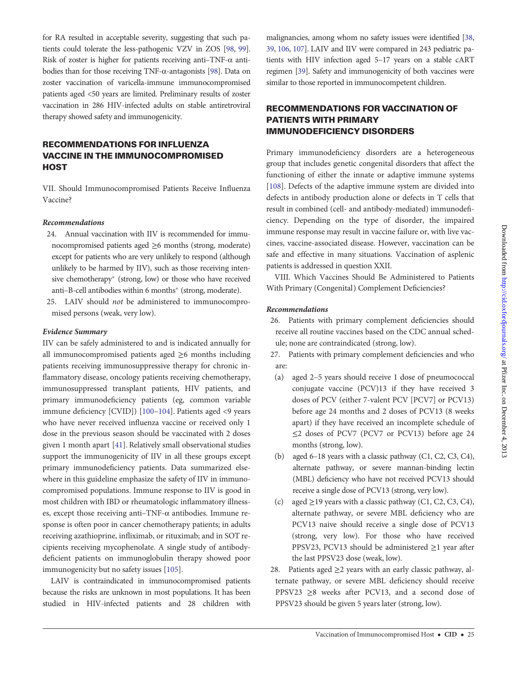for RA resulted in acceptable severity, suggesting that such patients could tolerate the less-pathogenic VZV in ZOS [[98,](#page-45-0) [99\]](#page-45-0). Risk of zoster is higher for patients receiving anti–TNF-α antibodies than for those receiving TNF- $\alpha$ -antagonists [\[98](#page-45-0)]. Data on zoster vaccination of varicella-immune immunocompromised patients aged <50 years are limited. Preliminary results of zoster vaccination in 286 HIV-infected adults on stable antiretroviral therapy showed safety and immunogenicity.

# RECOMMENDATIONS FOR INFLUENZA VACCINE IN THE IMMUNOCOMPROMISED **HOST**

VII. Should Immunocompromised Patients Receive Influenza Vaccine?

#### Recommendations

- 24. Annual vaccination with IIV is recommended for immunocompromised patients aged ≥6 months (strong, moderate) except for patients who are very unlikely to respond (although unlikely to be harmed by IIV), such as those receiving intensive chemotherapy<sup>\*</sup> (strong, low) or those who have received anti-B-cell antibodies within 6 months<sup>\*</sup> (strong, moderate).
- 25. LAIV should not be administered to immunocompromised persons (weak, very low).

#### Evidence Summary

IIV can be safely administered to and is indicated annually for all immunocompromised patients aged ≥6 months including patients receiving immunosuppressive therapy for chronic inflammatory disease, oncology patients receiving chemotherapy, immunosuppressed transplant patients, HIV patients, and primary immunodeficiency patients (eg, common variable immune deficiency [CVID]) [\[100](#page-45-0)–[104\]](#page-45-0). Patients aged <9 years who have never received influenza vaccine or received only 1 dose in the previous season should be vaccinated with 2 doses given 1 month apart [\[41](#page-44-0)]. Relatively small observational studies support the immunogenicity of IIV in all these groups except primary immunodeficiency patients. Data summarized elsewhere in this guideline emphasize the safety of IIV in immunocompromised populations. Immune response to IIV is good in most children with IBD or rheumatologic inflammatory illnesses, except those receiving anti–TNF-α antibodies. Immune response is often poor in cancer chemotherapy patients; in adults receiving azathioprine, infliximab, or rituximab; and in SOT recipients receiving mycophenolate. A single study of antibodydeficient patients on immunoglobulin therapy showed poor immunogenicity but no safety issues [\[105\]](#page-45-0).

LAIV is contraindicated in immunocompromised patients because the risks are unknown in most populations. It has been studied in HIV-infected patients and 28 children with malignancies, among whom no safety issues were identified [\[38,](#page-44-0) [39,](#page-44-0) [106](#page-46-0), [107\]](#page-46-0). LAIV and IIV were compared in 243 pediatric patients with HIV infection aged 5–17 years on a stable cART regimen [\[39\]](#page-44-0). Safety and immunogenicity of both vaccines were similar to those reported in immunocompetent children.

# RECOMMENDATIONS FOR VACCINATION OF PATIENTS WITH PRIMARY IMMUNODEFICIENCY DISORDERS

Primary immunodeficiency disorders are a heterogeneous group that includes genetic congenital disorders that affect the functioning of either the innate or adaptive immune systems [\[108\]](#page-46-0). Defects of the adaptive immune system are divided into defects in antibody production alone or defects in T cells that result in combined (cell- and antibody-mediated) immunodeficiency. Depending on the type of disorder, the impaired immune response may result in vaccine failure or, with live vaccines, vaccine-associated disease. However, vaccination can be safe and effective in many situations. Vaccination of asplenic patients is addressed in question XXII.

VIII. Which Vaccines Should Be Administered to Patients With Primary (Congenital) Complement Deficiencies?

#### Recommendations

- 26. Patients with primary complement deficiencies should receive all routine vaccines based on the CDC annual schedule; none are contraindicated (strong, low).
- 27. Patients with primary complement deficiencies and who are:
- (a) aged 2–5 years should receive 1 dose of pneumococcal conjugate vaccine (PCV)13 if they have received 3 doses of PCV (either 7-valent PCV [PCV7] or PCV13) before age 24 months and 2 doses of PCV13 (8 weeks apart) if they have received an incomplete schedule of ≤2 doses of PCV7 (PCV7 or PCV13) before age 24 months (strong, low).
- (b) aged 6–18 years with a classic pathway (C1, C2, C3, C4), alternate pathway, or severe mannan-binding lectin (MBL) deficiency who have not received PCV13 should receive a single dose of PCV13 (strong, very low).
- (c) aged  $\geq$ 19 years with a classic pathway (C1, C2, C3, C4), alternate pathway, or severe MBL deficiency who are PCV13 naive should receive a single dose of PCV13 (strong, very low). For those who have received PPSV23, PCV13 should be administered ≥1 year after the last PPSV23 dose (weak, low).
- 28. Patients aged  $\geq$ 2 years with an early classic pathway, alternate pathway, or severe MBL deficiency should receive PPSV23  $\geq$ 8 weeks after PCV13, and a second dose of PPSV23 should be given 5 years later (strong, low).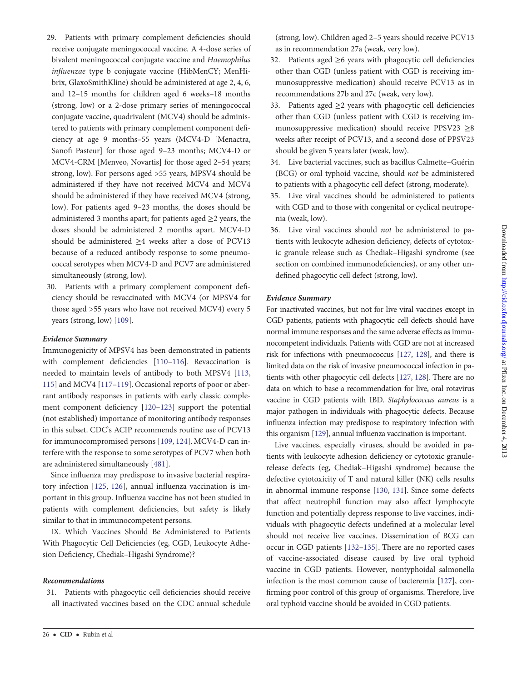- 29. Patients with primary complement deficiencies should receive conjugate meningococcal vaccine. A 4-dose series of bivalent meningococcal conjugate vaccine and Haemophilus influenzae type b conjugate vaccine (HibMenCY; MenHibrix, GlaxoSmithKline) should be administered at age 2, 4, 6, and 12–15 months for children aged 6 weeks–18 months (strong, low) or a 2-dose primary series of meningococcal conjugate vaccine, quadrivalent (MCV4) should be administered to patients with primary complement component deficiency at age 9 months–55 years (MCV4-D [Menactra, Sanofi Pasteur] for those aged 9–23 months; MCV4-D or MCV4-CRM [Menveo, Novartis] for those aged 2–54 years; strong, low). For persons aged >55 years, MPSV4 should be administered if they have not received MCV4 and MCV4 should be administered if they have received MCV4 (strong, low). For patients aged 9–23 months, the doses should be administered 3 months apart; for patients aged ≥2 years, the doses should be administered 2 months apart. MCV4-D should be administered ≥4 weeks after a dose of PCV13 because of a reduced antibody response to some pneumococcal serotypes when MCV4-D and PCV7 are administered simultaneously (strong, low).
- 30. Patients with a primary complement component deficiency should be revaccinated with MCV4 (or MPSV4 for those aged >55 years who have not received MCV4) every 5 years (strong, low) [\[109\]](#page-46-0).

#### Evidence Summary

Immunogenicity of MPSV4 has been demonstrated in patients with complement deficiencies [\[110](#page-46-0)-[116\]](#page-46-0). Revaccination is needed to maintain levels of antibody to both MPSV4 [\[113,](#page-46-0) [115\]](#page-46-0) and MCV4 [[117](#page-46-0)–[119\]](#page-46-0). Occasional reports of poor or aberrant antibody responses in patients with early classic complement component deficiency [[120](#page-46-0)–[123\]](#page-46-0) support the potential (not established) importance of monitoring antibody responses in this subset. CDC's ACIP recommends routine use of PCV13 for immunocompromised persons [\[109](#page-46-0), [124\]](#page-46-0). MCV4-D can interfere with the response to some serotypes of PCV7 when both are administered simultaneously [\[481](#page-55-0)].

Since influenza may predispose to invasive bacterial respiratory infection [[125](#page-46-0), [126](#page-46-0)], annual influenza vaccination is important in this group. Influenza vaccine has not been studied in patients with complement deficiencies, but safety is likely similar to that in immunocompetent persons.

IX. Which Vaccines Should Be Administered to Patients With Phagocytic Cell Deficiencies (eg, CGD, Leukocyte Adhesion Deficiency, Chediak–Higashi Syndrome)?

## Recommendations

31. Patients with phagocytic cell deficiencies should receive all inactivated vaccines based on the CDC annual schedule

(strong, low). Children aged 2–5 years should receive PCV13 as in recommendation 27a (weak, very low).

- 32. Patients aged  $\geq$ 6 years with phagocytic cell deficiencies other than CGD (unless patient with CGD is receiving immunosuppressive medication) should receive PCV13 as in recommendations 27b and 27c (weak, very low).
- 33. Patients aged  $\geq$ 2 years with phagocytic cell deficiencies other than CGD (unless patient with CGD is receiving immunosuppressive medication) should receive PPSV23 ≥8 weeks after receipt of PCV13, and a second dose of PPSV23 should be given 5 years later (weak, low).
- 34. Live bacterial vaccines, such as bacillus Calmette–Guérin (BCG) or oral typhoid vaccine, should not be administered to patients with a phagocytic cell defect (strong, moderate).
- 35. Live viral vaccines should be administered to patients with CGD and to those with congenital or cyclical neutropenia (weak, low).
- 36. Live viral vaccines should not be administered to patients with leukocyte adhesion deficiency, defects of cytotoxic granule release such as Chediak–Higashi syndrome (see section on combined immunodeficiencies), or any other undefined phagocytic cell defect (strong, low).

#### Evidence Summary

For inactivated vaccines, but not for live viral vaccines except in CGD patients, patients with phagocytic cell defects should have normal immune responses and the same adverse effects as immunocompetent individuals. Patients with CGD are not at increased risk for infections with pneumococcus [\[127](#page-46-0), [128\]](#page-46-0), and there is limited data on the risk of invasive pneumococcal infection in patients with other phagocytic cell defects [[127](#page-46-0), [128\]](#page-46-0). There are no data on which to base a recommendation for live, oral rotavirus vaccine in CGD patients with IBD. Staphylococcus aureus is a major pathogen in individuals with phagocytic defects. Because influenza infection may predispose to respiratory infection with this organism [\[129](#page-46-0)], annual influenza vaccination is important.

Live vaccines, especially viruses, should be avoided in patients with leukocyte adhesion deficiency or cytotoxic granulerelease defects (eg, Chediak–Higashi syndrome) because the defective cytotoxicity of T and natural killer (NK) cells results in abnormal immune response [[130,](#page-46-0) [131](#page-46-0)]. Since some defects that affect neutrophil function may also affect lymphocyte function and potentially depress response to live vaccines, individuals with phagocytic defects undefined at a molecular level should not receive live vaccines. Dissemination of BCG can occur in CGD patients [[132](#page-46-0)–[135](#page-46-0)]. There are no reported cases of vaccine-associated disease caused by live oral typhoid vaccine in CGD patients. However, nontyphoidal salmonella infection is the most common cause of bacteremia [[127](#page-46-0)], confirming poor control of this group of organisms. Therefore, live oral typhoid vaccine should be avoided in CGD patients.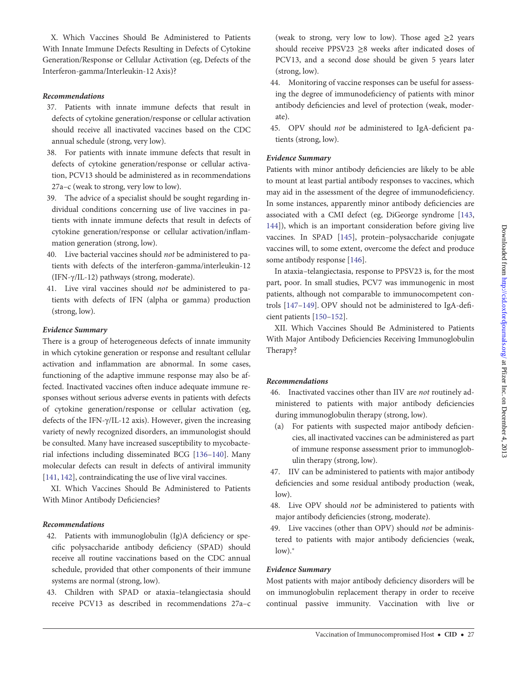X. Which Vaccines Should Be Administered to Patients With Innate Immune Defects Resulting in Defects of Cytokine Generation/Response or Cellular Activation (eg, Defects of the Interferon-gamma/Interleukin-12 Axis)?

# Recommendations

- 37. Patients with innate immune defects that result in defects of cytokine generation/response or cellular activation should receive all inactivated vaccines based on the CDC annual schedule (strong, very low).
- 38. For patients with innate immune defects that result in defects of cytokine generation/response or cellular activation, PCV13 should be administered as in recommendations 27a–c (weak to strong, very low to low).
- 39. The advice of a specialist should be sought regarding individual conditions concerning use of live vaccines in patients with innate immune defects that result in defects of cytokine generation/response or cellular activation/inflammation generation (strong, low).
- 40. Live bacterial vaccines should not be administered to patients with defects of the interferon-gamma/interleukin-12 (IFN-γ/IL-12) pathways (strong, moderate).
- 41. Live viral vaccines should not be administered to patients with defects of IFN (alpha or gamma) production (strong, low).

## Evidence Summary

There is a group of heterogeneous defects of innate immunity in which cytokine generation or response and resultant cellular activation and inflammation are abnormal. In some cases, functioning of the adaptive immune response may also be affected. Inactivated vaccines often induce adequate immune responses without serious adverse events in patients with defects of cytokine generation/response or cellular activation (eg, defects of the IFN-γ/IL-12 axis). However, given the increasing variety of newly recognized disorders, an immunologist should be consulted. Many have increased susceptibility to mycobacterial infections including disseminated BCG [[136](#page-46-0)–[140](#page-46-0)]. Many molecular defects can result in defects of antiviral immunity [\[141,](#page-46-0) [142](#page-46-0)], contraindicating the use of live viral vaccines.

XI. Which Vaccines Should Be Administered to Patients With Minor Antibody Deficiencies?

#### Recommendations

- 42. Patients with immunoglobulin (Ig)A deficiency or specific polysaccharide antibody deficiency (SPAD) should receive all routine vaccinations based on the CDC annual schedule, provided that other components of their immune systems are normal (strong, low).
- 43. Children with SPAD or ataxia–telangiectasia should receive PCV13 as described in recommendations 27a–c

(weak to strong, very low to low). Those aged  $\geq 2$  years should receive PPSV23 ≥8 weeks after indicated doses of PCV13, and a second dose should be given 5 years later (strong, low).

- 44. Monitoring of vaccine responses can be useful for assessing the degree of immunodeficiency of patients with minor antibody deficiencies and level of protection (weak, moderate).
- 45. OPV should not be administered to IgA-deficient patients (strong, low).

## Evidence Summary

Patients with minor antibody deficiencies are likely to be able to mount at least partial antibody responses to vaccines, which may aid in the assessment of the degree of immunodeficiency. In some instances, apparently minor antibody deficiencies are associated with a CMI defect (eg, DiGeorge syndrome [\[143,](#page-46-0) [144\]](#page-46-0)), which is an important consideration before giving live vaccines. In SPAD [[145\]](#page-46-0), protein–polysaccharide conjugate vaccines will, to some extent, overcome the defect and produce some antibody response [\[146\]](#page-47-0).

In ataxia–telangiectasia, response to PPSV23 is, for the most part, poor. In small studies, PCV7 was immunogenic in most patients, although not comparable to immunocompetent controls [[147](#page-47-0)–[149](#page-47-0)]. OPV should not be administered to IgA-deficient patients [[150](#page-47-0)–[152\]](#page-47-0).

XII. Which Vaccines Should Be Administered to Patients With Major Antibody Deficiencies Receiving Immunoglobulin Therapy?

## Recommendations

- 46. Inactivated vaccines other than IIV are not routinely administered to patients with major antibody deficiencies during immunoglobulin therapy (strong, low).
- (a) For patients with suspected major antibody deficiencies, all inactivated vaccines can be administered as part of immune response assessment prior to immunoglobulin therapy (strong, low).
- 47. IIV can be administered to patients with major antibody deficiencies and some residual antibody production (weak, low).
- 48. Live OPV should not be administered to patients with major antibody deficiencies (strong, moderate).
- 49. Live vaccines (other than OPV) should not be administered to patients with major antibody deficiencies (weak,  $low).$

#### Evidence Summary

Most patients with major antibody deficiency disorders will be on immunoglobulin replacement therapy in order to receive continual passive immunity. Vaccination with live or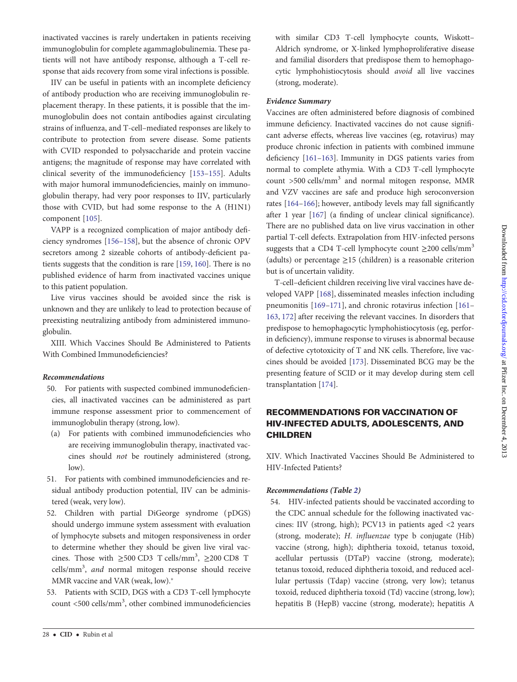inactivated vaccines is rarely undertaken in patients receiving immunoglobulin for complete agammaglobulinemia. These patients will not have antibody response, although a T-cell response that aids recovery from some viral infections is possible.

IIV can be useful in patients with an incomplete deficiency of antibody production who are receiving immunoglobulin replacement therapy. In these patients, it is possible that the immunoglobulin does not contain antibodies against circulating strains of influenza, and T-cell–mediated responses are likely to contribute to protection from severe disease. Some patients with CVID responded to polysaccharide and protein vaccine antigens; the magnitude of response may have correlated with clinical severity of the immunodeficiency [\[153](#page-47-0)–[155](#page-47-0)]. Adults with major humoral immunodeficiencies, mainly on immunoglobulin therapy, had very poor responses to IIV, particularly those with CVID, but had some response to the A (H1N1) component [\[105\]](#page-45-0).

VAPP is a recognized complication of major antibody deficiency syndromes [\[156](#page-47-0)–[158](#page-47-0)], but the absence of chronic OPV secretors among 2 sizeable cohorts of antibody-deficient patients suggests that the condition is rare [\[159](#page-47-0), [160\]](#page-47-0). There is no published evidence of harm from inactivated vaccines unique to this patient population.

Live virus vaccines should be avoided since the risk is unknown and they are unlikely to lead to protection because of preexisting neutralizing antibody from administered immunoglobulin.

XIII. Which Vaccines Should Be Administered to Patients With Combined Immunodeficiencies?

## Recommendations

- 50. For patients with suspected combined immunodeficiencies, all inactivated vaccines can be administered as part immune response assessment prior to commencement of immunoglobulin therapy (strong, low).
- (a) For patients with combined immunodeficiencies who are receiving immunoglobulin therapy, inactivated vaccines should not be routinely administered (strong, low).
- 51. For patients with combined immunodeficiencies and residual antibody production potential, IIV can be administered (weak, very low).
- 52. Children with partial DiGeorge syndrome ( pDGS) should undergo immune system assessment with evaluation of lymphocyte subsets and mitogen responsiveness in order to determine whether they should be given live viral vaccines. Those with  $\geq$ 500 CD3 T cells/mm<sup>3</sup>,  $\geq$ 200 CD8 T cells/mm<sup>3</sup>, and normal mitogen response should receive MMR vaccine and VAR (weak, low).
- 53. Patients with SCID, DGS with a CD3 T-cell lymphocyte count <500 cells/mm<sup>3</sup>, other combined immunodeficiencies

with similar CD3 T-cell lymphocyte counts, Wiskott– Aldrich syndrome, or X-linked lymphoproliferative disease and familial disorders that predispose them to hemophagocytic lymphohistiocytosis should avoid all live vaccines (strong, moderate).

## Evidence Summary

Vaccines are often administered before diagnosis of combined immune deficiency. Inactivated vaccines do not cause significant adverse effects, whereas live vaccines (eg, rotavirus) may produce chronic infection in patients with combined immune deficiency [[161](#page-47-0)–[163](#page-47-0)]. Immunity in DGS patients varies from normal to complete athymia. With a CD3 T-cell lymphocyte count  $>500$  cells/mm<sup>3</sup> and normal mitogen response, MMR and VZV vaccines are safe and produce high seroconversion rates [[164](#page-47-0)–[166\]](#page-47-0); however, antibody levels may fall significantly after 1 year [\[167\]](#page-47-0) (a finding of unclear clinical significance). There are no published data on live virus vaccination in other partial T-cell defects. Extrapolation from HIV-infected persons suggests that a CD4 T-cell lymphocyte count ≥200 cells/mm<sup>3</sup> (adults) or percentage  $\geq$ 15 (children) is a reasonable criterion but is of uncertain validity.

T-cell–deficient children receiving live viral vaccines have developed VAPP [[168\]](#page-47-0), disseminated measles infection including pneumonitis [\[169](#page-47-0)–[171\]](#page-47-0), and chronic rotavirus infection [\[161](#page-47-0)– [163,](#page-47-0) [172](#page-47-0)] after receiving the relevant vaccines. In disorders that predispose to hemophagocytic lymphohistiocytosis (eg, perforin deficiency), immune response to viruses is abnormal because of defective cytotoxicity of T and NK cells. Therefore, live vaccines should be avoided [\[173\]](#page-47-0). Disseminated BCG may be the presenting feature of SCID or it may develop during stem cell transplantation [\[174\]](#page-47-0).

# RECOMMENDATIONS FOR VACCINATION OF HIV-INFECTED ADULTS, ADOLESCENTS, AND CHILDREN

XIV. Which Inactivated Vaccines Should Be Administered to HIV-Infected Patients?

#### Recommendations (Table [2](#page-12-0))

54. HIV-infected patients should be vaccinated according to the CDC annual schedule for the following inactivated vaccines: IIV (strong, high); PCV13 in patients aged <2 years (strong, moderate); H. influenzae type b conjugate (Hib) vaccine (strong, high); diphtheria toxoid, tetanus toxoid, acellular pertussis (DTaP) vaccine (strong, moderate); tetanus toxoid, reduced diphtheria toxoid, and reduced acellular pertussis (Tdap) vaccine (strong, very low); tetanus toxoid, reduced diphtheria toxoid (Td) vaccine (strong, low); hepatitis B (HepB) vaccine (strong, moderate); hepatitis A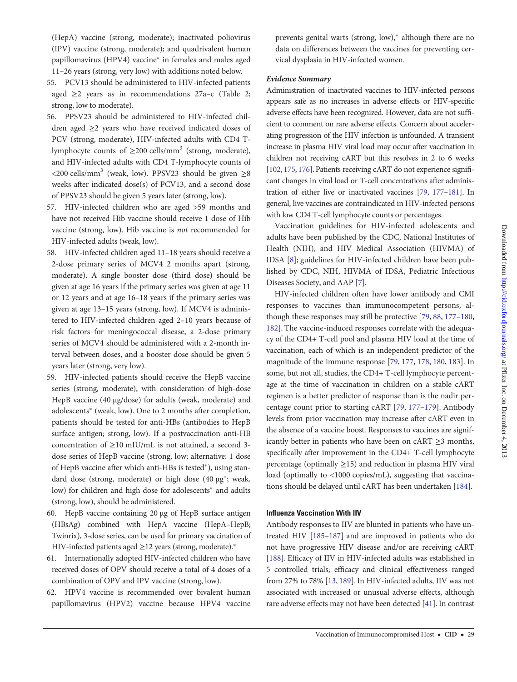(HepA) vaccine (strong, moderate); inactivated poliovirus (IPV) vaccine (strong, moderate); and quadrivalent human papillomavirus (HPV4) vaccine\* in females and males aged 11–26 years (strong, very low) with additions noted below.

- 55. PCV13 should be administered to HIV-infected patients aged ≥2 years as in recommendations 27a–c (Table [2;](#page-12-0) strong, low to moderate).
- 56. PPSV23 should be administered to HIV-infected children aged ≥2 years who have received indicated doses of PCV (strong, moderate), HIV-infected adults with CD4 Tlymphocyte counts of  $\geq$ 200 cells/mm<sup>3</sup> (strong, moderate), and HIV-infected adults with CD4 T-lymphocyte counts of <200 cells/mm<sup>3</sup> (weak, low). PPSV23 should be given  $\geq$ 8 weeks after indicated dose(s) of PCV13, and a second dose of PPSV23 should be given 5 years later (strong, low).
- 57. HIV-infected children who are aged >59 months and have not received Hib vaccine should receive 1 dose of Hib vaccine (strong, low). Hib vaccine is not recommended for HIV-infected adults (weak, low).
- 58. HIV-infected children aged 11–18 years should receive a 2-dose primary series of MCV4 2 months apart (strong, moderate). A single booster dose (third dose) should be given at age 16 years if the primary series was given at age 11 or 12 years and at age 16–18 years if the primary series was given at age 13–15 years (strong, low). If MCV4 is administered to HIV-infected children aged 2–10 years because of risk factors for meningococcal disease, a 2-dose primary series of MCV4 should be administered with a 2-month interval between doses, and a booster dose should be given 5 years later (strong, very low).
- 59. HIV-infected patients should receive the HepB vaccine series (strong, moderate), with consideration of high-dose HepB vaccine (40 µg/dose) for adults (weak, moderate) and adolescents<sup>\*</sup> (weak, low). One to 2 months after completion, patients should be tested for anti-HBs (antibodies to HepB surface antigen; strong, low). If a postvaccination anti-HB concentration of  $\geq$ 10 mIU/mL is not attained, a second 3dose series of HepB vaccine (strong, low; alternative: 1 dose of HepB vaccine after which anti-HBs is tested\*), using standard dose (strong, moderate) or high dose (40 µg<sup>\*</sup>; weak, low) for children and high dose for adolescents<sup>\*</sup> and adults (strong, low), should be administered.
- 60. HepB vaccine containing 20 µg of HepB surface antigen (HBsAg) combined with HepA vaccine (HepA–HepB; Twinrix), 3-dose series, can be used for primary vaccination of HIV-infected patients aged ≥12 years (strong, moderate).
- 61. Internationally adopted HIV-infected children who have received doses of OPV should receive a total of 4 doses of a combination of OPV and IPV vaccine (strong, low).
- 62. HPV4 vaccine is recommended over bivalent human papillomavirus (HPV2) vaccine because HPV4 vaccine

prevents genital warts (strong, low), $*$  although there are no data on differences between the vaccines for preventing cervical dysplasia in HIV-infected women.

#### Evidence Summary

Administration of inactivated vaccines to HIV-infected persons appears safe as no increases in adverse effects or HIV-specific adverse effects have been recognized. However, data are not sufficient to comment on rare adverse effects. Concern about accelerating progression of the HIV infection is unfounded. A transient increase in plasma HIV viral load may occur after vaccination in children not receiving cART but this resolves in 2 to 6 weeks [\[102](#page-45-0), [175](#page-47-0), [176\]](#page-47-0). Patients receiving cART do not experience significant changes in viral load or T-cell concentrations after administration of either live or inactivated vaccines [\[79,](#page-45-0) [177](#page-47-0)–[181\]](#page-47-0). In general, live vaccines are contraindicated in HIV-infected persons with low CD4 T-cell lymphocyte counts or percentages.

Vaccination guidelines for HIV-infected adolescents and adults have been published by the CDC, National Institutes of Health (NIH), and HIV Medical Association (HIVMA) of IDSA [[8\]](#page-43-0); guidelines for HIV-infected children have been published by CDC, NIH, HIVMA of IDSA, Pediatric Infectious Diseases Society, and AAP [\[7\]](#page-43-0).

HIV-infected children often have lower antibody and CMI responses to vaccines than immunocompetent persons, although these responses may still be protective [\[79,](#page-45-0) [88,](#page-45-0) [177](#page-47-0)–[180,](#page-47-0) [182\]](#page-47-0). The vaccine-induced responses correlate with the adequacy of the CD4+ T-cell pool and plasma HIV load at the time of vaccination, each of which is an independent predictor of the magnitude of the immune response [\[79](#page-45-0), [177](#page-47-0), [178](#page-47-0), [180](#page-47-0), [183](#page-47-0)]. In some, but not all, studies, the CD4+ T-cell lymphocyte percentage at the time of vaccination in children on a stable cART regimen is a better predictor of response than is the nadir percentage count prior to starting cART [\[79](#page-45-0), [177](#page-47-0)–[179](#page-47-0)]. Antibody levels from prior vaccination may increase after cART even in the absence of a vaccine boost. Responses to vaccines are significantly better in patients who have been on cART  $\geq$ 3 months, specifically after improvement in the CD4+ T-cell lymphocyte percentage (optimally ≥15) and reduction in plasma HIV viral load (optimally to <1000 copies/mL), suggesting that vaccinations should be delayed until cART has been undertaken [[184\]](#page-47-0).

# Influenza Vaccination With IIV

Antibody responses to IIV are blunted in patients who have untreated HIV [\[185](#page-47-0)–[187\]](#page-48-0) and are improved in patients who do not have progressive HIV disease and/or are receiving cART [\[188\]](#page-48-0). Efficacy of IIV in HIV-infected adults was established in 5 controlled trials; efficacy and clinical effectiveness ranged from 27% to 78% [[13,](#page-43-0) [189](#page-48-0)]. In HIV-infected adults, IIV was not associated with increased or unusual adverse effects, although rare adverse effects may not have been detected [\[41](#page-44-0)]. In contrast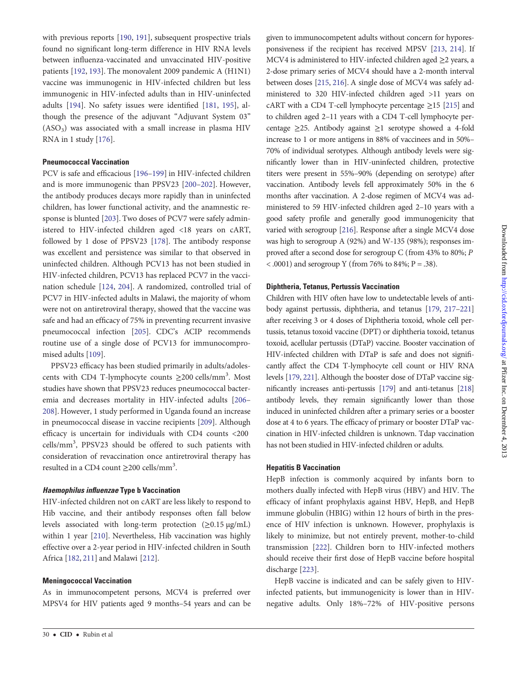with previous reports [[190](#page-48-0), [191\]](#page-48-0), subsequent prospective trials found no significant long-term difference in HIV RNA levels between influenza-vaccinated and unvaccinated HIV-positive patients [\[192](#page-48-0), [193\]](#page-48-0). The monovalent 2009 pandemic A (H1N1) vaccine was immunogenic in HIV-infected children but less immunogenic in HIV-infected adults than in HIV-uninfected adults [\[194](#page-48-0)]. No safety issues were identified [[181](#page-47-0), [195\]](#page-48-0), although the presence of the adjuvant "Adjuvant System 03"  $(ASO<sub>3</sub>)$  was associated with a small increase in plasma HIV RNA in 1 study [[176\]](#page-47-0).

## Pneumococcal Vaccination

PCV is safe and efficacious [\[196](#page-48-0)–[199\]](#page-48-0) in HIV-infected children and is more immunogenic than PPSV23 [\[200](#page-48-0)–[202](#page-48-0)]. However, the antibody produces decays more rapidly than in uninfected children, has lower functional activity, and the anamnestic response is blunted [[203](#page-48-0)]. Two doses of PCV7 were safely administered to HIV-infected children aged <18 years on cART, followed by 1 dose of PPSV23 [[178](#page-47-0)]. The antibody response was excellent and persistence was similar to that observed in uninfected children. Although PCV13 has not been studied in HIV-infected children, PCV13 has replaced PCV7 in the vaccination schedule [[124](#page-46-0), [204](#page-48-0)]. A randomized, controlled trial of PCV7 in HIV-infected adults in Malawi, the majority of whom were not on antiretroviral therapy, showed that the vaccine was safe and had an efficacy of 75% in preventing recurrent invasive pneumococcal infection [\[205\]](#page-48-0). CDC's ACIP recommends routine use of a single dose of PCV13 for immunocompromised adults [[109\]](#page-46-0).

PPSV23 efficacy has been studied primarily in adults/adolescents with CD4 T-lymphocyte counts ≥200 cells/mm<sup>3</sup>. Most studies have shown that PPSV23 reduces pneumococcal bacteremia and decreases mortality in HIV-infected adults [\[206](#page-48-0)– [208\]](#page-48-0). However, 1 study performed in Uganda found an increase in pneumococcal disease in vaccine recipients [\[209\]](#page-48-0). Although efficacy is uncertain for individuals with CD4 counts <200 cells/mm<sup>3</sup>, PPSV23 should be offered to such patients with consideration of revaccination once antiretroviral therapy has resulted in a CD4 count  $\geq$ 200 cells/mm<sup>3</sup>.

#### Haemophilus influenzae Type b Vaccination

HIV-infected children not on cART are less likely to respond to Hib vaccine, and their antibody responses often fall below levels associated with long-term protection  $(\geq 0.15 \text{ µg/mL})$ within 1 year [\[210\]](#page-48-0). Nevertheless, Hib vaccination was highly effective over a 2-year period in HIV-infected children in South Africa [[182](#page-47-0), [211\]](#page-48-0) and Malawi [[212\]](#page-48-0).

#### Meningococcal Vaccination

As in immunocompetent persons, MCV4 is preferred over MPSV4 for HIV patients aged 9 months–54 years and can be

given to immunocompetent adults without concern for hyporesponsiveness if the recipient has received MPSV [\[213](#page-48-0), [214](#page-48-0)]. If MCV4 is administered to HIV-infected children aged ≥2 years, a 2-dose primary series of MCV4 should have a 2-month interval between doses [[215,](#page-48-0) [216](#page-48-0)]. A single dose of MCV4 was safely administered to 320 HIV-infected children aged >11 years on cART with a CD4 T-cell lymphocyte percentage  $\geq$ 15 [\[215](#page-48-0)] and to children aged 2–11 years with a CD4 T-cell lymphocyte percentage ≥25. Antibody against ≥1 serotype showed a 4-fold increase to 1 or more antigens in 88% of vaccinees and in 50%– 70% of individual serotypes. Although antibody levels were significantly lower than in HIV-uninfected children, protective titers were present in 55%–90% (depending on serotype) after vaccination. Antibody levels fell approximately 50% in the 6 months after vaccination. A 2-dose regimen of MCV4 was administered to 59 HIV-infected children aged 2–10 years with a good safety profile and generally good immunogenicity that varied with serogroup [[216\]](#page-48-0). Response after a single MCV4 dose was high to serogroup A (92%) and W-135 (98%); responses improved after a second dose for serogroup C (from 43% to 80%; P  $< .0001$ ) and serogroup Y (from 76% to 84%; P = .38).

#### Diphtheria, Tetanus, Pertussis Vaccination

Children with HIV often have low to undetectable levels of antibody against pertussis, diphtheria, and tetanus [[179,](#page-47-0) [217](#page-48-0)–[221\]](#page-49-0) after receiving 3 or 4 doses of Diphtheria toxoid, whole cell pertussis, tetanus toxoid vaccine (DPT) or diphtheria toxoid, tetanus toxoid, acellular pertussis (DTaP) vaccine. Booster vaccination of HIV-infected children with DTaP is safe and does not significantly affect the CD4 T-lymphocyte cell count or HIV RNA levels [\[179](#page-47-0), [221](#page-49-0)]. Although the booster dose of DTaP vaccine significantly increases anti-pertussis [\[179\]](#page-47-0) and anti-tetanus [\[218\]](#page-48-0) antibody levels, they remain significantly lower than those induced in uninfected children after a primary series or a booster dose at 4 to 6 years. The efficacy of primary or booster DTaP vaccination in HIV-infected children is unknown. Tdap vaccination has not been studied in HIV-infected children or adults.

## Hepatitis B Vaccination

HepB infection is commonly acquired by infants born to mothers dually infected with HepB virus (HBV) and HIV. The efficacy of infant prophylaxis against HBV, HepB, and HepB immune globulin (HBIG) within 12 hours of birth in the presence of HIV infection is unknown. However, prophylaxis is likely to minimize, but not entirely prevent, mother-to-child transmission [\[222\]](#page-49-0). Children born to HIV-infected mothers should receive their first dose of HepB vaccine before hospital discharge [\[223\]](#page-49-0).

HepB vaccine is indicated and can be safely given to HIVinfected patients, but immunogenicity is lower than in HIVnegative adults. Only 18%–72% of HIV-positive persons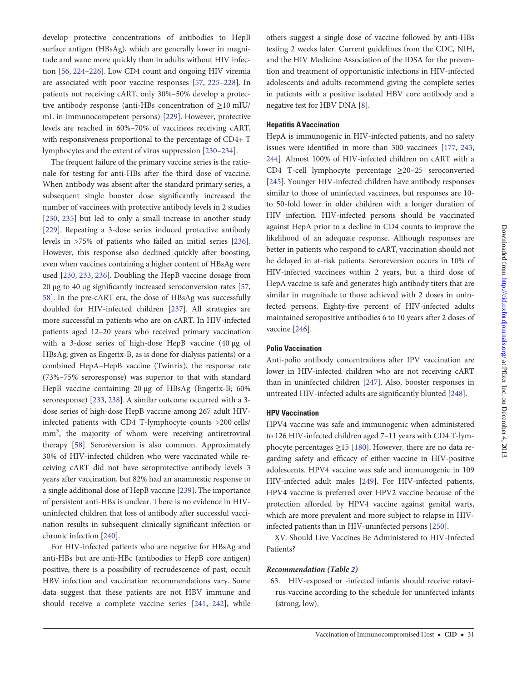develop protective concentrations of antibodies to HepB surface antigen (HBsAg), which are generally lower in magnitude and wane more quickly than in adults without HIV infection [\[56,](#page-44-0) [224](#page-49-0)–[226](#page-49-0)]. Low CD4 count and ongoing HIV viremia are associated with poor vaccine responses [\[57](#page-44-0), [225](#page-49-0)–[228\]](#page-49-0). In patients not receiving cART, only 30%–50% develop a protective antibody response (anti-HBs concentration of ≥10 mIU/ mL in immunocompetent persons) [\[229](#page-49-0)]. However, protective levels are reached in 60%–70% of vaccinees receiving cART, with responsiveness proportional to the percentage of CD4+ T lymphocytes and the extent of virus suppression [[230](#page-49-0)–[234\]](#page-49-0).

The frequent failure of the primary vaccine series is the rationale for testing for anti-HBs after the third dose of vaccine. When antibody was absent after the standard primary series, a subsequent single booster dose significantly increased the number of vaccinees with protective antibody levels in 2 studies [\[230,](#page-49-0) [235](#page-49-0)] but led to only a small increase in another study [\[229\]](#page-49-0). Repeating a 3-dose series induced protective antibody levels in >75% of patients who failed an initial series [[236\]](#page-49-0). However, this response also declined quickly after boosting, even when vaccines containing a higher content of HBsAg were used [[230](#page-49-0), [233,](#page-49-0) [236\]](#page-49-0). Doubling the HepB vaccine dosage from 20 µg to 40 µg significantly increased seroconversion rates [[57,](#page-44-0) [58](#page-44-0)]. In the pre-cART era, the dose of HBsAg was successfully doubled for HIV-infected children [[237](#page-49-0)]. All strategies are more successful in patients who are on cART. In HIV-infected patients aged 12–20 years who received primary vaccination with a 3-dose series of high-dose HepB vaccine (40 µg of HBsAg; given as Engerix-B, as is done for dialysis patients) or a combined HepA–HepB vaccine (Twinrix), the response rate (73%–75% seroresponse) was superior to that with standard HepB vaccine containing 20 µg of HBsAg (Engerix-B; 60% seroresponse) [\[233](#page-49-0), [238\]](#page-49-0). A similar outcome occurred with a 3 dose series of high-dose HepB vaccine among 267 adult HIVinfected patients with CD4 T-lymphocyte counts >200 cells/ mm<sup>3</sup>, the majority of whom were receiving antiretroviral therapy [[58\]](#page-44-0). Seroreversion is also common. Approximately 30% of HIV-infected children who were vaccinated while receiving cART did not have seroprotective antibody levels 3 years after vaccination, but 82% had an anamnestic response to a single additional dose of HepB vaccine [[239](#page-49-0)]. The importance of persistent anti-HBs is unclear. There is no evidence in HIVuninfected children that loss of antibody after successful vaccination results in subsequent clinically significant infection or chronic infection [[240](#page-49-0)].

For HIV-infected patients who are negative for HBsAg and anti-HBs but are anti-HBc (antibodies to HepB core antigen) positive, there is a possibility of recrudescence of past, occult HBV infection and vaccination recommendations vary. Some data suggest that these patients are not HBV immune and should receive a complete vaccine series [\[241,](#page-49-0) [242](#page-49-0)], while others suggest a single dose of vaccine followed by anti-HBs testing 2 weeks later. Current guidelines from the CDC, NIH, and the HIV Medicine Association of the IDSA for the prevention and treatment of opportunistic infections in HIV-infected adolescents and adults recommend giving the complete series in patients with a positive isolated HBV core antibody and a negative test for HBV DNA [[8\]](#page-43-0).

#### Hepatitis A Vaccination

HepA is immunogenic in HIV-infected patients, and no safety issues were identified in more than 300 vaccinees [[177,](#page-47-0) [243,](#page-49-0) [244\]](#page-49-0). Almost 100% of HIV-infected children on cART with a CD4 T-cell lymphocyte percentage ≥20–25 seroconverted [\[245\]](#page-49-0). Younger HIV-infected children have antibody responses similar to those of uninfected vaccinees, but responses are 10 to 50-fold lower in older children with a longer duration of HIV infection. HIV-infected persons should be vaccinated against HepA prior to a decline in CD4 counts to improve the likelihood of an adequate response. Although responses are better in patients who respond to cART, vaccination should not be delayed in at-risk patients. Seroreversion occurs in 10% of HIV-infected vaccinees within 2 years, but a third dose of HepA vaccine is safe and generates high antibody titers that are similar in magnitude to those achieved with 2 doses in uninfected persons. Eighty-five percent of HIV-infected adults maintained seropositive antibodies 6 to 10 years after 2 doses of vaccine [\[246\]](#page-49-0).

## Polio Vaccination

Anti-polio antibody concentrations after IPV vaccination are lower in HIV-infected children who are not receiving cART than in uninfected children [\[247](#page-49-0)]. Also, booster responses in untreated HIV-infected adults are significantly blunted [[248\]](#page-49-0).

## HPV Vaccination

HPV4 vaccine was safe and immunogenic when administered to 126 HIV-infected children aged 7–11 years with CD4 T-lymphocyte percentages  $\geq$ 15 [\[180\]](#page-47-0). However, there are no data regarding safety and efficacy of either vaccine in HIV-positive adolescents. HPV4 vaccine was safe and immunogenic in 109 HIV-infected adult males [[249\]](#page-49-0). For HIV-infected patients, HPV4 vaccine is preferred over HPV2 vaccine because of the protection afforded by HPV4 vaccine against genital warts, which are more prevalent and more subject to relapse in HIVinfected patients than in HIV-uninfected persons [[250](#page-49-0)].

XV. Should Live Vaccines Be Administered to HIV-Infected Patients?

#### Recommendation (Table [2\)](#page-12-0)

63. HIV-exposed or -infected infants should receive rotavirus vaccine according to the schedule for uninfected infants (strong, low).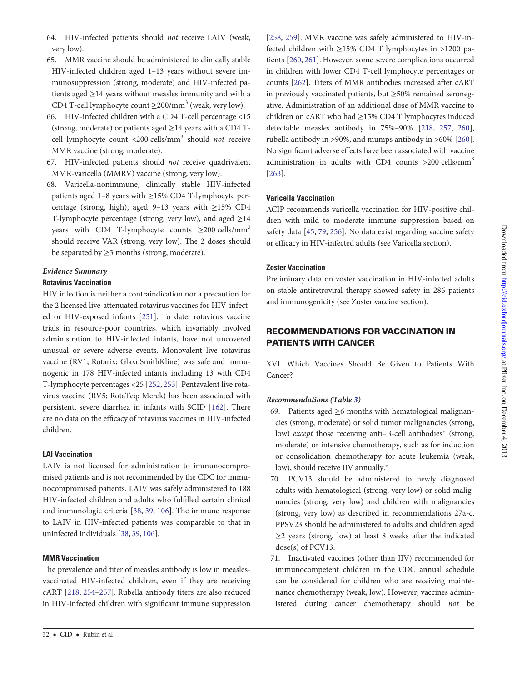- 64. HIV-infected patients should not receive LAIV (weak, very low).
- 65. MMR vaccine should be administered to clinically stable HIV-infected children aged 1–13 years without severe immunosuppression (strong, moderate) and HIV-infected patients aged ≥14 years without measles immunity and with a CD4 T-cell lymphocyte count  $\geq$ 200/mm<sup>3</sup> (weak, very low).
- 66. HIV-infected children with a CD4 T-cell percentage <15 (strong, moderate) or patients aged  $\geq$  14 years with a CD4 Tcell lymphocyte count  $\langle 200 \text{ cells/mm}^3 \rangle$  should *not* receive MMR vaccine (strong, moderate).
- 67. HIV-infected patients should not receive quadrivalent MMR-varicella (MMRV) vaccine (strong, very low).
- 68. Varicella-nonimmune, clinically stable HIV-infected patients aged 1–8 years with ≥15% CD4 T-lymphocyte percentage (strong, high), aged 9–13 years with ≥15% CD4 T-lymphocyte percentage (strong, very low), and aged  $\geq$ 14 years with CD4 T-lymphocyte counts  $\geq$ 200 cells/mm<sup>3</sup> should receive VAR (strong, very low). The 2 doses should be separated by  $\geq$ 3 months (strong, moderate).

## Evidence Summary

## Rotavirus Vaccination

HIV infection is neither a contraindication nor a precaution for the 2 licensed live-attenuated rotavirus vaccines for HIV-infected or HIV-exposed infants [[251\]](#page-49-0). To date, rotavirus vaccine trials in resource-poor countries, which invariably involved administration to HIV-infected infants, have not uncovered unusual or severe adverse events. Monovalent live rotavirus vaccine (RV1; Rotarix; GlaxoSmithKline) was safe and immunogenic in 178 HIV-infected infants including 13 with CD4 T-lymphocyte percentages <25 [\[252](#page-49-0), [253](#page-49-0)]. Pentavalent live rotavirus vaccine (RV5; RotaTeq; Merck) has been associated with persistent, severe diarrhea in infants with SCID [\[162\]](#page-47-0). There are no data on the efficacy of rotavirus vaccines in HIV-infected children.

## LAI Vaccination

LAIV is not licensed for administration to immunocompromised patients and is not recommended by the CDC for immunocompromised patients. LAIV was safely administered to 188 HIV-infected children and adults who fulfilled certain clinical and immunologic criteria [\[38](#page-44-0), [39,](#page-44-0) [106](#page-46-0)]. The immune response to LAIV in HIV-infected patients was comparable to that in uninfected individuals [[38,](#page-44-0) [39,](#page-44-0) [106\]](#page-46-0).

## MMR Vaccination

The prevalence and titer of measles antibody is low in measlesvaccinated HIV-infected children, even if they are receiving cART [\[218](#page-48-0), [254](#page-49-0)–[257\]](#page-49-0). Rubella antibody titers are also reduced in HIV-infected children with significant immune suppression [\[258,](#page-49-0) [259\]](#page-50-0). MMR vaccine was safely administered to HIV-infected children with ≥15% CD4 T lymphocytes in >1200 patients [\[260](#page-50-0), [261\]](#page-50-0). However, some severe complications occurred in children with lower CD4 T-cell lymphocyte percentages or counts [[262](#page-50-0)]. Titers of MMR antibodies increased after cART in previously vaccinated patients, but ≥50% remained seronegative. Administration of an additional dose of MMR vaccine to children on cART who had ≥15% CD4 T lymphocytes induced detectable measles antibody in 75%–90% [[218,](#page-48-0) [257,](#page-49-0) [260\]](#page-50-0), rubella antibody in >90%, and mumps antibody in >60% [[260\]](#page-50-0). No significant adverse effects have been associated with vaccine administration in adults with CD4 counts  $>$ 200 cells/mm<sup>3</sup> [\[263\]](#page-50-0).

## Varicella Vaccination

ACIP recommends varicella vaccination for HIV-positive children with mild to moderate immune suppression based on safety data [\[45](#page-44-0), [79,](#page-45-0) [256\]](#page-49-0). No data exist regarding vaccine safety or efficacy in HIV-infected adults (see Varicella section).

# Zoster Vaccination

Preliminary data on zoster vaccination in HIV-infected adults on stable antiretroviral therapy showed safety in 286 patients and immunogenicity (see Zoster vaccine section).

# RECOMMENDATIONS FOR VACCINATION IN PATIENTS WITH CANCER

XVI. Which Vaccines Should Be Given to Patients With Cancer?

# Recommendations (Table [3](#page-13-0))

- 69. Patients aged  $\geq$ 6 months with hematological malignancies (strong, moderate) or solid tumor malignancies (strong, low) except those receiving anti-B-cell antibodies<sup>\*</sup> (strong, moderate) or intensive chemotherapy, such as for induction or consolidation chemotherapy for acute leukemia (weak, low), should receive IIV annually.
- 70. PCV13 should be administered to newly diagnosed adults with hematological (strong, very low) or solid malignancies (strong, very low) and children with malignancies (strong, very low) as described in recommendations 27a-c. PPSV23 should be administered to adults and children aged  $\geq$ 2 years (strong, low) at least 8 weeks after the indicated dose(s) of PCV13.
- 71. Inactivated vaccines (other than IIV) recommended for immunocompetent children in the CDC annual schedule can be considered for children who are receiving maintenance chemotherapy (weak, low). However, vaccines administered during cancer chemotherapy should not be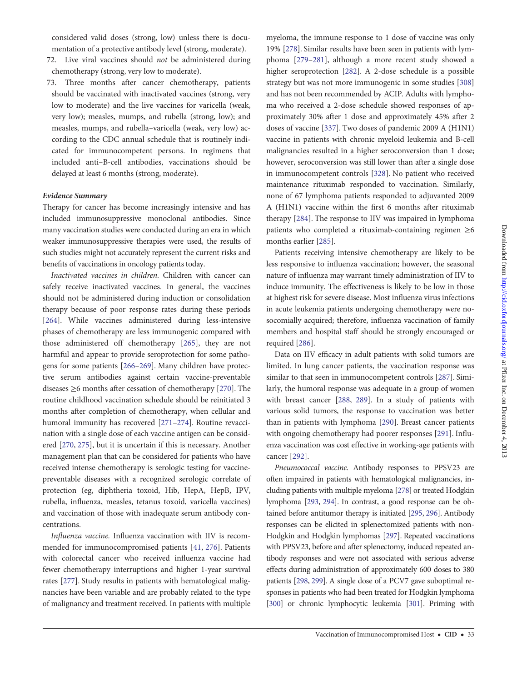considered valid doses (strong, low) unless there is documentation of a protective antibody level (strong, moderate).

- 72. Live viral vaccines should not be administered during chemotherapy (strong, very low to moderate).
- 73. Three months after cancer chemotherapy, patients should be vaccinated with inactivated vaccines (strong, very low to moderate) and the live vaccines for varicella (weak, very low); measles, mumps, and rubella (strong, low); and measles, mumps, and rubella–varicella (weak, very low) according to the CDC annual schedule that is routinely indicated for immunocompetent persons. In regimens that included anti–B-cell antibodies, vaccinations should be delayed at least 6 months (strong, moderate).

#### Evidence Summary

Therapy for cancer has become increasingly intensive and has included immunosuppressive monoclonal antibodies. Since many vaccination studies were conducted during an era in which weaker immunosuppressive therapies were used, the results of such studies might not accurately represent the current risks and benefits of vaccinations in oncology patients today.

Inactivated vaccines in children. Children with cancer can safely receive inactivated vaccines. In general, the vaccines should not be administered during induction or consolidation therapy because of poor response rates during these periods [\[264\]](#page-50-0). While vaccines administered during less-intensive phases of chemotherapy are less immunogenic compared with those administered off chemotherapy [[265\]](#page-50-0), they are not harmful and appear to provide seroprotection for some pathogens for some patients [[266](#page-50-0)–[269\]](#page-50-0). Many children have protective serum antibodies against certain vaccine-preventable diseases ≥6 months after cessation of chemotherapy [\[270\]](#page-50-0). The routine childhood vaccination schedule should be reinitiated 3 months after completion of chemotherapy, when cellular and humoral immunity has recovered [[271](#page-50-0)–[274](#page-50-0)]. Routine revaccination with a single dose of each vaccine antigen can be considered [\[270,](#page-50-0) [275\]](#page-50-0), but it is uncertain if this is necessary. Another management plan that can be considered for patients who have received intense chemotherapy is serologic testing for vaccinepreventable diseases with a recognized serologic correlate of protection (eg, diphtheria toxoid, Hib, HepA, HepB, IPV, rubella, influenza, measles, tetanus toxoid, varicella vaccines) and vaccination of those with inadequate serum antibody concentrations.

Influenza vaccine. Influenza vaccination with IIV is recommended for immunocompromised patients [\[41](#page-44-0), [276\]](#page-50-0). Patients with colorectal cancer who received influenza vaccine had fewer chemotherapy interruptions and higher 1-year survival rates [[277](#page-50-0)]. Study results in patients with hematological malignancies have been variable and are probably related to the type of malignancy and treatment received. In patients with multiple

myeloma, the immune response to 1 dose of vaccine was only 19% [\[278\]](#page-50-0). Similar results have been seen in patients with lymphoma [[279](#page-50-0)–[281\]](#page-50-0), although a more recent study showed a higher seroprotection [[282](#page-50-0)]. A 2-dose schedule is a possible strategy but was not more immunogenic in some studies [[308\]](#page-51-0) and has not been recommended by ACIP. Adults with lymphoma who received a 2-dose schedule showed responses of approximately 30% after 1 dose and approximately 45% after 2 doses of vaccine [\[337](#page-52-0)]. Two doses of pandemic 2009 A (H1N1) vaccine in patients with chronic myeloid leukemia and B-cell malignancies resulted in a higher seroconversion than 1 dose; however, seroconversion was still lower than after a single dose in immunocompetent controls [\[328](#page-51-0)]. No patient who received maintenance rituximab responded to vaccination. Similarly, none of 67 lymphoma patients responded to adjuvanted 2009 A (H1N1) vaccine within the first 6 months after rituximab therapy [\[284](#page-50-0)]. The response to IIV was impaired in lymphoma patients who completed a rituximab-containing regimen  $\geq 6$ months earlier [[285](#page-50-0)].

Patients receiving intensive chemotherapy are likely to be less responsive to influenza vaccination; however, the seasonal nature of influenza may warrant timely administration of IIV to induce immunity. The effectiveness is likely to be low in those at highest risk for severe disease. Most influenza virus infections in acute leukemia patients undergoing chemotherapy were nosocomially acquired; therefore, influenza vaccination of family members and hospital staff should be strongly encouraged or required [\[286\]](#page-50-0).

Data on IIV efficacy in adult patients with solid tumors are limited. In lung cancer patients, the vaccination response was similar to that seen in immunocompetent controls [\[287](#page-50-0)]. Similarly, the humoral response was adequate in a group of women with breast cancer [\[288](#page-50-0), [289](#page-50-0)]. In a study of patients with various solid tumors, the response to vaccination was better than in patients with lymphoma [[290](#page-50-0)]. Breast cancer patients with ongoing chemotherapy had poorer responses [\[291\]](#page-50-0). Influenza vaccination was cost effective in working-age patients with cancer [\[292\]](#page-50-0).

Pneumococcal vaccine. Antibody responses to PPSV23 are often impaired in patients with hematological malignancies, including patients with multiple myeloma [[278](#page-50-0)] or treated Hodgkin lymphoma [[293,](#page-50-0) [294](#page-50-0)]. In contrast, a good response can be obtained before antitumor therapy is initiated [\[295](#page-50-0), [296\]](#page-50-0). Antibody responses can be elicited in splenectomized patients with non-Hodgkin and Hodgkin lymphomas [\[297](#page-50-0)]. Repeated vaccinations with PPSV23, before and after splenectomy, induced repeated antibody responses and were not associated with serious adverse effects during administration of approximately 600 doses to 380 patients [\[298,](#page-51-0) [299\]](#page-51-0). A single dose of a PCV7 gave suboptimal responses in patients who had been treated for Hodgkin lymphoma [\[300](#page-51-0)] or chronic lymphocytic leukemia [[301\]](#page-51-0). Priming with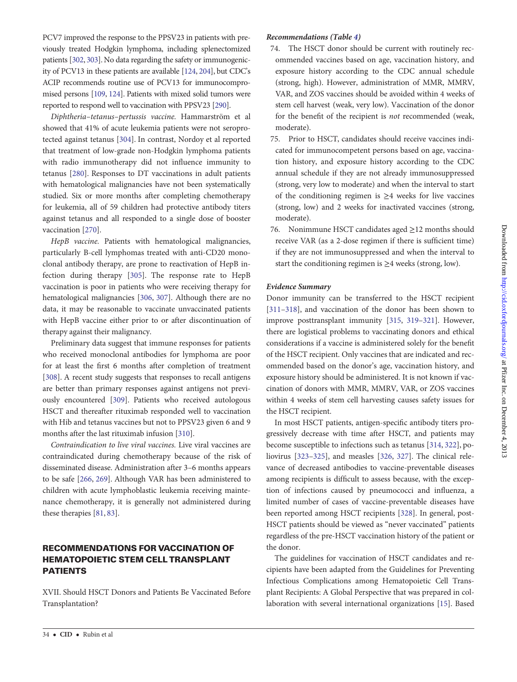PCV7 improved the response to the PPSV23 in patients with previously treated Hodgkin lymphoma, including splenectomized patients [[302,](#page-51-0) [303\]](#page-51-0). No data regarding the safety or immunogenicity of PCV13 in these patients are available [[124,](#page-46-0) [204\]](#page-48-0), but CDC's ACIP recommends routine use of PCV13 for immunocompromised persons [[109,](#page-46-0) [124](#page-46-0)]. Patients with mixed solid tumors were reported to respond well to vaccination with PPSV23 [[290](#page-50-0)].

Diphtheria–tetanus–pertussis vaccine. Hammarström et al showed that 41% of acute leukemia patients were not seroprotected against tetanus [\[304\]](#page-51-0). In contrast, Nordoy et al reported that treatment of low-grade non-Hodgkin lymphoma patients with radio immunotherapy did not influence immunity to tetanus [\[280\]](#page-50-0). Responses to DT vaccinations in adult patients with hematological malignancies have not been systematically studied. Six or more months after completing chemotherapy for leukemia, all of 59 children had protective antibody titers against tetanus and all responded to a single dose of booster vaccination [[270](#page-50-0)].

HepB vaccine. Patients with hematological malignancies, particularly B-cell lymphomas treated with anti-CD20 monoclonal antibody therapy, are prone to reactivation of HepB infection during therapy [\[305](#page-51-0)]. The response rate to HepB vaccination is poor in patients who were receiving therapy for hematological malignancies [[306,](#page-51-0) [307](#page-51-0)]. Although there are no data, it may be reasonable to vaccinate unvaccinated patients with HepB vaccine either prior to or after discontinuation of therapy against their malignancy.

Preliminary data suggest that immune responses for patients who received monoclonal antibodies for lymphoma are poor for at least the first 6 months after completion of treatment [\[308\]](#page-51-0). A recent study suggests that responses to recall antigens are better than primary responses against antigens not previously encountered [[309](#page-51-0)]. Patients who received autologous HSCT and thereafter rituximab responded well to vaccination with Hib and tetanus vaccines but not to PPSV23 given 6 and 9 months after the last rituximab infusion [[310](#page-51-0)].

Contraindication to live viral vaccines. Live viral vaccines are contraindicated during chemotherapy because of the risk of disseminated disease. Administration after 3–6 months appears to be safe [[266,](#page-50-0) [269\]](#page-50-0). Although VAR has been administered to children with acute lymphoblastic leukemia receiving maintenance chemotherapy, it is generally not administered during these therapies [\[81](#page-45-0), [83](#page-45-0)].

# RECOMMENDATIONS FOR VACCINATION OF HEMATOPOIETIC STEM CELL TRANSPLANT PATIENTS

XVII. Should HSCT Donors and Patients Be Vaccinated Before Transplantation?

#### Recommendations (Table [4](#page-14-0))

- 74. The HSCT donor should be current with routinely recommended vaccines based on age, vaccination history, and exposure history according to the CDC annual schedule (strong, high). However, administration of MMR, MMRV, VAR, and ZOS vaccines should be avoided within 4 weeks of stem cell harvest (weak, very low). Vaccination of the donor for the benefit of the recipient is not recommended (weak, moderate).
- 75. Prior to HSCT, candidates should receive vaccines indicated for immunocompetent persons based on age, vaccination history, and exposure history according to the CDC annual schedule if they are not already immunosuppressed (strong, very low to moderate) and when the interval to start of the conditioning regimen is  $\geq$ 4 weeks for live vaccines (strong, low) and 2 weeks for inactivated vaccines (strong, moderate).
- 76. Nonimmune HSCT candidates aged ≥12 months should receive VAR (as a 2-dose regimen if there is sufficient time) if they are not immunosuppressed and when the interval to start the conditioning regimen is ≥4 weeks (strong, low).

#### Evidence Summary

Donor immunity can be transferred to the HSCT recipient [\[311](#page-51-0)–[318](#page-51-0)], and vaccination of the donor has been shown to improve posttransplant immunity [\[315,](#page-51-0) [319](#page-51-0)–[321\]](#page-51-0). However, there are logistical problems to vaccinating donors and ethical considerations if a vaccine is administered solely for the benefit of the HSCT recipient. Only vaccines that are indicated and recommended based on the donor's age, vaccination history, and exposure history should be administered. It is not known if vaccination of donors with MMR, MMRV, VAR, or ZOS vaccines within 4 weeks of stem cell harvesting causes safety issues for the HSCT recipient.

In most HSCT patients, antigen-specific antibody titers progressively decrease with time after HSCT, and patients may become susceptible to infections such as tetanus [\[314](#page-51-0), [322\]](#page-51-0), poliovirus [\[323](#page-51-0)–[325](#page-51-0)], and measles [[326](#page-51-0), [327\]](#page-51-0). The clinical relevance of decreased antibodies to vaccine-preventable diseases among recipients is difficult to assess because, with the exception of infections caused by pneumococci and influenza, a limited number of cases of vaccine-preventable diseases have been reported among HSCT recipients [\[328\]](#page-51-0). In general, post-HSCT patients should be viewed as "never vaccinated" patients regardless of the pre-HSCT vaccination history of the patient or the donor.

The guidelines for vaccination of HSCT candidates and recipients have been adapted from the Guidelines for Preventing Infectious Complications among Hematopoietic Cell Transplant Recipients: A Global Perspective that was prepared in collaboration with several international organizations [\[15](#page-43-0)]. Based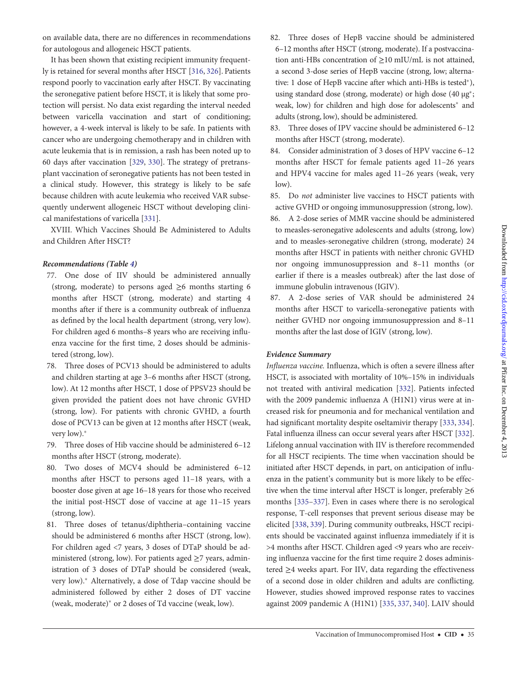on available data, there are no differences in recommendations for autologous and allogeneic HSCT patients.

It has been shown that existing recipient immunity frequently is retained for several months after HSCT [[316,](#page-51-0) [326\]](#page-51-0). Patients respond poorly to vaccination early after HSCT. By vaccinating the seronegative patient before HSCT, it is likely that some protection will persist. No data exist regarding the interval needed between varicella vaccination and start of conditioning; however, a 4-week interval is likely to be safe. In patients with cancer who are undergoing chemotherapy and in children with acute leukemia that is in remission, a rash has been noted up to 60 days after vaccination [[329](#page-51-0), [330\]](#page-51-0). The strategy of pretransplant vaccination of seronegative patients has not been tested in a clinical study. However, this strategy is likely to be safe because children with acute leukemia who received VAR subsequently underwent allogeneic HSCT without developing clinical manifestations of varicella [\[331](#page-51-0)].

XVIII. Which Vaccines Should Be Administered to Adults and Children After HSCT?

#### Recommendations (Table [4](#page-14-0))

- 77. One dose of IIV should be administered annually (strong, moderate) to persons aged  $\geq 6$  months starting 6 months after HSCT (strong, moderate) and starting 4 months after if there is a community outbreak of influenza as defined by the local health department (strong, very low). For children aged 6 months–8 years who are receiving influenza vaccine for the first time, 2 doses should be administered (strong, low).
- 78. Three doses of PCV13 should be administered to adults and children starting at age 3–6 months after HSCT (strong, low). At 12 months after HSCT, 1 dose of PPSV23 should be given provided the patient does not have chronic GVHD (strong, low). For patients with chronic GVHD, a fourth dose of PCV13 can be given at 12 months after HSCT (weak, very low).
- 79. Three doses of Hib vaccine should be administered 6–12 months after HSCT (strong, moderate).
- 80. Two doses of MCV4 should be administered 6–12 months after HSCT to persons aged 11–18 years, with a booster dose given at age 16–18 years for those who received the initial post-HSCT dose of vaccine at age 11–15 years (strong, low).
- 81. Three doses of tetanus/diphtheria–containing vaccine should be administered 6 months after HSCT (strong, low). For children aged <7 years, 3 doses of DTaP should be administered (strong, low). For patients aged  $\geq$ 7 years, administration of 3 doses of DTaP should be considered (weak, very low).\* Alternatively, a dose of Tdap vaccine should be administered followed by either 2 doses of DT vaccine (weak, moderate) $*$  or 2 doses of Td vaccine (weak, low).
- 82. Three doses of HepB vaccine should be administered 6–12 months after HSCT (strong, moderate). If a postvaccination anti-HBs concentration of ≥10 mIU/mL is not attained, a second 3-dose series of HepB vaccine (strong, low; alternative: 1 dose of HepB vaccine after which anti-HBs is tested\*), using standard dose (strong, moderate) or high dose (40  $\mu$ g<sup>\*</sup>; weak, low) for children and high dose for adolescents<sup>\*</sup> and adults (strong, low), should be administered.
- 83. Three doses of IPV vaccine should be administered 6–12 months after HSCT (strong, moderate).
- 84. Consider administration of 3 doses of HPV vaccine 6–12 months after HSCT for female patients aged 11–26 years and HPV4 vaccine for males aged 11–26 years (weak, very low).
- 85. Do not administer live vaccines to HSCT patients with active GVHD or ongoing immunosuppression (strong, low).
- 86. A 2-dose series of MMR vaccine should be administered to measles-seronegative adolescents and adults (strong, low) and to measles-seronegative children (strong, moderate) 24 months after HSCT in patients with neither chronic GVHD nor ongoing immunosuppression and 8–11 months (or earlier if there is a measles outbreak) after the last dose of immune globulin intravenous (IGIV).
- 87. A 2-dose series of VAR should be administered 24 months after HSCT to varicella-seronegative patients with neither GVHD nor ongoing immunosuppression and 8–11 months after the last dose of IGIV (strong, low).

#### Evidence Summary

Influenza vaccine. Influenza, which is often a severe illness after HSCT, is associated with mortality of 10%–15% in individuals not treated with antiviral medication [\[332](#page-51-0)]. Patients infected with the 2009 pandemic influenza A (H1N1) virus were at increased risk for pneumonia and for mechanical ventilation and had significant mortality despite oseltamivir therapy [\[333](#page-51-0), [334\]](#page-51-0). Fatal influenza illness can occur several years after HSCT [[332\]](#page-51-0). Lifelong annual vaccination with IIV is therefore recommended for all HSCT recipients. The time when vaccination should be initiated after HSCT depends, in part, on anticipation of influenza in the patient's community but is more likely to be effective when the time interval after HSCT is longer, preferably  $\geq 6$ months [\[335](#page-51-0)–[337](#page-52-0)]. Even in cases where there is no serological response, T-cell responses that prevent serious disease may be elicited [[338](#page-52-0), [339\]](#page-52-0). During community outbreaks, HSCT recipients should be vaccinated against influenza immediately if it is >4 months after HSCT. Children aged <9 years who are receiving influenza vaccine for the first time require 2 doses administered ≥4 weeks apart. For IIV, data regarding the effectiveness of a second dose in older children and adults are conflicting. However, studies showed improved response rates to vaccines against 2009 pandemic A (H1N1) [\[335,](#page-51-0) [337](#page-52-0), [340\]](#page-52-0). LAIV should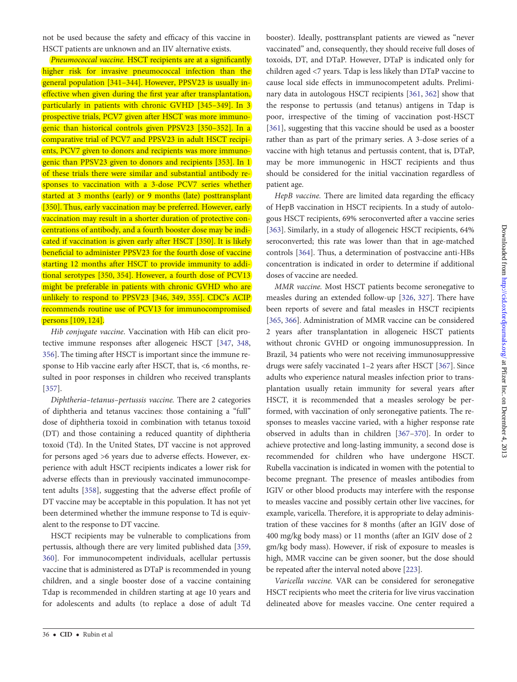not be used because the safety and efficacy of this vaccine in HSCT patients are unknown and an IIV alternative exists.

Pneumococcal vaccine. HSCT recipients are at a significantly higher risk for invasive pneumococcal infection than the general population [\[341](#page-52-0)–[344\]](#page-52-0). However, PPSV23 is usually ineffective when given during the first year after transplantation, particularly in patients with chronic GVHD [\[345](#page-52-0)–[349](#page-52-0)]. In 3 prospective trials, PCV7 given after HSCT was more immunogenic than historical controls given PPSV23 [\[350](#page-52-0)–[352\]](#page-52-0). In a comparative trial of PCV7 and PPSV23 in adult HSCT recipients, PCV7 given to donors and recipients was more immunogenic than PPSV23 given to donors and recipients [\[353](#page-52-0)]. In 1 of these trials there were similar and substantial antibody responses to vaccination with a 3-dose PCV7 series whether started at 3 months (early) or 9 months (late) posttransplant [\[350\]](#page-52-0). Thus, early vaccination may be preferred. However, early vaccination may result in a shorter duration of protective concentrations of antibody, and a fourth booster dose may be indicated if vaccination is given early after HSCT [[350](#page-52-0)]. It is likely beneficial to administer PPSV23 for the fourth dose of vaccine starting 12 months after HSCT to provide immunity to additional serotypes [[350](#page-52-0), [354\]](#page-52-0). However, a fourth dose of PCV13 might be preferable in patients with chronic GVHD who are unlikely to respond to PPSV23 [\[346,](#page-52-0) [349,](#page-52-0) [355\]](#page-52-0). CDC's ACIP recommends routine use of PCV13 for immunocompromised persons [[109](#page-46-0), [124\]](#page-46-0).

Hib conjugate vaccine. Vaccination with Hib can elicit protective immune responses after allogeneic HSCT [\[347,](#page-52-0) [348,](#page-52-0) [356\]](#page-52-0). The timing after HSCT is important since the immune response to Hib vaccine early after HSCT, that is, <6 months, resulted in poor responses in children who received transplants [\[357\]](#page-52-0).

Diphtheria–tetanus–pertussis vaccine. There are 2 categories of diphtheria and tetanus vaccines: those containing a "full" dose of diphtheria toxoid in combination with tetanus toxoid (DT) and those containing a reduced quantity of diphtheria toxoid (Td). In the United States, DT vaccine is not approved for persons aged >6 years due to adverse effects. However, experience with adult HSCT recipients indicates a lower risk for adverse effects than in previously vaccinated immunocompetent adults [\[358\]](#page-52-0), suggesting that the adverse effect profile of DT vaccine may be acceptable in this population. It has not yet been determined whether the immune response to Td is equivalent to the response to DT vaccine.

HSCT recipients may be vulnerable to complications from pertussis, although there are very limited published data [\[359,](#page-52-0) [360\]](#page-52-0). For immunocompetent individuals, acellular pertussis vaccine that is administered as DTaP is recommended in young children, and a single booster dose of a vaccine containing Tdap is recommended in children starting at age 10 years and for adolescents and adults (to replace a dose of adult Td booster). Ideally, posttransplant patients are viewed as "never vaccinated" and, consequently, they should receive full doses of toxoids, DT, and DTaP. However, DTaP is indicated only for children aged <7 years. Tdap is less likely than DTaP vaccine to cause local side effects in immunocompetent adults. Preliminary data in autologous HSCT recipients [[361,](#page-52-0) [362\]](#page-52-0) show that the response to pertussis (and tetanus) antigens in Tdap is poor, irrespective of the timing of vaccination post-HSCT [\[361\]](#page-52-0), suggesting that this vaccine should be used as a booster rather than as part of the primary series. A 3-dose series of a vaccine with high tetanus and pertussis content, that is, DTaP, may be more immunogenic in HSCT recipients and thus should be considered for the initial vaccination regardless of patient age.

HepB vaccine. There are limited data regarding the efficacy of HepB vaccination in HSCT recipients. In a study of autologous HSCT recipients, 69% seroconverted after a vaccine series [\[363\]](#page-52-0). Similarly, in a study of allogeneic HSCT recipients, 64% seroconverted; this rate was lower than that in age-matched controls [[364\]](#page-52-0). Thus, a determination of postvaccine anti-HBs concentration is indicated in order to determine if additional doses of vaccine are needed.

MMR vaccine. Most HSCT patients become seronegative to measles during an extended follow-up [\[326](#page-51-0), [327\]](#page-51-0). There have been reports of severe and fatal measles in HSCT recipients [\[365,](#page-52-0) [366\]](#page-52-0). Administration of MMR vaccine can be considered 2 years after transplantation in allogeneic HSCT patients without chronic GVHD or ongoing immunosuppression. In Brazil, 34 patients who were not receiving immunosuppressive drugs were safely vaccinated 1–2 years after HSCT [[367](#page-52-0)]. Since adults who experience natural measles infection prior to transplantation usually retain immunity for several years after HSCT, it is recommended that a measles serology be performed, with vaccination of only seronegative patients. The responses to measles vaccine varied, with a higher response rate observed in adults than in children [\[367](#page-52-0)–[370](#page-52-0)]. In order to achieve protective and long-lasting immunity, a second dose is recommended for children who have undergone HSCT. Rubella vaccination is indicated in women with the potential to become pregnant. The presence of measles antibodies from IGIV or other blood products may interfere with the response to measles vaccine and possibly certain other live vaccines, for example, varicella. Therefore, it is appropriate to delay administration of these vaccines for 8 months (after an IGIV dose of 400 mg/kg body mass) or 11 months (after an IGIV dose of 2 gm/kg body mass). However, if risk of exposure to measles is high, MMR vaccine can be given sooner, but the dose should be repeated after the interval noted above [\[223\]](#page-49-0).

Varicella vaccine. VAR can be considered for seronegative HSCT recipients who meet the criteria for live virus vaccination delineated above for measles vaccine. One center required a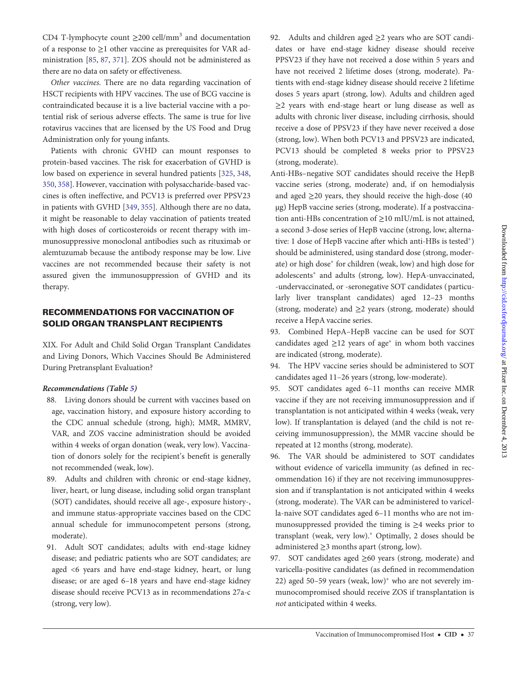CD4 T-lymphocyte count  $\geq$ 200 cell/mm<sup>3</sup> and documentation of a response to  $\geq$ 1 other vaccine as prerequisites for VAR administration [[85,](#page-45-0) [87,](#page-45-0) [371\]](#page-52-0). ZOS should not be administered as there are no data on safety or effectiveness.

Other vaccines. There are no data regarding vaccination of HSCT recipients with HPV vaccines. The use of BCG vaccine is contraindicated because it is a live bacterial vaccine with a potential risk of serious adverse effects. The same is true for live rotavirus vaccines that are licensed by the US Food and Drug Administration only for young infants.

Patients with chronic GVHD can mount responses to protein-based vaccines. The risk for exacerbation of GVHD is low based on experience in several hundred patients [\[325,](#page-51-0) [348,](#page-52-0) [350,](#page-52-0) [358](#page-52-0)]. However, vaccination with polysaccharide-based vaccines is often ineffective, and PCV13 is preferred over PPSV23 in patients with GVHD [\[349,](#page-52-0) [355](#page-52-0)]. Although there are no data, it might be reasonable to delay vaccination of patients treated with high doses of corticosteroids or recent therapy with immunosuppressive monoclonal antibodies such as rituximab or alemtuzumab because the antibody response may be low. Live vaccines are not recommended because their safety is not assured given the immunosuppression of GVHD and its therapy.

# RECOMMENDATIONS FOR VACCINATION OF SOLID ORGAN TRANSPLANT RECIPIENTS

XIX. For Adult and Child Solid Organ Transplant Candidates and Living Donors, Which Vaccines Should Be Administered During Pretransplant Evaluation?

## Recommendations (Table [5](#page-15-0))

- 88. Living donors should be current with vaccines based on age, vaccination history, and exposure history according to the CDC annual schedule (strong, high); MMR, MMRV, VAR, and ZOS vaccine administration should be avoided within 4 weeks of organ donation (weak, very low). Vaccination of donors solely for the recipient's benefit is generally not recommended (weak, low).
- 89. Adults and children with chronic or end-stage kidney, liver, heart, or lung disease, including solid organ transplant (SOT) candidates, should receive all age-, exposure history-, and immune status-appropriate vaccines based on the CDC annual schedule for immunocompetent persons (strong, moderate).
- 91. Adult SOT candidates; adults with end-stage kidney disease; and pediatric patients who are SOT candidates; are aged <6 years and have end-stage kidney, heart, or lung disease; or are aged 6–18 years and have end-stage kidney disease should receive PCV13 as in recommendations 27a-c (strong, very low).
- 92. Adults and children aged  $\geq$ 2 years who are SOT candidates or have end-stage kidney disease should receive PPSV23 if they have not received a dose within 5 years and have not received 2 lifetime doses (strong, moderate). Patients with end-stage kidney disease should receive 2 lifetime doses 5 years apart (strong, low). Adults and children aged ≥2 years with end-stage heart or lung disease as well as adults with chronic liver disease, including cirrhosis, should receive a dose of PPSV23 if they have never received a dose (strong, low). When both PCV13 and PPSV23 are indicated, PCV13 should be completed 8 weeks prior to PPSV23 (strong, moderate).
- Anti-HBs–negative SOT candidates should receive the HepB vaccine series (strong, moderate) and, if on hemodialysis and aged  $\geq$ 20 years, they should receive the high-dose (40 µg) HepB vaccine series (strong, moderate). If a postvaccination anti-HBs concentration of ≥10 mIU/mL is not attained, a second 3-dose series of HepB vaccine (strong, low; alternative: 1 dose of HepB vaccine after which anti-HBs is tested<sup>\*</sup>) should be administered, using standard dose (strong, moderate) or high dose\* for children (weak, low) and high dose for adolescents<sup>\*</sup> and adults (strong, low). HepA-unvaccinated, -undervaccinated, or -seronegative SOT candidates ( particularly liver transplant candidates) aged 12–23 months (strong, moderate) and  $\geq$ 2 years (strong, moderate) should receive a HepA vaccine series.
- 93. Combined HepA–HepB vaccine can be used for SOT candidates aged  $\geq$ 12 years of age<sup>\*</sup> in whom both vaccines are indicated (strong, moderate).
- 94. The HPV vaccine series should be administered to SOT candidates aged 11–26 years (strong, low-moderate).
- 95. SOT candidates aged 6–11 months can receive MMR vaccine if they are not receiving immunosuppression and if transplantation is not anticipated within 4 weeks (weak, very low). If transplantation is delayed (and the child is not receiving immunosuppression), the MMR vaccine should be repeated at 12 months (strong, moderate).
- 96. The VAR should be administered to SOT candidates without evidence of varicella immunity (as defined in recommendation 16) if they are not receiving immunosuppression and if transplantation is not anticipated within 4 weeks (strong, moderate). The VAR can be administered to varicella-naive SOT candidates aged 6–11 months who are not immunosuppressed provided the timing is  $\geq 4$  weeks prior to transplant (weak, very low).\* Optimally, 2 doses should be administered ≥3 months apart (strong, low).
- 97. SOT candidates aged ≥60 years (strong, moderate) and varicella-positive candidates (as defined in recommendation 22) aged 50-59 years (weak, low)\* who are not severely immunocompromised should receive ZOS if transplantation is not anticipated within 4 weeks.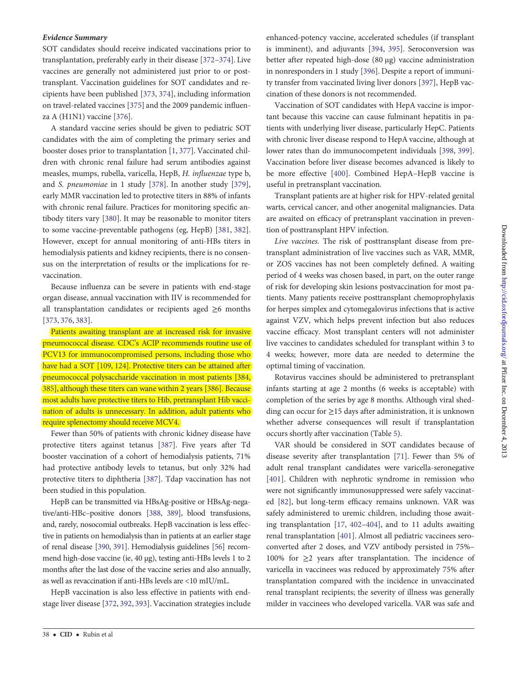# Evidence Summary

SOT candidates should receive indicated vaccinations prior to transplantation, preferably early in their disease [\[372](#page-52-0)–[374](#page-52-0)]. Live vaccines are generally not administered just prior to or posttransplant. Vaccination guidelines for SOT candidates and recipients have been published [[373](#page-52-0), [374](#page-52-0)], including information on travel-related vaccines [\[375\]](#page-52-0) and the 2009 pandemic influenza A (H1N1) vaccine [\[376](#page-52-0)].

A standard vaccine series should be given to pediatric SOT candidates with the aim of completing the primary series and booster doses prior to transplantation [\[1,](#page-43-0) [377](#page-53-0)]. Vaccinated children with chronic renal failure had serum antibodies against measles, mumps, rubella, varicella, HepB, H. influenzae type b, and S. pneumoniae in 1 study [\[378\]](#page-53-0). In another study [[379\]](#page-53-0), early MMR vaccination led to protective titers in 88% of infants with chronic renal failure. Practices for monitoring specific antibody titers vary [\[380](#page-53-0)]. It may be reasonable to monitor titers to some vaccine-preventable pathogens (eg, HepB) [[381](#page-53-0), [382\]](#page-53-0). However, except for annual monitoring of anti-HBs titers in hemodialysis patients and kidney recipients, there is no consensus on the interpretation of results or the implications for revaccination.

Because influenza can be severe in patients with end-stage organ disease, annual vaccination with IIV is recommended for all transplantation candidates or recipients aged  $\geq$ 6 months [\[373,](#page-52-0) [376](#page-52-0), [383\]](#page-53-0).

Patients awaiting transplant are at increased risk for invasive pneumococcal disease. CDC's ACIP recommends routine use of PCV13 for immunocompromised persons, including those who have had a SOT [\[109,](#page-46-0) [124](#page-46-0)]. Protective titers can be attained after pneumococcal polysaccharide vaccination in most patients [[384,](#page-53-0) [385](#page-53-0)], although these titers can wane within 2 years [\[386](#page-53-0)]. Because most adults have protective titers to Hib, pretransplant Hib vaccination of adults is unnecessary. In addition, adult patients who require splenectomy should receive MCV4.

Fewer than 50% of patients with chronic kidney disease have protective titers against tetanus [[387](#page-53-0)]. Five years after Td booster vaccination of a cohort of hemodialysis patients, 71% had protective antibody levels to tetanus, but only 32% had protective titers to diphtheria [[387\]](#page-53-0). Tdap vaccination has not been studied in this population.

HepB can be transmitted via HBsAg-positive or HBsAg-negative/anti-HBc–positive donors [\[388,](#page-53-0) [389\]](#page-53-0), blood transfusions, and, rarely, nosocomial outbreaks. HepB vaccination is less effective in patients on hemodialysis than in patients at an earlier stage of renal disease [\[390,](#page-53-0) [391](#page-53-0)]. Hemodialysis guidelines [[56](#page-44-0)] recommend high-dose vaccine (ie, 40 µg), testing anti-HBs levels 1 to 2 months after the last dose of the vaccine series and also annually, as well as revaccination if anti-HBs levels are <10 mIU/mL.

HepB vaccination is also less effective in patients with endstage liver disease [\[372](#page-52-0), [392,](#page-53-0) [393\]](#page-53-0). Vaccination strategies include enhanced-potency vaccine, accelerated schedules (if transplant is imminent), and adjuvants [\[394](#page-53-0), [395\]](#page-53-0). Seroconversion was better after repeated high-dose (80 μg) vaccine administration in nonresponders in 1 study [\[396](#page-53-0)]. Despite a report of immunity transfer from vaccinated living liver donors [[397\]](#page-53-0), HepB vaccination of these donors is not recommended.

Vaccination of SOT candidates with HepA vaccine is important because this vaccine can cause fulminant hepatitis in patients with underlying liver disease, particularly HepC. Patients with chronic liver disease respond to HepA vaccine, although at lower rates than do immunocompetent individuals [[398](#page-53-0), [399\]](#page-53-0). Vaccination before liver disease becomes advanced is likely to be more effective [\[400](#page-53-0)]. Combined HepA–HepB vaccine is useful in pretransplant vaccination.

Transplant patients are at higher risk for HPV-related genital warts, cervical cancer, and other anogenital malignancies. Data are awaited on efficacy of pretransplant vaccination in prevention of posttransplant HPV infection.

Live vaccines. The risk of posttransplant disease from pretransplant administration of live vaccines such as VAR, MMR, or ZOS vaccines has not been completely defined. A waiting period of 4 weeks was chosen based, in part, on the outer range of risk for developing skin lesions postvaccination for most patients. Many patients receive posttransplant chemoprophylaxis for herpes simplex and cytomegalovirus infections that is active against VZV, which helps prevent infection but also reduces vaccine efficacy. Most transplant centers will not administer live vaccines to candidates scheduled for transplant within 3 to 4 weeks; however, more data are needed to determine the optimal timing of vaccination.

Rotavirus vaccines should be administered to pretransplant infants starting at age 2 months (6 weeks is acceptable) with completion of the series by age 8 months. Although viral shedding can occur for ≥15 days after administration, it is unknown whether adverse consequences will result if transplantation occurs shortly after vaccination (Table [5](#page-15-0)).

VAR should be considered in SOT candidates because of disease severity after transplantation [[71\]](#page-45-0). Fewer than 5% of adult renal transplant candidates were varicella-seronegative [\[401\]](#page-53-0). Children with nephrotic syndrome in remission who were not significantly immunosuppressed were safely vaccinated [\[82](#page-45-0)], but long-term efficacy remains unknown. VAR was safely administered to uremic children, including those awaiting transplantation [\[17](#page-43-0), [402](#page-53-0)–[404](#page-53-0)], and to 11 adults awaiting renal transplantation [[401](#page-53-0)]. Almost all pediatric vaccinees seroconverted after 2 doses, and VZV antibody persisted in 75%– 100% for ≥2 years after transplantation. The incidence of varicella in vaccinees was reduced by approximately 75% after transplantation compared with the incidence in unvaccinated renal transplant recipients; the severity of illness was generally milder in vaccinees who developed varicella. VAR was safe and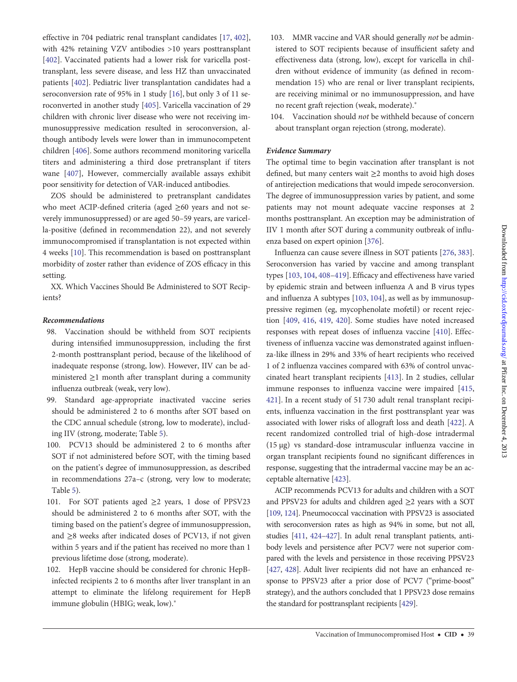effective in 704 pediatric renal transplant candidates [\[17](#page-43-0), [402\]](#page-53-0), with 42% retaining VZV antibodies >10 years posttransplant [\[402\]](#page-53-0). Vaccinated patients had a lower risk for varicella posttransplant, less severe disease, and less HZ than unvaccinated patients [\[402\]](#page-53-0). Pediatric liver transplantation candidates had a seroconversion rate of 95% in 1 study [\[16\]](#page-43-0), but only 3 of 11 seroconverted in another study [[405](#page-53-0)]. Varicella vaccination of 29 children with chronic liver disease who were not receiving immunosuppressive medication resulted in seroconversion, although antibody levels were lower than in immunocompetent children [\[406\]](#page-53-0). Some authors recommend monitoring varicella titers and administering a third dose pretransplant if titers wane [[407](#page-53-0)], However, commercially available assays exhibit poor sensitivity for detection of VAR-induced antibodies.

ZOS should be administered to pretransplant candidates who meet ACIP-defined criteria (aged ≥60 years and not severely immunosuppressed) or are aged 50–59 years, are varicella-positive (defined in recommendation 22), and not severely immunocompromised if transplantation is not expected within 4 weeks [\[10](#page-43-0)]. This recommendation is based on posttransplant morbidity of zoster rather than evidence of ZOS efficacy in this setting.

XX. Which Vaccines Should Be Administered to SOT Recipients?

## Recommendations

- 98. Vaccination should be withheld from SOT recipients during intensified immunosuppression, including the first 2-month posttransplant period, because of the likelihood of inadequate response (strong, low). However, IIV can be administered  $\geq 1$  month after transplant during a community influenza outbreak (weak, very low).
- 99. Standard age-appropriate inactivated vaccine series should be administered 2 to 6 months after SOT based on the CDC annual schedule (strong, low to moderate), including IIV (strong, moderate; Table [5](#page-15-0)).
- 100. PCV13 should be administered 2 to 6 months after SOT if not administered before SOT, with the timing based on the patient's degree of immunosuppression, as described in recommendations 27a–c (strong, very low to moderate; Table [5](#page-15-0)).
- 101. For SOT patients aged ≥2 years, 1 dose of PPSV23 should be administered 2 to 6 months after SOT, with the timing based on the patient's degree of immunosuppression, and ≥8 weeks after indicated doses of PCV13, if not given within 5 years and if the patient has received no more than 1 previous lifetime dose (strong, moderate).
- 102. HepB vaccine should be considered for chronic HepBinfected recipients 2 to 6 months after liver transplant in an attempt to eliminate the lifelong requirement for HepB immune globulin (HBIG; weak, low).
- 103. MMR vaccine and VAR should generally not be administered to SOT recipients because of insufficient safety and effectiveness data (strong, low), except for varicella in children without evidence of immunity (as defined in recommendation 15) who are renal or liver transplant recipients, are receiving minimal or no immunosuppression, and have no recent graft rejection (weak, moderate).
- 104. Vaccination should not be withheld because of concern about transplant organ rejection (strong, moderate).

#### Evidence Summary

The optimal time to begin vaccination after transplant is not defined, but many centers wait ≥2 months to avoid high doses of antirejection medications that would impede seroconversion. The degree of immunosuppression varies by patient, and some patients may not mount adequate vaccine responses at 2 months posttransplant. An exception may be administration of IIV 1 month after SOT during a community outbreak of influenza based on expert opinion [[376\]](#page-52-0).

Influenza can cause severe illness in SOT patients [\[276,](#page-50-0) [383\]](#page-53-0). Seroconversion has varied by vaccine and among transplant types [\[103,](#page-45-0) [104](#page-45-0), [408](#page-53-0)–[419](#page-54-0)]. Efficacy and effectiveness have varied by epidemic strain and between influenza A and B virus types and influenza A subtypes [[103](#page-45-0), [104\]](#page-45-0), as well as by immunosuppressive regimen (eg, mycophenolate mofetil) or recent rejection [\[409](#page-53-0), [416](#page-53-0), [419](#page-54-0), [420](#page-54-0)]. Some studies have noted increased responses with repeat doses of influenza vaccine [[410](#page-53-0)]. Effectiveness of influenza vaccine was demonstrated against influenza-like illness in 29% and 33% of heart recipients who received 1 of 2 influenza vaccines compared with 63% of control unvaccinated heart transplant recipients [\[413](#page-53-0)]. In 2 studies, cellular immune responses to influenza vaccine were impaired [\[415,](#page-53-0) [421\]](#page-54-0). In a recent study of 51 730 adult renal transplant recipients, influenza vaccination in the first posttransplant year was associated with lower risks of allograft loss and death [[422\]](#page-54-0). A recent randomized controlled trial of high-dose intradermal (15 µg) vs standard-dose intramuscular influenza vaccine in organ transplant recipients found no significant differences in response, suggesting that the intradermal vaccine may be an acceptable alternative [\[423\]](#page-54-0).

ACIP recommends PCV13 for adults and children with a SOT and PPSV23 for adults and children aged  $\geq$ 2 years with a SOT [\[109](#page-46-0), [124\]](#page-46-0). Pneumococcal vaccination with PPSV23 is associated with seroconversion rates as high as 94% in some, but not all, studies [[411](#page-53-0), [424](#page-54-0)–[427](#page-54-0)]. In adult renal transplant patients, antibody levels and persistence after PCV7 were not superior compared with the levels and persistence in those receiving PPSV23 [\[427](#page-54-0), [428\]](#page-54-0). Adult liver recipients did not have an enhanced response to PPSV23 after a prior dose of PCV7 ("prime-boost" strategy), and the authors concluded that 1 PPSV23 dose remains the standard for posttransplant recipients [\[429\]](#page-54-0).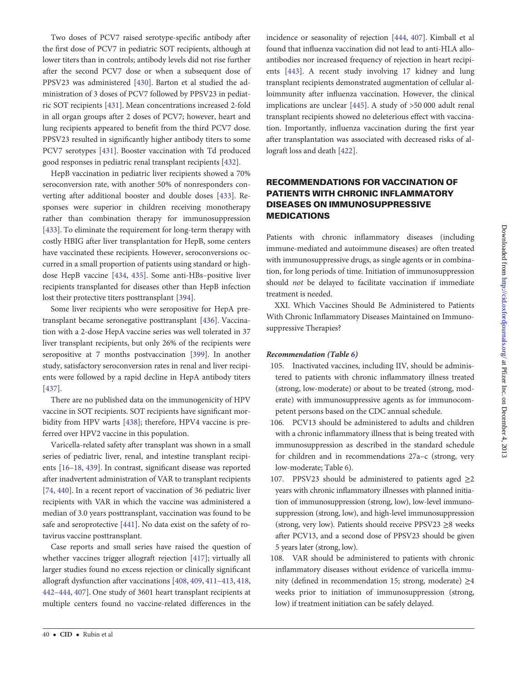Two doses of PCV7 raised serotype-specific antibody after the first dose of PCV7 in pediatric SOT recipients, although at lower titers than in controls; antibody levels did not rise further after the second PCV7 dose or when a subsequent dose of PPSV23 was administered [[430\]](#page-54-0). Barton et al studied the administration of 3 doses of PCV7 followed by PPSV23 in pediatric SOT recipients [\[431](#page-54-0)]. Mean concentrations increased 2-fold in all organ groups after 2 doses of PCV7; however, heart and lung recipients appeared to benefit from the third PCV7 dose. PPSV23 resulted in significantly higher antibody titers to some PCV7 serotypes [[431\]](#page-54-0). Booster vaccination with Td produced good responses in pediatric renal transplant recipients [\[432](#page-54-0)].

HepB vaccination in pediatric liver recipients showed a 70% seroconversion rate, with another 50% of nonresponders converting after additional booster and double doses [\[433\]](#page-54-0). Responses were superior in children receiving monotherapy rather than combination therapy for immunosuppression [\[433\]](#page-54-0). To eliminate the requirement for long-term therapy with costly HBIG after liver transplantation for HepB, some centers have vaccinated these recipients. However, seroconversions occurred in a small proportion of patients using standard or highdose HepB vaccine [[434](#page-54-0), [435\]](#page-54-0). Some anti-HBs–positive liver recipients transplanted for diseases other than HepB infection lost their protective titers posttransplant [\[394](#page-53-0)].

Some liver recipients who were seropositive for HepA pretransplant became seronegative posttransplant [[436\]](#page-54-0). Vaccination with a 2-dose HepA vaccine series was well tolerated in 37 liver transplant recipients, but only 26% of the recipients were seropositive at 7 months postvaccination [[399](#page-53-0)]. In another study, satisfactory seroconversion rates in renal and liver recipients were followed by a rapid decline in HepA antibody titers [\[437\]](#page-54-0).

There are no published data on the immunogenicity of HPV vaccine in SOT recipients. SOT recipients have significant morbidity from HPV warts [\[438](#page-54-0)]; therefore, HPV4 vaccine is preferred over HPV2 vaccine in this population.

Varicella-related safety after transplant was shown in a small series of pediatric liver, renal, and intestine transplant recipients [[16](#page-43-0)–[18,](#page-43-0) [439](#page-54-0)]. In contrast, significant disease was reported after inadvertent administration of VAR to transplant recipients [\[74](#page-45-0), [440](#page-54-0)]. In a recent report of vaccination of 36 pediatric liver recipients with VAR in which the vaccine was administered a median of 3.0 years posttransplant, vaccination was found to be safe and seroprotective [\[441\]](#page-54-0). No data exist on the safety of rotavirus vaccine posttransplant.

Case reports and small series have raised the question of whether vaccines trigger allograft rejection [[417](#page-53-0)]; virtually all larger studies found no excess rejection or clinically significant allograft dysfunction after vaccinations [[408,](#page-53-0) [409](#page-53-0), [411](#page-53-0)–[413](#page-53-0), [418,](#page-54-0) [442](#page-54-0)–[444](#page-54-0), [407\]](#page-53-0). One study of 3601 heart transplant recipients at multiple centers found no vaccine-related differences in the incidence or seasonality of rejection [\[444,](#page-54-0) [407\]](#page-53-0). Kimball et al found that influenza vaccination did not lead to anti-HLA alloantibodies nor increased frequency of rejection in heart recipients [\[443](#page-54-0)]. A recent study involving 17 kidney and lung transplant recipients demonstrated augmentation of cellular alloimmunity after influenza vaccination. However, the clinical implications are unclear [[445\]](#page-54-0). A study of >50 000 adult renal transplant recipients showed no deleterious effect with vaccination. Importantly, influenza vaccination during the first year after transplantation was associated with decreased risks of allograft loss and death [\[422](#page-54-0)].

# RECOMMENDATIONS FOR VACCINATION OF PATIENTS WITH CHRONIC INFLAMMATORY DISEASES ON IMMUNOSUPPRESSIVE MEDICATIONS

Patients with chronic inflammatory diseases (including immune-mediated and autoimmune diseases) are often treated with immunosuppressive drugs, as single agents or in combination, for long periods of time. Initiation of immunosuppression should not be delayed to facilitate vaccination if immediate treatment is needed.

XXI. Which Vaccines Should Be Administered to Patients With Chronic Inflammatory Diseases Maintained on Immunosuppressive Therapies?

#### Recommendation (Table [6\)](#page-16-0)

- 105. Inactivated vaccines, including IIV, should be administered to patients with chronic inflammatory illness treated (strong, low-moderate) or about to be treated (strong, moderate) with immunosuppressive agents as for immunocompetent persons based on the CDC annual schedule.
- 106. PCV13 should be administered to adults and children with a chronic inflammatory illness that is being treated with immunosuppression as described in the standard schedule for children and in recommendations 27a–c (strong, very low-moderate; Table [6\)](#page-16-0).
- 107. PPSV23 should be administered to patients aged  $\geq$ 2 years with chronic inflammatory illnesses with planned initiation of immunosuppression (strong, low), low-level immunosuppression (strong, low), and high-level immunosuppression (strong, very low). Patients should receive PPSV23 ≥8 weeks after PCV13, and a second dose of PPSV23 should be given 5 years later (strong, low).
- 108. VAR should be administered to patients with chronic inflammatory diseases without evidence of varicella immunity (defined in recommendation 15; strong, moderate)  $\geq 4$ weeks prior to initiation of immunosuppression (strong, low) if treatment initiation can be safely delayed.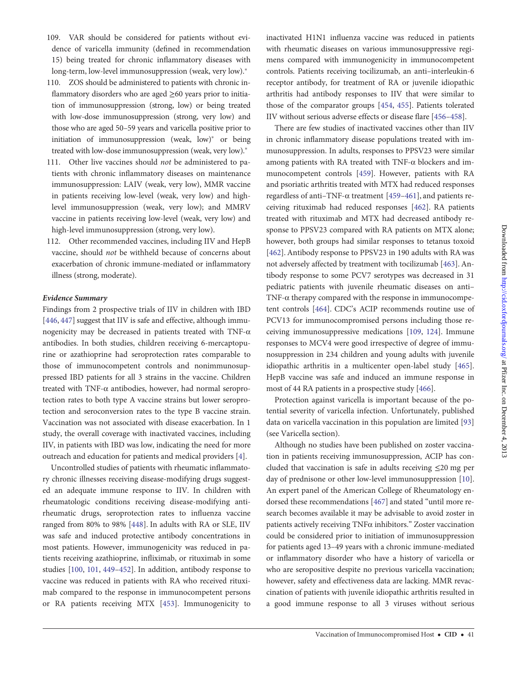- 109. VAR should be considered for patients without evidence of varicella immunity (defined in recommendation 15) being treated for chronic inflammatory diseases with long-term, low-level immunosuppression (weak, very low).
- 110. ZOS should be administered to patients with chronic inflammatory disorders who are aged ≥60 years prior to initiation of immunosuppression (strong, low) or being treated with low-dose immunosuppression (strong, very low) and those who are aged 50–59 years and varicella positive prior to initiation of immunosuppression (weak,  $low$ )\* or being treated with low-dose immunosuppression (weak, very low).
- 111. Other live vaccines should not be administered to patients with chronic inflammatory diseases on maintenance immunosuppression: LAIV (weak, very low), MMR vaccine in patients receiving low-level (weak, very low) and highlevel immunosuppression (weak, very low); and MMRV vaccine in patients receiving low-level (weak, very low) and high-level immunosuppression (strong, very low).
- 112. Other recommended vaccines, including IIV and HepB vaccine, should not be withheld because of concerns about exacerbation of chronic immune-mediated or inflammatory illness (strong, moderate).

#### Evidence Summary

Findings from 2 prospective trials of IIV in children with IBD [\[446,](#page-54-0) [447](#page-54-0)] suggest that IIV is safe and effective, although immunogenicity may be decreased in patients treated with TNF-α antibodies. In both studies, children receiving 6-mercaptopurine or azathioprine had seroprotection rates comparable to those of immunocompetent controls and nonimmunosuppressed IBD patients for all 3 strains in the vaccine. Children treated with TNF-α antibodies, however, had normal seroprotection rates to both type A vaccine strains but lower seroprotection and seroconversion rates to the type B vaccine strain. Vaccination was not associated with disease exacerbation. In 1 study, the overall coverage with inactivated vaccines, including IIV, in patients with IBD was low, indicating the need for more outreach and education for patients and medical providers [[4](#page-43-0)].

Uncontrolled studies of patients with rheumatic inflammatory chronic illnesses receiving disease-modifying drugs suggested an adequate immune response to IIV. In children with rheumatologic conditions receiving disease-modifying antirheumatic drugs, seroprotection rates to influenza vaccine ranged from 80% to 98% [\[448\]](#page-54-0). In adults with RA or SLE, IIV was safe and induced protective antibody concentrations in most patients. However, immunogenicity was reduced in patients receiving azathioprine, infliximab, or rituximab in some studies [\[100](#page-45-0), [101,](#page-45-0) [449](#page-54-0)–[452\]](#page-54-0). In addition, antibody response to vaccine was reduced in patients with RA who received rituximab compared to the response in immunocompetent persons or RA patients receiving MTX [[453](#page-54-0)]. Immunogenicity to

inactivated H1N1 influenza vaccine was reduced in patients with rheumatic diseases on various immunosuppressive regimens compared with immunogenicity in immunocompetent controls. Patients receiving tocilizumab, an anti–interleukin-6 receptor antibody, for treatment of RA or juvenile idiopathic arthritis had antibody responses to IIV that were similar to those of the comparator groups [\[454,](#page-54-0) [455\]](#page-54-0). Patients tolerated IIV without serious adverse effects or disease flare [[456](#page-54-0)–[458\]](#page-54-0).

There are few studies of inactivated vaccines other than IIV in chronic inflammatory disease populations treated with immunosuppression. In adults, responses to PPSV23 were similar among patients with RA treated with TNF- $\alpha$  blockers and immunocompetent controls [\[459](#page-54-0)]. However, patients with RA and psoriatic arthritis treated with MTX had reduced responses regardless of anti–TNF-α treatment [[459](#page-54-0)–[461\]](#page-55-0), and patients receiving rituximab had reduced responses [[462](#page-55-0)]. RA patients treated with rituximab and MTX had decreased antibody response to PPSV23 compared with RA patients on MTX alone; however, both groups had similar responses to tetanus toxoid [\[462\]](#page-55-0). Antibody response to PPSV23 in 190 adults with RA was not adversely affected by treatment with tocilizumab [\[463\]](#page-55-0). Antibody response to some PCV7 serotypes was decreased in 31 pediatric patients with juvenile rheumatic diseases on anti– TNF- $\alpha$  therapy compared with the response in immunocompetent controls [\[464\]](#page-55-0). CDC's ACIP recommends routine use of PCV13 for immunocompromised persons including those receiving immunosuppressive medications [\[109,](#page-46-0) [124](#page-46-0)]. Immune responses to MCV4 were good irrespective of degree of immunosuppression in 234 children and young adults with juvenile idiopathic arthritis in a multicenter open-label study [[465\]](#page-55-0). HepB vaccine was safe and induced an immune response in most of 44 RA patients in a prospective study [\[466\]](#page-55-0).

Protection against varicella is important because of the potential severity of varicella infection. Unfortunately, published data on varicella vaccination in this population are limited [[93\]](#page-45-0) (see Varicella section).

Although no studies have been published on zoster vaccination in patients receiving immunosuppression, ACIP has concluded that vaccination is safe in adults receiving ≤20 mg per day of prednisone or other low-level immunosuppression [\[10\]](#page-43-0). An expert panel of the American College of Rheumatology endorsed these recommendations [\[467\]](#page-55-0) and stated "until more research becomes available it may be advisable to avoid zoster in patients actively receiving TNFα inhibitors." Zoster vaccination could be considered prior to initiation of immunosuppression for patients aged 13–49 years with a chronic immune-mediated or inflammatory disorder who have a history of varicella or who are seropositive despite no previous varicella vaccination; however, safety and effectiveness data are lacking. MMR revaccination of patients with juvenile idiopathic arthritis resulted in a good immune response to all 3 viruses without serious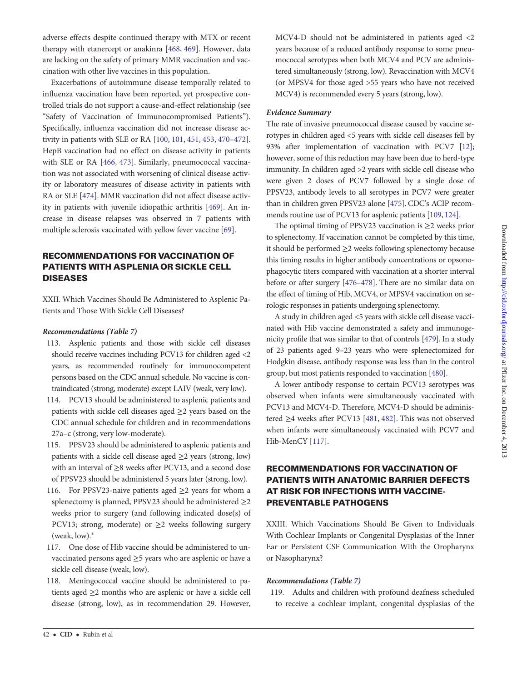adverse effects despite continued therapy with MTX or recent therapy with etanercept or anakinra [\[468,](#page-55-0) [469\]](#page-55-0). However, data are lacking on the safety of primary MMR vaccination and vaccination with other live vaccines in this population.

Exacerbations of autoimmune disease temporally related to influenza vaccination have been reported, yet prospective controlled trials do not support a cause-and-effect relationship (see "Safety of Vaccination of Immunocompromised Patients"). Specifically, influenza vaccination did not increase disease activity in patients with SLE or RA [\[100,](#page-45-0) [101,](#page-45-0) [451,](#page-54-0) [453](#page-54-0), [470](#page-55-0)–[472\]](#page-55-0). HepB vaccination had no effect on disease activity in patients with SLE or RA [\[466](#page-55-0), [473\]](#page-55-0). Similarly, pneumococcal vaccination was not associated with worsening of clinical disease activity or laboratory measures of disease activity in patients with RA or SLE [[474](#page-55-0)]. MMR vaccination did not affect disease activity in patients with juvenile idiopathic arthritis [\[469](#page-55-0)]. An increase in disease relapses was observed in 7 patients with multiple sclerosis vaccinated with yellow fever vaccine [[69](#page-45-0)].

# RECOMMENDATIONS FOR VACCINATION OF PATIENTS WITH ASPLENIA OR SICKLE CELL DISEASES

XXII. Which Vaccines Should Be Administered to Asplenic Patients and Those With Sickle Cell Diseases?

## Recommendations (Table [7](#page-17-0))

- 113. Asplenic patients and those with sickle cell diseases should receive vaccines including PCV13 for children aged <2 years, as recommended routinely for immunocompetent persons based on the CDC annual schedule. No vaccine is contraindicated (strong, moderate) except LAIV (weak, very low).
- 114. PCV13 should be administered to asplenic patients and patients with sickle cell diseases aged ≥2 years based on the CDC annual schedule for children and in recommendations 27a–c (strong, very low-moderate).
- 115. PPSV23 should be administered to asplenic patients and patients with a sickle cell disease aged  $\geq$ 2 years (strong, low) with an interval of ≥8 weeks after PCV13, and a second dose of PPSV23 should be administered 5 years later (strong, low).
- 116. For PPSV23-naive patients aged  $\geq$ 2 years for whom a splenectomy is planned, PPSV23 should be administered  $\geq$ 2 weeks prior to surgery (and following indicated dose(s) of PCV13; strong, moderate) or  $\geq$ 2 weeks following surgery (weak, low).
- 117. One dose of Hib vaccine should be administered to unvaccinated persons aged ≥5 years who are asplenic or have a sickle cell disease (weak, low).
- 118. Meningococcal vaccine should be administered to patients aged ≥2 months who are asplenic or have a sickle cell disease (strong, low), as in recommendation 29. However,

MCV4-D should not be administered in patients aged <2 years because of a reduced antibody response to some pneumococcal serotypes when both MCV4 and PCV are administered simultaneously (strong, low). Revaccination with MCV4 (or MPSV4 for those aged >55 years who have not received MCV4) is recommended every 5 years (strong, low).

#### Evidence Summary

The rate of invasive pneumococcal disease caused by vaccine serotypes in children aged <5 years with sickle cell diseases fell by 93% after implementation of vaccination with PCV7 [[12\]](#page-43-0); however, some of this reduction may have been due to herd-type immunity. In children aged >2 years with sickle cell disease who were given 2 doses of PCV7 followed by a single dose of PPSV23, antibody levels to all serotypes in PCV7 were greater than in children given PPSV23 alone [\[475\]](#page-55-0). CDC's ACIP recommends routine use of PCV13 for asplenic patients [[109](#page-46-0), [124](#page-46-0)].

The optimal timing of PPSV23 vaccination is ≥2 weeks prior to splenectomy. If vaccination cannot be completed by this time, it should be performed ≥2 weeks following splenectomy because this timing results in higher antibody concentrations or opsonophagocytic titers compared with vaccination at a shorter interval before or after surgery [\[476](#page-55-0)–[478](#page-55-0)]. There are no similar data on the effect of timing of Hib, MCV4, or MPSV4 vaccination on serologic responses in patients undergoing splenectomy.

A study in children aged <5 years with sickle cell disease vaccinated with Hib vaccine demonstrated a safety and immunogenicity profile that was similar to that of controls [[479\]](#page-55-0). In a study of 23 patients aged 9–23 years who were splenectomized for Hodgkin disease, antibody response was less than in the control group, but most patients responded to vaccination [[480](#page-55-0)].

A lower antibody response to certain PCV13 serotypes was observed when infants were simultaneously vaccinated with PCV13 and MCV4-D. Therefore, MCV4-D should be administered ≥4 weeks after PCV13 [\[481,](#page-55-0) [482\]](#page-55-0). This was not observed when infants were simultaneously vaccinated with PCV7 and Hib-MenCY [[117\]](#page-46-0).

# RECOMMENDATIONS FOR VACCINATION OF PATIENTS WITH ANATOMIC BARRIER DEFECTS AT RISK FOR INFECTIONS WITH VACCINE-PREVENTABLE PATHOGENS

XXIII. Which Vaccinations Should Be Given to Individuals With Cochlear Implants or Congenital Dysplasias of the Inner Ear or Persistent CSF Communication With the Oropharynx or Nasopharynx?

## Recommendations (Table [7](#page-17-0))

119. Adults and children with profound deafness scheduled to receive a cochlear implant, congenital dysplasias of the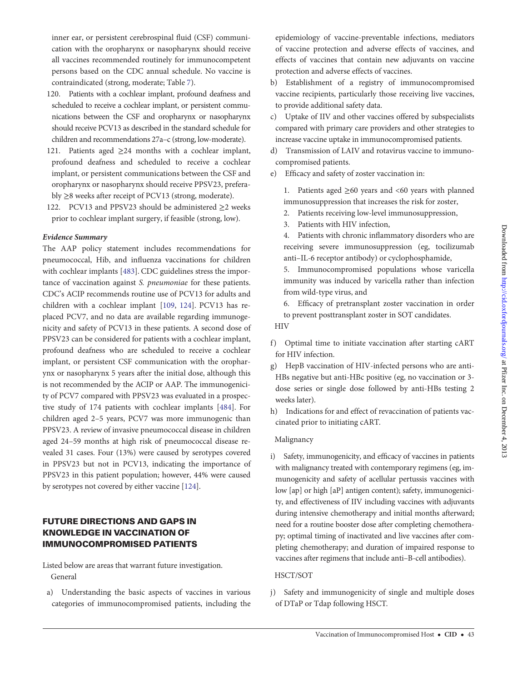inner ear, or persistent cerebrospinal fluid (CSF) communication with the oropharynx or nasopharynx should receive all vaccines recommended routinely for immunocompetent persons based on the CDC annual schedule. No vaccine is contraindicated (strong, moderate; Table [7](#page-17-0)).

- 120. Patients with a cochlear implant, profound deafness and scheduled to receive a cochlear implant, or persistent communications between the CSF and oropharynx or nasopharynx should receive PCV13 as described in the standard schedule for children and recommendations 27a–c (strong, low-moderate).
- 121. Patients aged ≥24 months with a cochlear implant, profound deafness and scheduled to receive a cochlear implant, or persistent communications between the CSF and oropharynx or nasopharynx should receive PPSV23, preferably ≥8 weeks after receipt of PCV13 (strong, moderate).
- 122. PCV13 and PPSV23 should be administered ≥2 weeks prior to cochlear implant surgery, if feasible (strong, low).

## Evidence Summary

The AAP policy statement includes recommendations for pneumococcal, Hib, and influenza vaccinations for children with cochlear implants [\[483\]](#page-55-0). CDC guidelines stress the importance of vaccination against S. pneumoniae for these patients. CDC's ACIP recommends routine use of PCV13 for adults and children with a cochlear implant [\[109,](#page-46-0) [124](#page-46-0)]. PCV13 has replaced PCV7, and no data are available regarding immunogenicity and safety of PCV13 in these patients. A second dose of PPSV23 can be considered for patients with a cochlear implant, profound deafness who are scheduled to receive a cochlear implant, or persistent CSF communication with the oropharynx or nasopharynx 5 years after the initial dose, although this is not recommended by the ACIP or AAP. The immunogenicity of PCV7 compared with PPSV23 was evaluated in a prospective study of 174 patients with cochlear implants [\[484\]](#page-55-0). For children aged 2–5 years, PCV7 was more immunogenic than PPSV23. A review of invasive pneumococcal disease in children aged 24–59 months at high risk of pneumococcal disease revealed 31 cases. Four (13%) were caused by serotypes covered in PPSV23 but not in PCV13, indicating the importance of PPSV23 in this patient population; however, 44% were caused by serotypes not covered by either vaccine [[124](#page-46-0)].

# FUTURE DIRECTIONS AND GAPS IN KNOWLEDGE IN VACCINATION OF IMMUNOCOMPROMISED PATIENTS

Listed below are areas that warrant future investigation. General

a) Understanding the basic aspects of vaccines in various categories of immunocompromised patients, including the epidemiology of vaccine-preventable infections, mediators of vaccine protection and adverse effects of vaccines, and effects of vaccines that contain new adjuvants on vaccine protection and adverse effects of vaccines.

- b) Establishment of a registry of immunocompromised vaccine recipients, particularly those receiving live vaccines, to provide additional safety data.
- c) Uptake of IIV and other vaccines offered by subspecialists compared with primary care providers and other strategies to increase vaccine uptake in immunocompromised patients.
- d) Transmission of LAIV and rotavirus vaccine to immunocompromised patients.
- e) Efficacy and safety of zoster vaccination in:

1. Patients aged  $\geq 60$  years and <60 years with planned immunosuppression that increases the risk for zoster,

- 2. Patients receiving low-level immunosuppression,
- 3. Patients with HIV infection,

4. Patients with chronic inflammatory disorders who are receiving severe immunosuppression (eg, tocilizumab anti–IL-6 receptor antibody) or cyclophosphamide,

5. Immunocompromised populations whose varicella immunity was induced by varicella rather than infection from wild-type virus, and

6. Efficacy of pretransplant zoster vaccination in order to prevent posttransplant zoster in SOT candidates.

**HIV** 

- f) Optimal time to initiate vaccination after starting cART for HIV infection.
- g) HepB vaccination of HIV-infected persons who are anti-HBs negative but anti-HBc positive (eg, no vaccination or 3 dose series or single dose followed by anti-HBs testing 2 weeks later).
- h) Indications for and effect of revaccination of patients vaccinated prior to initiating cART.

## Malignancy

i) Safety, immunogenicity, and efficacy of vaccines in patients with malignancy treated with contemporary regimens (eg, immunogenicity and safety of acellular pertussis vaccines with low [ap] or high [aP] antigen content); safety, immunogenicity, and effectiveness of IIV including vaccines with adjuvants during intensive chemotherapy and initial months afterward; need for a routine booster dose after completing chemotherapy; optimal timing of inactivated and live vaccines after completing chemotherapy; and duration of impaired response to vaccines after regimens that include anti–B-cell antibodies).

#### HSCT/SOT

j) Safety and immunogenicity of single and multiple doses of DTaP or Tdap following HSCT.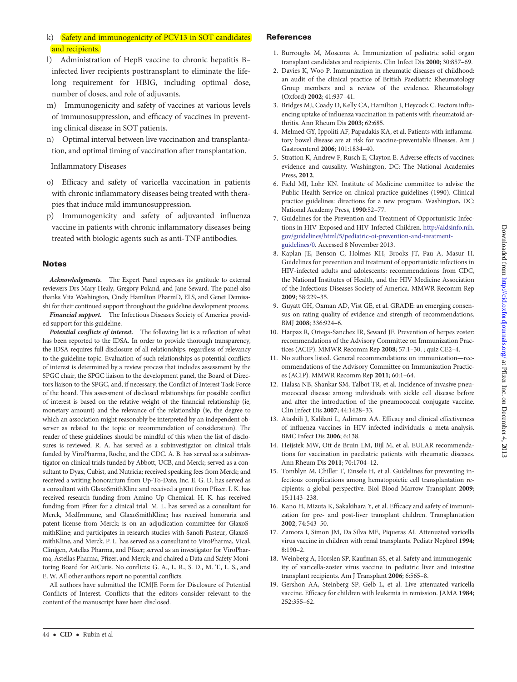# <span id="page-43-0"></span>k) Safety and immunogenicity of PCV13 in SOT candidates and recipients.

- l) Administration of HepB vaccine to chronic hepatitis B– infected liver recipients posttransplant to eliminate the lifelong requirement for HBIG, including optimal dose, number of doses, and role of adjuvants.
- m) Immunogenicity and safety of vaccines at various levels of immunosuppression, and efficacy of vaccines in preventing clinical disease in SOT patients.
- n) Optimal interval between live vaccination and transplantation, and optimal timing of vaccination after transplantation.

## Inflammatory Diseases

- o) Efficacy and safety of varicella vaccination in patients with chronic inflammatory diseases being treated with therapies that induce mild immunosuppression.
- p) Immunogenicity and safety of adjuvanted influenza vaccine in patients with chronic inflammatory diseases being treated with biologic agents such as anti-TNF antibodies.

## **Notes**

Acknowledgments. The Expert Panel expresses its gratitude to external reviewers Drs Mary Healy, Gregory Poland, and Jane Seward. The panel also thanks Vita Washington, Cindy Hamilton PharmD, ELS, and Genet Demisashi for their continued support throughout the guideline development process.

#### Financial support. The Infectious Diseases Society of America provided support for this guideline.

Potential conflicts of interest. The following list is a reflection of what has been reported to the IDSA. In order to provide thorough transparency, the IDSA requires full disclosure of all relationships, regardless of relevancy to the guideline topic. Evaluation of such relationships as potential conflicts of interest is determined by a review process that includes assessment by the SPGC chair, the SPGC liaison to the development panel, the Board of Directors liaison to the SPGC, and, if necessary, the Conflict of Interest Task Force of the board. This assessment of disclosed relationships for possible conflict of interest is based on the relative weight of the financial relationship (ie, monetary amount) and the relevance of the relationship (ie, the degree to which an association might reasonably be interpreted by an independent observer as related to the topic or recommendation of consideration). The reader of these guidelines should be mindful of this when the list of disclosures is reviewed. R. A. has served as a subinvestigator on clinical trials funded by ViroPharma, Roche, and the CDC. A. B. has served as a subinvestigator on clinical trials funded by Abbott, UCB, and Merck; served as a consultant to Dyax, Cubist, and Nutricia; received speaking fees from Merck; and received a writing honorarium from Up-To-Date, Inc. E. G. D. has served as a consultant with GlaxoSmithKline and received a grant from Pfizer. I. K. has received research funding from Amino Up Chemical. H. K. has received funding from Pfizer for a clinical trial. M. L. has served as a consultant for Merck, MedImmune, and GlaxoSmithKline; has received honoraria and patent license from Merck; is on an adjudication committee for GlaxoSmithKline; and participates in research studies with Sanofi Pasteur, GlaxoSmithKline, and Merck. P. L. has served as a consultant to ViroPharma, Vical, Clinigen, Astellas Pharma, and Pfizer; served as an investigator for ViroPharma, Astellas Pharma, Pfizer, and Merck; and chaired a Data and Safety Monitoring Board for AiCuris. No conflicts: G. A., L. R., S. D., M. T., L. S., and E. W. All other authors report no potential conflicts.

All authors have submitted the ICMJE Form for Disclosure of Potential Conflicts of Interest. Conflicts that the editors consider relevant to the content of the manuscript have been disclosed.

## References

- 1. Burroughs M, Moscona A. Immunization of pediatric solid organ transplant candidates and recipients. Clin Infect Dis 2000; 30:857–69.
- 2. Davies K, Woo P. Immunization in rheumatic diseases of childhood: an audit of the clinical practice of British Paediatric Rheumatology Group members and a review of the evidence. Rheumatology (Oxford) 2002; 41:937–41.
- 3. Bridges MJ, Coady D, Kelly CA, Hamilton J, Heycock C. Factors influencing uptake of influenza vaccination in patients with rheumatoid arthritis. Ann Rheum Dis 2003; 62:685.
- 4. Melmed GY, Ippoliti AF, Papadakis KA, et al. Patients with inflammatory bowel disease are at risk for vaccine-preventable illnesses. Am J Gastroenterol 2006; 101:1834–40.
- 5. Stratton K, Andrew F, Rusch E, Clayton E. Adverse effects of vaccines: evidence and causality. Washington, DC: The National Academies Press, 2012.
- 6. Field MJ, Lohr KN. Institute of Medicine committee to advise the Public Health Service on clinical practice guidelines (1990). Clinical practice guidelines: directions for a new program. Washington, DC: National Academy Press, 1990:52–77.
- 7. Guidelines for the Prevention and Treatment of Opportunistic Infections in HIV-Exposed and HIV-Infected Children. [http://aidsinfo.nih.](http://aidsinfo.nih.gov/guidelines/html/5/pediatric-oi-prevention-and-treatment-guidelines/0) [gov/guidelines/html/5/pediatric-oi-prevention-and-treatment](http://aidsinfo.nih.gov/guidelines/html/5/pediatric-oi-prevention-and-treatment-guidelines/0)[guidelines/0.](http://aidsinfo.nih.gov/guidelines/html/5/pediatric-oi-prevention-and-treatment-guidelines/0) Accessed 8 November 2013.
- 8. Kaplan JE, Benson C, Holmes KH, Brooks JT, Pau A, Masur H. Guidelines for prevention and treatment of opportunistic infections in HIV-infected adults and adolescents: recommendations from CDC, the National Institutes of Health, and the HIV Medicine Association of the Infectious Diseases Society of America. MMWR Recomm Rep 2009; 58:229–35.
- 9. Guyatt GH, Oxman AD, Vist GE, et al. GRADE: an emerging consensus on rating quality of evidence and strength of recommendations. BMJ 2008; 336:924–6.
- 10. Harpaz R, Ortega-Sanchez IR, Seward JF. Prevention of herpes zoster: recommendations of the Advisory Committee on Immunization Practices (ACIP). MMWR Recomm Rep 2008; 57:1–30. ; quiz CE2–4.
- 11. No authors listed. General recommendations on immunization—recommendations of the Advisory Committee on Immunization Practices (ACIP). MMWR Recomm Rep 2011; 60:1–64.
- 12. Halasa NB, Shankar SM, Talbot TR, et al. Incidence of invasive pneumococcal disease among individuals with sickle cell disease before and after the introduction of the pneumococcal conjugate vaccine. Clin Infect Dis 2007; 44:1428–33.
- 13. Atashili J, Kalilani L, Adimora AA. Efficacy and clinical effectiveness of influenza vaccines in HIV-infected individuals: a meta-analysis. BMC Infect Dis 2006; 6:138.
- 14. Heijstek MW, Ott de Bruin LM, Bijl M, et al. EULAR recommendations for vaccination in paediatric patients with rheumatic diseases. Ann Rheum Dis 2011; 70:1704–12.
- 15. Tomblyn M, Chiller T, Einsele H, et al. Guidelines for preventing infectious complications among hematopoietic cell transplantation recipients: a global perspective. Biol Blood Marrow Transplant 2009; 15:1143–238.
- 16. Kano H, Mizuta K, Sakakihara Y, et al. Efficacy and safety of immunization for pre- and post-liver transplant children. Transplantation 2002; 74:543–50.
- 17. Zamora I, Simon JM, Da Silva ME, Piqueras AI. Attenuated varicella virus vaccine in children with renal transplants. Pediatr Nephrol 1994; 8:190–2.
- 18. Weinberg A, Horslen SP, Kaufman SS, et al. Safety and immunogenicity of varicella-zoster virus vaccine in pediatric liver and intestine transplant recipients. Am J Transplant 2006; 6:565–8.
- 19. Gershon AA, Steinberg SP, Gelb L, et al. Live attenuated varicella vaccine. Efficacy for children with leukemia in remission. JAMA 1984; 252:355–62.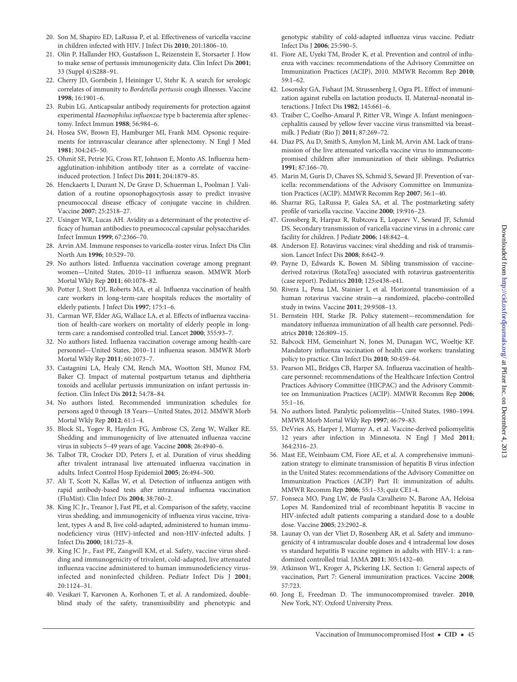- <span id="page-44-0"></span>21. Olin P, Hallander HO, Gustafsson L, Reizenstein E, Storsaeter J. How to make sense of pertussis immunogenicity data. Clin Infect Dis 2001; 33 (Suppl 4):S288–91.
- 22. Cherry JD, Gornbein J, Heininger U, Stehr K. A search for serologic correlates of immunity to Bordetella pertussis cough illnesses. Vaccine 1998; 16:1901–6.
- 23. Rubin LG. Anticapsular antibody requirements for protection against experimental Haemophilus influenzae type b bacteremia after splenectomy. Infect Immun 1988; 56:984–6.
- 24. Hosea SW, Brown EJ, Hamburger MI, Frank MM. Opsonic requirements for intravascular clearance after splenectomy. N Engl J Med 1981; 304:245–50.
- 25. Ohmit SE, Petrie JG, Cross RT, Johnson E, Monto AS. Influenza hemagglutination-inhibition antibody titer as a correlate of vaccineinduced protection. J Infect Dis 2011; 204:1879–85.
- 26. Henckaerts I, Durant N, De Grave D, Schuerman L, Poolman J. Validation of a routine opsonophagocytosis assay to predict invasive pneumococcal disease efficacy of conjugate vaccine in children. Vaccine 2007; 25:2518–27.
- 27. Usinger WR, Lucas AH. Avidity as a determinant of the protective efficacy of human antibodies to pneumococcal capsular polysaccharides. Infect Immun 1999; 67:2366–70.
- 28. Arvin AM. Immune responses to varicella-zoster virus. Infect Dis Clin North Am 1996; 10:529–70.
- 29. No authors listed. Influenza vaccination coverage among pregnant women—United States, 2010–11 influenza season. MMWR Morb Mortal Wkly Rep 2011; 60:1078–82.
- 30. Potter J, Stott DJ, Roberts MA, et al. Influenza vaccination of health care workers in long-term-care hospitals reduces the mortality of elderly patients. J Infect Dis 1997; 175:1–6.
- 31. Carman WF, Elder AG, Wallace LA, et al. Effects of influenza vaccination of health-care workers on mortality of elderly people in longterm care: a randomised controlled trial. Lancet 2000; 355:93–7.
- 32. No authors listed. Influenza vaccination coverage among health-care personnel—United States, 2010–11 influenza season. MMWR Morb Mortal Wkly Rep 2011; 60:1073–7.
- 33. Castagnini LA, Healy CM, Rench MA, Wootton SH, Munoz FM, Baker CJ. Impact of maternal postpartum tetanus and diphtheria toxoids and acellular pertussis immunization on infant pertussis infection. Clin Infect Dis 2012; 54:78–84.
- 34. No authors listed. Recommended immunization schedules for persons aged 0 through 18 Years—United States, 2012. MMWR Morb Mortal Wkly Rep 2012; 61:1–4.
- 35. Block SL, Yogev R, Hayden FG, Ambrose CS, Zeng W, Walker RE. Shedding and immunogenicity of live attenuated influenza vaccine virus in subjects 5–49 years of age. Vaccine 2008; 26:4940–6.
- 36. Talbot TR, Crocker DD, Peters J, et al. Duration of virus shedding after trivalent intranasal live attenuated influenza vaccination in adults. Infect Control Hosp Epidemiol 2005; 26:494–500.
- 37. Ali T, Scott N, Kallas W, et al. Detection of influenza antigen with rapid antibody-based tests after intranasal influenza vaccination (FluMist). Clin Infect Dis 2004; 38:760–2.
- 38. King JC Jr., Treanor J, Fast PE, et al. Comparison of the safety, vaccine virus shedding, and immunogenicity of influenza virus vaccine, trivalent, types A and B, live cold-adapted, administered to human immunodeficiency virus (HIV)-infected and non-HIV-infected adults. J Infect Dis 2000; 181:725–8.
- 39. King JC Jr., Fast PE, Zangwill KM, et al. Safety, vaccine virus shedding and immunogenicity of trivalent, cold-adapted, live attenuated influenza vaccine administered to human immunodeficiency virusinfected and noninfected children. Pediatr Infect Dis J 2001; 20:1124–31.
- 40. Vesikari T, Karvonen A, Korhonen T, et al. A randomized, doubleblind study of the safety, transmissibility and phenotypic and

genotypic stability of cold-adapted influenza virus vaccine. Pediatr Infect Dis J 2006; 25:590–5.

- 41. Fiore AE, Uyeki TM, Broder K, et al. Prevention and control of influenza with vaccines: recommendations of the Advisory Committee on Immunization Practices (ACIP), 2010. MMWR Recomm Rep 2010; 59:1–62.
- 42. Losonsky GA, Fishaut JM, Strussenberg J, Ogra PL. Effect of immunization against rubella on lactation products. II. Maternal-neonatal interactions. J Infect Dis 1982; 145:661–6.
- 43. Traiber C, Coelho-Amaral P, Ritter VR, Winge A. Infant meningoencephalitis caused by yellow fever vaccine virus transmitted via breastmilk. J Pediatr (Rio J) 2011; 87:269–72.
- 44. Diaz PS, Au D, Smith S, Amylon M, Link M, Arvin AM. Lack of transmission of the live attenuated varicella vaccine virus to immunocompromised children after immunization of their siblings. Pediatrics 1991; 87:166–70.
- 45. Marin M, Guris D, Chaves SS, Schmid S, Seward JF. Prevention of varicella: recommendations of the Advisory Committee on Immunization Practices (ACIP). MMWR Recomm Rep 2007; 56:1–40.
- 46. Sharrar RG, LaRussa P, Galea SA, et al. The postmarketing safety profile of varicella vaccine. Vaccine 2000; 19:916–23.
- 47. Grossberg R, Harpaz R, Rubtcova E, Loparev V, Seward JF, Schmid DS. Secondary transmission of varicella vaccine virus in a chronic care facility for children. J Pediatr 2006; 148:842–4.
- 48. Anderson EJ. Rotavirus vaccines: viral shedding and risk of transmission. Lancet Infect Dis 2008; 8:642–9.
- 49. Payne D, Edwards K, Bowen M. Sibling transmission of vaccinederived rotavirus (RotaTeq) associated with rotavirus gastroenteritis (case report). Pediatrics 2010; 125:e438–e41.
- 50. Rivera L, Pena LM, Stainier I, et al. Horizontal transmission of a human rotavirus vaccine strain—a randomized, placebo-controlled study in twins. Vaccine 2011; 29:9508–13.
- 51. Bernstein HH, Starke JR. Policy statement—recommendation for mandatory influenza immunization of all health care personnel. Pediatrics 2010; 126:809–15.
- 52. Babcock HM, Gemeinhart N, Jones M, Dunagan WC, Woeltje KF. Mandatory influenza vaccination of health care workers: translating policy to practice. Clin Infect Dis 2010; 50:459–64.
- 53. Pearson ML, Bridges CB, Harper SA. Influenza vaccination of healthcare personnel: recommendations of the Healthcare Infection Control Practices Advisory Committee (HICPAC) and the Advisory Committee on Immunization Practices (ACIP). MMWR Recomm Rep 2006; 55:1–16.
- 54. No authors listed. Paralytic poliomyelitis—United States, 1980–1994. MMWR Morb Mortal Wkly Rep 1997; 46:79–83.
- 55. DeVries AS, Harper J, Murray A, et al. Vaccine-derived poliomyelitis 12 years after infection in Minnesota. N Engl J Med 2011; 364:2316–23.
- 56. Mast EE, Weinbaum CM, Fiore AE, et al. A comprehensive immunization strategy to eliminate transmission of hepatitis B virus infection in the United States: recommendations of the Advisory Committee on Immunization Practices (ACIP) Part II: immunization of adults. MMWR Recomm Rep 2006; 55:1–33; quiz CE1-4.
- 57. Fonseca MO, Pang LW, de Paula Cavalheiro N, Barone AA, Heloisa Lopes M. Randomized trial of recombinant hepatitis B vaccine in HIV-infected adult patients comparing a standard dose to a double dose. Vaccine 2005; 23:2902–8.
- 58. Launay O, van der Vliet D, Rosenberg AR, et al. Safety and immunogenicity of 4 intramuscular double doses and 4 intradermal low doses vs standard hepatitis B vaccine regimen in adults with HIV-1: a randomized controlled trial. JAMA 2011; 305:1432–40.
- 59. Atkinson WL, Kroger A, Pickering LK. Section 1: General aspects of vaccination, Part 7: General immunization practices. Vaccine 2008; 57:723.
- 60. Jong E, Freedman D. The immunocompromised traveler. 2010, New York, NY: Oxford University Press.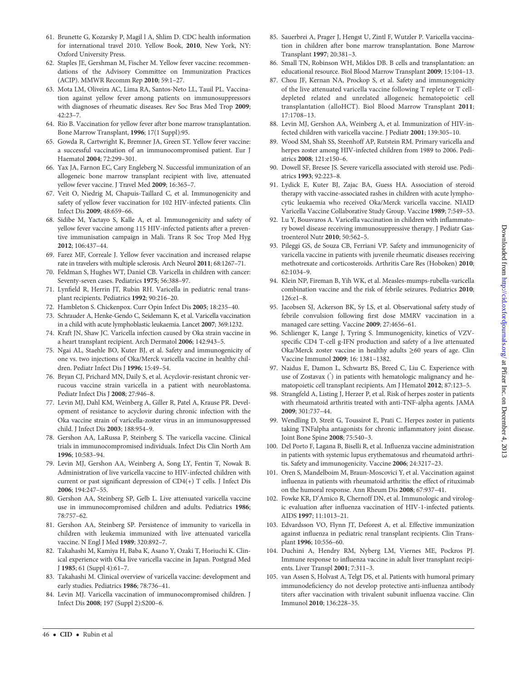- <span id="page-45-0"></span>61. Brunette G, Kozarsky P, Magil l A, Shlim D. CDC health information for international travel 2010. Yellow Book, 2010, New York, NY: Oxford University Press.
- 62. Staples JE, Gershman M, Fischer M. Yellow fever vaccine: recommendations of the Advisory Committee on Immunization Practices (ACIP). MMWR Recomm Rep 2010; 59:1–27.
- 63. Mota LM, Oliveira AC, Lima RA, Santos-Neto LL, Tauil PL. Vaccination against yellow fever among patients on immunosuppressors with diagnoses of rheumatic diseases. Rev Soc Bras Med Trop 2009; 42:23–7.
- 64. Rio B. Vaccination for yellow fever after bone marrow transplantation. Bone Marrow Transplant, 1996; 17(1 Suppl):95.
- 65. Gowda R, Cartwright K, Bremner JA, Green ST. Yellow fever vaccine: a successful vaccination of an immunocompromised patient. Eur J Haematol 2004; 72:299–301.
- 66. Yax JA, Farnon EC, Cary Engleberg N. Successful immunization of an allogeneic bone marrow transplant recipient with live, attenuated yellow fever vaccine. J Travel Med 2009; 16:365–7.
- 67. Veit O, Niedrig M, Chapuis-Taillard C, et al. Immunogenicity and safety of yellow fever vaccination for 102 HIV-infected patients. Clin Infect Dis 2009; 48:659–66.
- 68. Sidibe M, Yactayo S, Kalle A, et al. Immunogenicity and safety of yellow fever vaccine among 115 HIV-infected patients after a preventive immunisation campaign in Mali. Trans R Soc Trop Med Hyg 2012; 106:437–44.
- 69. Farez MF, Correale J. Yellow fever vaccination and increased relapse rate in travelers with multiple sclerosis. Arch Neurol 2011; 68:1267–71.
- 70. Feldman S, Hughes WT, Daniel CB. Varicella in children with cancer: Seventy-seven cases. Pediatrics 1975; 56:388–97.
- 71. Lynfield R, Herrin JT, Rubin RH. Varicella in pediatric renal transplant recipients. Pediatrics 1992; 90:216–20.
- 72. Hambleton S. Chickenpox. Curr Opin Infect Dis 2005; 18:235–40.
- 73. Schrauder A, Henke-Gendo C, Seidemann K, et al. Varicella vaccination in a child with acute lymphoblastic leukaemia. Lancet 2007; 369:1232.
- 74. Kraft JN, Shaw JC. Varicella infection caused by Oka strain vaccine in a heart transplant recipient. Arch Dermatol 2006; 142:943–5.
- 75. Ngai AL, Staehle BO, Kuter BJ, et al. Safety and immunogenicity of one vs. two injections of Oka/Merck varicella vaccine in healthy children. Pediatr Infect Dis J 1996; 15:49–54.
- 76. Bryan CJ, Prichard MN, Daily S, et al. Acyclovir-resistant chronic verrucous vaccine strain varicella in a patient with neuroblastoma. Pediatr Infect Dis J 2008; 27:946–8.
- 77. Levin MJ, Dahl KM, Weinberg A, Giller R, Patel A, Krause PR. Development of resistance to acyclovir during chronic infection with the Oka vaccine strain of varicella-zoster virus in an immunosuppressed child. J Infect Dis 2003; 188:954–9.
- 78. Gershon AA, LaRussa P, Steinberg S. The varicella vaccine. Clinical trials in immunocompromised individuals. Infect Dis Clin North Am 1996; 10:583–94.
- 79. Levin MJ, Gershon AA, Weinberg A, Song LY, Fentin T, Nowak B. Administration of live varicella vaccine to HIV-infected children with current or past significant depression of CD4(+) T cells. J Infect Dis 2006; 194:247–55.
- 80. Gershon AA, Steinberg SP, Gelb L. Live attenuated varicella vaccine use in immunocompromised children and adults. Pediatrics 1986; 78:757–62.
- 81. Gershon AA, Steinberg SP. Persistence of immunity to varicella in children with leukemia immunized with live attenuated varicella vaccine. N Engl J Med 1989; 320:892–7.
- 82. Takahashi M, Kamiya H, Baba K, Asano Y, Ozaki T, Horiuchi K. Clinical experience with Oka live varicella vaccine in Japan. Postgrad Med J 1985; 61 (Suppl 4):61–7.
- 83. Takahashi M. Clinical overview of varicella vaccine: development and early studies. Pediatrics 1986; 78:736–41.
- 84. Levin MJ. Varicella vaccination of immunocompromised children. J Infect Dis 2008; 197 (Suppl 2):S200–6.
- 85. Sauerbrei A, Prager J, Hengst U, Zintl F, Wutzler P. Varicella vaccination in children after bone marrow transplantation. Bone Marrow Transplant 1997; 20:381–3.
- 86. Small TN, Robinson WH, Miklos DB. B cells and transplantation: an educational resource. Biol Blood Marrow Transplant 2009; 15:104–13.
- 87. Chou JF, Kernan NA, Prockop S, et al. Safety and immunogenicity of the live attenuated varicella vaccine following T replete or T celldepleted related and unrelated allogeneic hematopoietic cell transplantation (alloHCT). Biol Blood Marrow Transplant 2011; 17:1708–13.
- 88. Levin MJ, Gershon AA, Weinberg A, et al. Immunization of HIV-infected children with varicella vaccine. J Pediatr 2001; 139:305–10.
- 89. Wood SM, Shah SS, Steenhoff AP, Rutstein RM. Primary varicella and herpes zoster among HIV-infected children from 1989 to 2006. Pediatrics 2008; 121:e150–6.
- 90. Dowell SF, Bresee JS. Severe varicella associated with steroid use. Pediatrics 1993; 92:223–8.
- 91. Lydick E, Kuter BJ, Zajac BA, Guess HA. Association of steroid therapy with vaccine-associated rashes in children with acute lymphocytic leukaemia who received Oka/Merck varicella vaccine. NIAID Varicella Vaccine Collaborative Study Group. Vaccine 1989; 7:549–53.
- 92. Lu Y, Bousvaros A. Varicella vaccination in children with inflammatory bowel disease receiving immunosuppressive therapy. J Pediatr Gastroenterol Nutr 2010; 50:562–5.
- 93. Pileggi GS, de Souza CB, Ferriani VP. Safety and immunogenicity of varicella vaccine in patients with juvenile rheumatic diseases receiving methotrexate and corticosteroids. Arthritis Care Res (Hoboken) 2010; 62:1034–9.
- 94. Klein NP, Fireman B, Yih WK, et al. Measles-mumps-rubella-varicella combination vaccine and the risk of febrile seizures. Pediatrics 2010; 126:e1–8.
- 95. Jacobsen SJ, Ackerson BK, Sy LS, et al. Observational safety study of febrile convulsion following first dose MMRV vaccination in a managed care setting. Vaccine 2009; 27:4656–61.
- 96. Schlienger K, Lange J, Tyring S. Immunogenicity, kinetics of VZVspecific CD4 T-cell g-IFN production and safety of a live attenuated Oka/Merck zoster vaccine in healthy adults ≥60 years of age. Clin Vaccine Immunol 2009; 16: 1381–1382.
- 97. Naidus E, Damon L, Schwartz BS, Breed C, Liu C. Experience with use of Zostavax (<sup>\*</sup>) in patients with hematologic malignancy and hematopoietic cell transplant recipients. Am J Hematol 2012; 87:123–5.
- 98. Strangfeld A, Listing J, Herzer P, et al. Risk of herpes zoster in patients with rheumatoid arthritis treated with anti-TNF-alpha agents. JAMA 2009; 301:737–44.
- 99. Wendling D, Streit G, Toussirot E, Prati C. Herpes zoster in patients taking TNFalpha antagonists for chronic inflammatory joint disease. Joint Bone Spine 2008; 75:540–3.
- 100. Del Porto F, Lagana B, Biselli R, et al. Influenza vaccine administration in patients with systemic lupus erythematosus and rheumatoid arthritis. Safety and immunogenicity. Vaccine 2006; 24:3217–23.
- 101. Oren S, Mandelboim M, Braun-Moscovici Y, et al. Vaccination against influenza in patients with rheumatoid arthritis: the effect of rituximab on the humoral response. Ann Rheum Dis 2008; 67:937–41.
- 102. Fowke KR, D'Amico R, Chernoff DN, et al. Immunologic and virologic evaluation after influenza vaccination of HIV-1-infected patients. AIDS 1997; 11:1013–21.
- 103. Edvardsson VO, Flynn JT, Deforest A, et al. Effective immunization against influenza in pediatric renal transplant recipients. Clin Transplant 1996; 10:556–60.
- 104. Duchini A, Hendry RM, Nyberg LM, Viernes ME, Pockros PJ. Immune response to influenza vaccine in adult liver transplant recipients. Liver Transpl 2001; 7:311–3.
- 105. van Assen S, Holvast A, Telgt DS, et al. Patients with humoral primary immunodeficiency do not develop protective anti-influenza antibody titers after vaccination with trivalent subunit influenza vaccine. Clin Immunol 2010; 136:228–35.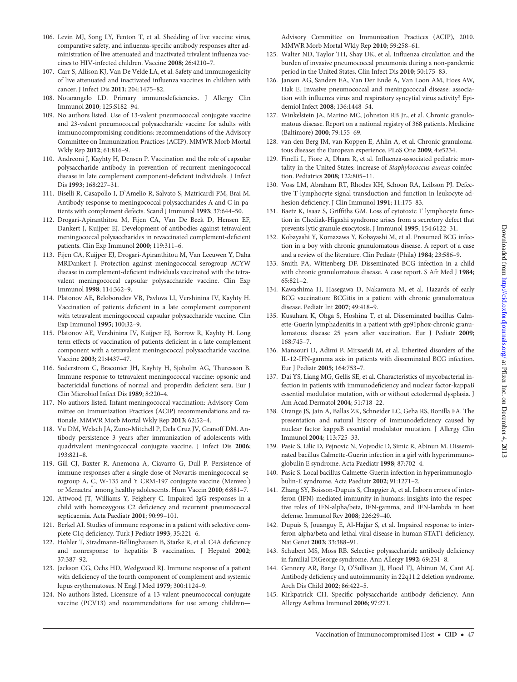- <span id="page-46-0"></span>106. Levin MJ, Song LY, Fenton T, et al. Shedding of live vaccine virus, comparative safety, and influenza-specific antibody responses after administration of live attenuated and inactivated trivalent influenza vaccines to HIV-infected children. Vaccine 2008; 26:4210–7.
- 107. Carr S, Allison KJ, Van De Velde LA, et al. Safety and immunogenicity of live attenuated and inactivated influenza vaccines in children with cancer. J Infect Dis 2011; 204:1475–82.
- 108. Notarangelo LD. Primary immunodeficiencies. J Allergy Clin Immunol 2010; 125:S182–94.
- 109. No authors listed. Use of 13-valent pneumococcal conjugate vaccine and 23-valent pneumococcal polysaccharide vaccine for adults with immunocompromising conditions: recommendations of the Advisory Committee on Immunization Practices (ACIP). MMWR Morb Mortal Wkly Rep 2012; 61:816–9.
- 110. Andreoni J, Kayhty H, Densen P. Vaccination and the role of capsular polysaccharide antibody in prevention of recurrent meningococcal disease in late complement component-deficient individuals. J Infect Dis 1993; 168:227–31.
- 111. Biselli R, Casapollo I, D'Amelio R, Salvato S, Matricardi PM, Brai M. Antibody response to meningococcal polysaccharides A and C in patients with complement defects. Scand J Immunol 1993; 37:644–50.
- 112. Drogari-Apiranthitou M, Fijen CA, Van De Beek D, Hensen EF, Dankert J, Kuijper EJ. Development of antibodies against tetravalent meningococcal polysaccharides in revaccinated complement-deficient patients. Clin Exp Immunol 2000; 119:311–6.
- 113. Fijen CA, Kuijper EJ, Drogari-Apiranthitou M, Van Leeuwen Y, Daha MRDankert J. Protection against meningococcal serogroup ACYW disease in complement-deficient individuals vaccinated with the tetravalent meningococcal capsular polysaccharide vaccine. Clin Exp Immunol 1998; 114:362–9.
- 114. Platonov AE, Beloborodov VB, Pavlova LI, Vershinina IV, Kayhty H. Vaccination of patients deficient in a late complement component with tetravalent meningococcal capsular polysaccharide vaccine. Clin Exp Immunol 1995; 100:32–9.
- 115. Platonov AE, Vershinina IV, Kuijper EJ, Borrow R, Kayhty H. Long term effects of vaccination of patients deficient in a late complement component with a tetravalent meningococcal polysaccharide vaccine. Vaccine 2003; 21:4437–47.
- 116. Soderstrom C, Braconier JH, Kayhty H, Sjoholm AG, Thuresson B. Immune response to tetravalent meningococcal vaccine: opsonic and bactericidal functions of normal and properdin deficient sera. Eur J Clin Microbiol Infect Dis 1989; 8:220–4.
- 117. No authors listed. Infant meningococcal vaccination: Advisory Committee on Immunization Practices (ACIP) recommendations and rationale. MMWR Morb Mortal Wkly Rep 2013; 62:52–4.
- 118. Vu DM, Welsch JA, Zuno-Mitchell P, Dela Cruz JV, Granoff DM. Antibody persistence 3 years after immunization of adolescents with quadrivalent meningococcal conjugate vaccine. J Infect Dis 2006; 193:821–8.
- 119. Gill CJ, Baxter R, Anemona A, Ciavarro G, Dull P. Persistence of immune responses after a single dose of Novartis meningococcal serogroup A, C, W-135 and Y CRM-197 conjugate vaccine (Menveo<sup>®</sup>) or Menactra<sup>®</sup> among healthy adolescents. Hum Vaccin 2010; 6:881-7.
- 120. Attwood JT, Williams Y, Feighery C. Impaired IgG responses in a child with homozygous C2 deficiency and recurrent pneumococcal septicaemia. Acta Paediatr 2001; 90:99–101.
- 121. Berkel AI. Studies of immune response in a patient with selective complete C1q deficiency. Turk J Pediatr 1993; 35:221–6.
- 122. Hohler T, Stradmann-Bellinghausen B, Starke R, et al. C4A deficiency and nonresponse to hepatitis B vaccination. J Hepatol 2002; 37:387–92.
- 123. Jackson CG, Ochs HD, Wedgwood RJ. Immune response of a patient with deficiency of the fourth component of complement and systemic lupus erythematosus. N Engl J Med 1979; 300:1124–9.
- 124. No authors listed. Licensure of a 13-valent pneumococcal conjugate vaccine (PCV13) and recommendations for use among children—

Advisory Committee on Immunization Practices (ACIP), 2010. MMWR Morb Mortal Wkly Rep 2010; 59:258–61.

- 125. Walter ND, Taylor TH, Shay DK, et al. Influenza circulation and the burden of invasive pneumococcal pneumonia during a non-pandemic period in the United States. Clin Infect Dis 2010; 50:175–83.
- 126. Jansen AG, Sanders EA, Van Der Ende A, Van Loon AM, Hoes AW, Hak E. Invasive pneumococcal and meningococcal disease: association with influenza virus and respiratory syncytial virus activity? Epidemiol Infect 2008; 136:1448–54.
- 127. Winkelstein JA, Marino MC, Johnston RB Jr., et al. Chronic granulomatous disease. Report on a national registry of 368 patients. Medicine (Baltimore) 2000; 79:155–69.
- 128. van den Berg JM, van Koppen E, Ahlin A, et al. Chronic granulomatous disease: the European experience. PLoS One 2009; 4:e5234.
- 129. Finelli L, Fiore A, Dhara R, et al. Influenza-associated pediatric mortality in the United States: increase of Staphylococcus aureus coinfection. Pediatrics 2008; 122:805–11.
- 130. Voss LM, Abraham RT, Rhodes KH, Schoon RA, Leibson PJ. Defective T-lymphocyte signal transduction and function in leukocyte adhesion deficiency. J Clin Immunol 1991; 11:175–83.
- 131. Baetz K, Isaaz S, Griffiths GM. Loss of cytotoxic T lymphocyte function in Chediak-Higashi syndrome arises from a secretory defect that prevents lytic granule exocytosis. J Immunol 1995; 154:6122–31.
- 132. Kobayashi Y, Komazawa Y, Kobayashi M, et al. Presumed BCG infection in a boy with chronic granulomatous disease. A report of a case and a review of the literature. Clin Pediatr (Phila) 1984; 23:586–9.
- 133. Smith PA, Wittenberg DF. Disseminated BCG infection in a child with chronic granulomatous disease. A case report. S Afr Med J 1984; 65:821–2.
- 134. Kawashima H, Hasegawa D, Nakamura M, et al. Hazards of early BCG vaccination: BCGitis in a patient with chronic granulomatous disease. Pediatr Int 2007; 49:418–9.
- 135. Kusuhara K, Ohga S, Hoshina T, et al. Disseminated bacillus Calmette-Guerin lymphadenitis in a patient with gp91phox-chronic granulomatous disease 25 years after vaccination. Eur J Pediatr 2009; 168:745–7.
- 136. Mansouri D, Adimi P, Mirsaeidi M, et al. Inherited disorders of the IL-12-IFN-gamma axis in patients with disseminated BCG infection. Eur J Pediatr 2005; 164:753–7.
- 137. Dai YS, Liang MG, Gellis SE, et al. Characteristics of mycobacterial infection in patients with immunodeficiency and nuclear factor-kappaB essential modulator mutation, with or without ectodermal dysplasia. J Am Acad Dermatol 2004; 51:718–22.
- 138. Orange JS, Jain A, Ballas ZK, Schneider LC, Geha RS, Bonilla FA. The presentation and natural history of immunodeficiency caused by nuclear factor kappaB essential modulator mutation. J Allergy Clin Immunol 2004; 113:725–33.
- 139. Pasic S, Lilic D, Pejnovic N, Vojvodic D, Simic R, Abinun M. Disseminated bacillus Calmette-Guerin infection in a girl with hyperimmunoglobulin E syndrome. Acta Paediatr 1998; 87:702–4.
- 140. Pasic S. Local bacillus Calmette-Guerin infection in hyperimmunoglobulin-E syndrome. Acta Paediatr 2002; 91:1271–2.
- 141. Zhang SY, Boisson-Dupuis S, Chapgier A, et al. Inborn errors of interferon (IFN)-mediated immunity in humans: insights into the respective roles of IFN-alpha/beta, IFN-gamma, and IFN-lambda in host defense. Immunol Rev 2008; 226:29–40.
- 142. Dupuis S, Jouanguy E, Al-Hajjar S, et al. Impaired response to interferon-alpha/beta and lethal viral disease in human STAT1 deficiency. Nat Genet 2003; 33:388–91.
- 143. Schubert MS, Moss RB. Selective polysaccharide antibody deficiency in familial DiGeorge syndrome. Ann Allergy 1992; 69:231–8.
- 144. Gennery AR, Barge D, O'Sullivan JJ, Flood TJ, Abinun M, Cant AJ. Antibody deficiency and autoimmunity in 22q11.2 deletion syndrome. Arch Dis Child 2002; 86:422–5.
- 145. Kirkpatrick CH. Specific polysaccharide antibody deficiency. Ann Allergy Asthma Immunol 2006; 97:271.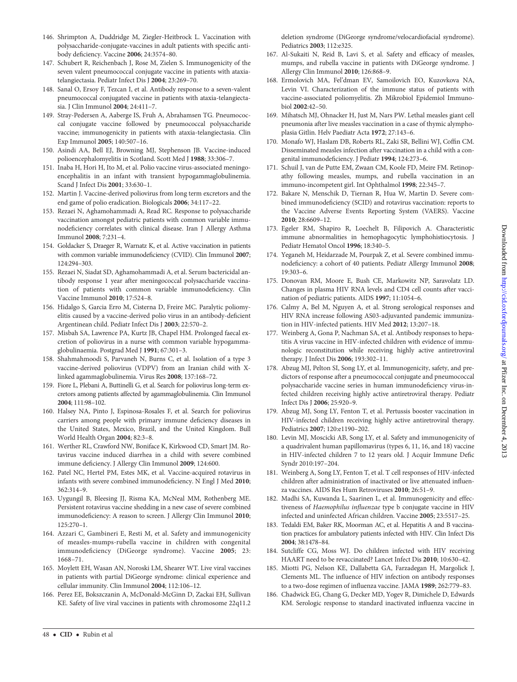- <span id="page-47-0"></span>146. Shrimpton A, Duddridge M, Ziegler-Heitbrock L. Vaccination with polysaccharide-conjugate-vaccines in adult patients with specific antibody deficiency. Vaccine 2006; 24:3574–80.
- 147. Schubert R, Reichenbach J, Rose M, Zielen S. Immunogenicity of the seven valent pneumococcal conjugate vaccine in patients with ataxiatelangiectasia. Pediatr Infect Dis J 2004; 23:269–70.
- 148. Sanal O, Ersoy F, Tezcan I, et al. Antibody response to a seven-valent pneumococcal conjugated vaccine in patients with ataxia-telangiectasia. J Clin Immunol 2004; 24:411–7.
- 149. Stray-Pedersen A, Aaberge IS, Fruh A, Abrahamsen TG. Pneumococcal conjugate vaccine followed by pneumococcal polysaccharide vaccine; immunogenicity in patients with ataxia-telangiectasia. Clin Exp Immunol 2005; 140:507–16.
- 150. Asindi AA, Bell EJ, Browning MJ, Stephenson JB. Vaccine-induced polioencephalomyelitis in Scotland. Scott Med J 1988; 33:306–7.
- 151. Inaba H, Hori H, Ito M, et al. Polio vaccine virus-associated meningoencephalitis in an infant with transient hypogammaglobulinemia. Scand J Infect Dis 2001; 33:630–1.
- 152. Martin J. Vaccine-derived poliovirus from long term excretors and the end game of polio eradication. Biologicals 2006; 34:117–22.
- 153. Rezaei N, Aghamohammadi A, Read RC. Response to polysaccharide vaccination amongst pediatric patients with common variable immunodeficiency correlates with clinical disease. Iran J Allergy Asthma Immunol 2008; 7:231–4.
- 154. Goldacker S, Draeger R, Warnatz K, et al. Active vaccination in patients with common variable immunodeficiency (CVID). Clin Immunol 2007; 124:294–303.
- 155. Rezaei N, Siadat SD, Aghamohammadi A, et al. Serum bactericidal antibody response 1 year after meningococcal polysaccharide vaccination of patients with common variable immunodeficiency. Clin Vaccine Immunol 2010; 17:524–8.
- 156. Hidalgo S, Garcia Erro M, Cisterna D, Freire MC. Paralytic poliomyelitis caused by a vaccine-derived polio virus in an antibody-deficient Argentinean child. Pediatr Infect Dis J 2003; 22:570–2.
- 157. Misbah SA, Lawrence PA, Kurtz JB, Chapel HM. Prolonged faecal excretion of poliovirus in a nurse with common variable hypogammaglobulinaemia. Postgrad Med J 1991; 67:301–3.
- 158. Shahmahmoodi S, Parvaneh N, Burns C, et al. Isolation of a type 3 vaccine-derived poliovirus (VDPV) from an Iranian child with Xlinked agammaglobulinemia. Virus Res 2008; 137:168–72.
- 159. Fiore L, Plebani A, Buttinelli G, et al. Search for poliovirus long-term excretors among patients affected by agammaglobulinemia. Clin Immunol 2004; 111:98–102.
- 160. Halsey NA, Pinto J, Espinosa-Rosales F, et al. Search for poliovirus carriers among people with primary immune deficiency diseases in the United States, Mexico, Brazil, and the United Kingdom. Bull World Health Organ 2004; 82:3–8.
- 161. Werther RL, Crawford NW, Boniface K, Kirkwood CD, Smart JM. Rotavirus vaccine induced diarrhea in a child with severe combined immune deficiency. J Allergy Clin Immunol 2009; 124:600.
- 162. Patel NC, Hertel PM, Estes MK, et al. Vaccine-acquired rotavirus in infants with severe combined immunodeficiency. N Engl J Med 2010; 362:314–9.
- 163. Uygungil B, Bleesing JJ, Risma KA, McNeal MM, Rothenberg ME. Persistent rotavirus vaccine shedding in a new case of severe combined immunodeficiency: A reason to screen. J Allergy Clin Immunol 2010; 125:270–1.
- 164. Azzari C, Gambineri E, Resti M, et al. Safety and immunogenicity of measles-mumps-rubella vaccine in children with congenital immunodeficiency (DiGeorge syndrome). Vaccine 2005; 23: 1668–71.
- 165. Moylett EH, Wasan AN, Noroski LM, Shearer WT. Live viral vaccines in patients with partial DiGeorge syndrome: clinical experience and cellular immunity. Clin Immunol 2004; 112:106–12.
- 166. Perez EE, Bokszczanin A, McDonald-McGinn D, Zackai EH, Sullivan KE. Safety of live viral vaccines in patients with chromosome 22q11.2

deletion syndrome (DiGeorge syndrome/velocardiofacial syndrome). Pediatrics 2003; 112:e325.

- 167. Al-Sukaiti N, Reid B, Lavi S, et al. Safety and efficacy of measles, mumps, and rubella vaccine in patients with DiGeorge syndrome. J Allergy Clin Immunol 2010; 126:868–9.
- 168. Ermolovich MA, Fel'dman EV, Samoilovich EO, Kuzovkova NA, Levin VI. Characterization of the immune status of patients with vaccine-associated poliomyelitis. Zh Mikrobiol Epidemiol Immunobiol 2002:42–50.
- 169. Mihatsch MJ, Ohnacker H, Just M, Nars PW. Lethal measles giant cell pneumonia after live measles vaccination in a case of thymic alymphoplasia Gitlin. Helv Paediatr Acta 1972; 27:143–6.
- 170. Monafo WJ, Haslam DB, Roberts RL, Zaki SR, Bellini WJ, Coffin CM. Disseminated measles infection after vaccination in a child with a congenital immunodeficiency. J Pediatr 1994; 124:273–6.
- 171. Schuil J, van de Putte EM, Zwaan CM, Koole FD, Meire FM. Retinopathy following measles, mumps, and rubella vaccination in an immuno-incompetent girl. Int Ophthalmol 1998; 22:345–7.
- 172. Bakare N, Menschik D, Tiernan R, Hua W, Martin D. Severe combined immunodeficiency (SCID) and rotavirus vaccination: reports to the Vaccine Adverse Events Reporting System (VAERS). Vaccine 2010; 28:6609–12.
- 173. Egeler RM, Shapiro R, Loechelt B, Filipovich A. Characteristic immune abnormalities in hemophagocytic lymphohistiocytosis. J Pediatr Hematol Oncol 1996; 18:340–5.
- 174. Yeganeh M, Heidarzade M, Pourpak Z, et al. Severe combined immunodeficiency: a cohort of 40 patients. Pediatr Allergy Immunol 2008; 19:303–6.
- 175. Donovan RM, Moore E, Bush CE, Markowitz NP, Saravolatz LD. Changes in plasma HIV RNA levels and CD4 cell counts after vaccination of pediatric patients. AIDS 1997; 11:1054–6.
- 176. Calmy A, Bel M, Nguyen A, et al. Strong serological responses and HIV RNA increase following AS03-adjuvanted pandemic immunization in HIV-infected patients. HIV Med 2012; 13:207–18.
- 177. Weinberg A, Gona P, Nachman SA, et al. Antibody responses to hepatitis A virus vaccine in HIV-infected children with evidence of immunologic reconstitution while receiving highly active antiretroviral therapy. J Infect Dis 2006; 193:302–11.
- 178. Abzug MJ, Pelton SI, Song LY, et al. Immunogenicity, safety, and predictors of response after a pneumococcal conjugate and pneumococcal polysaccharide vaccine series in human immunodeficiency virus-infected children receiving highly active antiretroviral therapy. Pediatr Infect Dis J 2006; 25:920–9.
- 179. Abzug MJ, Song LY, Fenton T, et al. Pertussis booster vaccination in HIV-infected children receiving highly active antiretroviral therapy. Pediatrics 2007; 120:e1190–202.
- 180. Levin MJ, Moscicki AB, Song LY, et al. Safety and immunogenicity of a quadrivalent human papillomavirus (types 6, 11, 16, and 18) vaccine in HIV-infected children 7 to 12 years old. J Acquir Immune Defic Syndr 2010:197–204.
- 181. Weinberg A, Song LY, Fenton T, et al. T cell responses of HIV-infected children after administration of inactivated or live attenuated influenza vaccines. AIDS Res Hum Retroviruses 2010; 26:51–9.
- 182. Madhi SA, Kuwanda L, Saarinen L, et al. Immunogenicity and effectiveness of Haemophilus influenzae type b conjugate vaccine in HIV infected and uninfected African children. Vaccine 2005; 23:5517–25.
- 183. Tedaldi EM, Baker RK, Moorman AC, et al. Hepatitis A and B vaccination practices for ambulatory patients infected with HIV. Clin Infect Dis 2004; 38:1478–84.
- 184. Sutcliffe CG, Moss WJ. Do children infected with HIV receiving HAART need to be revaccinated? Lancet Infect Dis 2010; 10:630–42.
- 185. Miotti PG, Nelson KE, Dallabetta GA, Farzadegan H, Margolick J, Clements ML. The influence of HIV infection on antibody responses to a two-dose regimen of influenza vaccine. JAMA 1989; 262:779–83.
- 186. Chadwick EG, Chang G, Decker MD, Yogev R, Dimichele D, Edwards KM. Serologic response to standard inactivated influenza vaccine in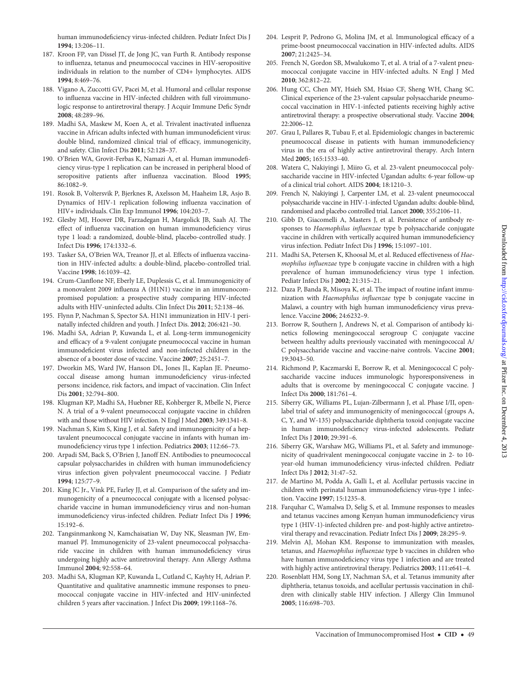<span id="page-48-0"></span>human immunodeficiency virus-infected children. Pediatr Infect Dis J 1994; 13:206–11.

- 187. Kroon FP, van Dissel JT, de Jong JC, van Furth R. Antibody response to influenza, tetanus and pneumococcal vaccines in HIV-seropositive individuals in relation to the number of CD4+ lymphocytes. AIDS 1994; 8:469–76.
- 188. Vigano A, Zuccotti GV, Pacei M, et al. Humoral and cellular response to influenza vaccine in HIV-infected children with full viroimmunologic response to antiretroviral therapy. J Acquir Immune Defic Syndr 2008; 48:289–96.
- 189. Madhi SA, Maskew M, Koen A, et al. Trivalent inactivated influenza vaccine in African adults infected with human immunodeficient virus: double blind, randomized clinical trial of efficacy, immunogenicity, and safety. Clin Infect Dis 2011; 52:128–37.
- 190. O'Brien WA, Grovit-Ferbas K, Namazi A, et al. Human immunodeficiency virus-type 1 replication can be increased in peripheral blood of seropositive patients after influenza vaccination. Blood 1995; 86:1082–9.
- 191. Rosok B, Voltersvik P, Bjerknes R, Axelsson M, Haaheim LR, Asjo B. Dynamics of HIV-1 replication following influenza vaccination of HIV+ individuals. Clin Exp Immunol 1996; 104:203–7.
- 192. Glesby MJ, Hoover DR, Farzadegan H, Margolick JB, Saah AJ. The effect of influenza vaccination on human immunodeficiency virus type 1 load: a randomized, double-blind, placebo-controlled study. J Infect Dis 1996; 174:1332–6.
- 193. Tasker SA, O'Brien WA, Treanor JJ, et al. Effects of influenza vaccination in HIV-infected adults: a double-blind, placebo-controlled trial. Vaccine 1998; 16:1039–42.
- 194. Crum-Cianflone NF, Eberly LE, Duplessis C, et al. Immunogenicity of a monovalent 2009 influenza A (H1N1) vaccine in an immunocompromised population: a prospective study comparing HIV-infected adults with HIV-uninfected adults. Clin Infect Dis 2011; 52:138–46.
- 195. Flynn P, Nachman S, Spector SA. H1N1 immunization in HIV-1 perinatally infected children and youth. J Infect Dis. 2012; 206:421–30.
- 196. Madhi SA, Adrian P, Kuwanda L, et al. Long-term immunogenicity and efficacy of a 9-valent conjugate pneumococcal vaccine in human immunodeficient virus infected and non-infected children in the absence of a booster dose of vaccine. Vaccine 2007; 25:2451–7.
- 197. Dworkin MS, Ward JW, Hanson DL, Jones JL, Kaplan JE. Pneumococcal disease among human immunodeficiency virus-infected persons: incidence, risk factors, and impact of vaccination. Clin Infect Dis 2001; 32:794–800.
- 198. Klugman KP, Madhi SA, Huebner RE, Kohberger R, Mbelle N, Pierce N. A trial of a 9-valent pneumococcal conjugate vaccine in children with and those without HIV infection. N Engl J Med 2003; 349:1341–8.
- 199. Nachman S, Kim S, King J, et al. Safety and immunogenicity of a heptavalent pneumococcal conjugate vaccine in infants with human immunodeficiency virus type 1 infection. Pediatrics 2003; 112:66–73.
- 200. Arpadi SM, Back S, O'Brien J, Janoff EN. Antibodies to pneumococcal capsular polysaccharides in children with human immunodeficiency virus infection given polyvalent pneumococcal vaccine. J Pediatr 1994; 125:77–9.
- 201. King JC Jr., Vink PE, Farley JJ, et al. Comparison of the safety and immunogenicity of a pneumococcal conjugate with a licensed polysaccharide vaccine in human immunodeficiency virus and non-human immunodeficiency virus-infected children. Pediatr Infect Dis J 1996; 15:192–6.
- 202. Tangsinmankong N, Kamchaisatian W, Day NK, Sleasman JW, Emmanuel PJ. Immunogenicity of 23-valent pneumococcal polysaccharide vaccine in children with human immunodeficiency virus undergoing highly active antiretroviral therapy. Ann Allergy Asthma Immunol 2004; 92:558–64.
- 203. Madhi SA, Klugman KP, Kuwanda L, Cutland C, Kayhty H, Adrian P. Quantitative and qualitative anamnestic immune responses to pneumococcal conjugate vaccine in HIV-infected and HIV-uninfected children 5 years after vaccination. J Infect Dis 2009; 199:1168–76.
- 204. Lesprit P, Pedrono G, Molina JM, et al. Immunological efficacy of a prime-boost pneumococcal vaccination in HIV-infected adults. AIDS 2007; 21:2425–34.
- 205. French N, Gordon SB, Mwalukomo T, et al. A trial of a 7-valent pneumococcal conjugate vaccine in HIV-infected adults. N Engl J Med 2010; 362:812–22.
- 206. Hung CC, Chen MY, Hsieh SM, Hsiao CF, Sheng WH, Chang SC. Clinical experience of the 23-valent capsular polysaccharide pneumococcal vaccination in HIV-1-infected patients receiving highly active antiretroviral therapy: a prospective observational study. Vaccine 2004; 22:2006–12.
- 207. Grau I, Pallares R, Tubau F, et al. Epidemiologic changes in bacteremic pneumococcal disease in patients with human immunodeficiency virus in the era of highly active antiretroviral therapy. Arch Intern Med 2005; 165:1533–40.
- 208. Watera C, Nakiyingi J, Miiro G, et al. 23-valent pneumococcal polysaccharide vaccine in HIV-infected Ugandan adults: 6-year follow-up of a clinical trial cohort. AIDS 2004; 18:1210–3.
- 209. French N, Nakiyingi J, Carpenter LM, et al. 23-valent pneumococcal polysaccharide vaccine in HIV-1-infected Ugandan adults: double-blind, randomised and placebo controlled trial. Lancet 2000; 355:2106–11.
- 210. Gibb D, Giacomelli A, Masters J, et al. Persistence of antibody responses to Haemophilus influenzae type b polysaccharide conjugate vaccine in children with vertically acquired human immunodeficiency virus infection. Pediatr Infect Dis J 1996; 15:1097–101.
- 211. Madhi SA, Petersen K, Khoosal M, et al. Reduced effectiveness of Haemophilus influenzae type b conjugate vaccine in children with a high prevalence of human immunodeficiency virus type 1 infection. Pediatr Infect Dis J 2002; 21:315–21.
- 212. Daza P, Banda R, Misoya K, et al. The impact of routine infant immunization with Haemophilus influenzae type b conjugate vaccine in Malawi, a country with high human immunodeficiency virus prevalence. Vaccine 2006; 24:6232–9.
- 213. Borrow R, Southern J, Andrews N, et al. Comparison of antibody kinetics following meningococcal serogroup C conjugate vaccine between healthy adults previously vaccinated with meningococcal A/ C polysaccharide vaccine and vaccine-naive controls. Vaccine 2001; 19:3043–50.
- 214. Richmond P, Kaczmarski E, Borrow R, et al. Meningococcal C polysaccharide vaccine induces immunologic hyporesponsiveness in adults that is overcome by meningococcal C conjugate vaccine. J Infect Dis 2000; 181:761–4.
- 215. Siberry GK, Williams PL, Lujan-Zilbermann J, et al. Phase I/II, openlabel trial of safety and immunogenicity of meningococcal (groups A, C, Y, and W-135) polysaccharide diphtheria toxoid conjugate vaccine in human immunodeficiency virus-infected adolescents. Pediatr Infect Dis J 2010; 29:391–6.
- 216. Siberry GK, Warshaw MG, Williams PL, et al. Safety and immunogenicity of quadrivalent meningococcal conjugate vaccine in 2- to 10 year-old human immunodeficiency virus-infected children. Pediatr Infect Dis J 2012; 31:47–52.
- 217. de Martino M, Podda A, Galli L, et al. Acellular pertussis vaccine in children with perinatal human immunodeficiency virus-type 1 infection. Vaccine 1997; 15:1235–8.
- 218. Farquhar C, Wamalwa D, Selig S, et al. Immune responses to measles and tetanus vaccines among Kenyan human immunodeficiency virus type 1 (HIV-1)-infected children pre- and post-highly active antiretroviral therapy and revaccination. Pediatr Infect Dis J 2009; 28:295–9.
- 219. Melvin AJ, Mohan KM. Response to immunization with measles, tetanus, and Haemophilus influenzae type b vaccines in children who have human immunodeficiency virus type 1 infection and are treated with highly active antiretroviral therapy. Pediatrics 2003; 111:e641–4.
- 220. Rosenblatt HM, Song LY, Nachman SA, et al. Tetanus immunity after diphtheria, tetanus toxoids, and acellular pertussis vaccination in children with clinically stable HIV infection. J Allergy Clin Immunol 2005; 116:698–703.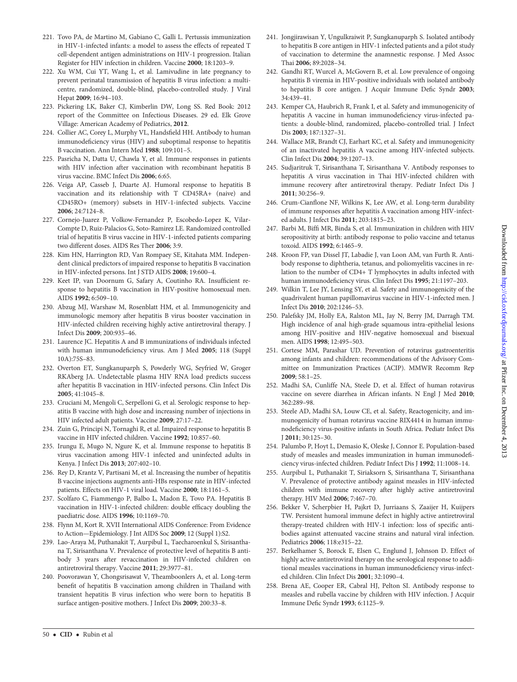- <span id="page-49-0"></span>221. Tovo PA, de Martino M, Gabiano C, Galli L. Pertussis immunization in HIV-1-infected infants: a model to assess the effects of repeated T cell-dependent antigen administrations on HIV-1 progression. Italian Register for HIV infection in children. Vaccine 2000; 18:1203–9.
- 222. Xu WM, Cui YT, Wang L, et al. Lamivudine in late pregnancy to prevent perinatal transmission of hepatitis B virus infection: a multicentre, randomized, double-blind, placebo-controlled study. J Viral Hepat 2009; 16:94–103.
- 223. Pickering LK, Baker CJ, Kimberlin DW, Long SS. Red Book: 2012 report of the Committee on Infectious Diseases. 29 ed. Elk Grove Village: American Academy of Pediatrics, 2012.
- 224. Collier AC, Corey L, Murphy VL, Handsfield HH. Antibody to human immunodeficiency virus (HIV) and suboptimal response to hepatitis B vaccination. Ann Intern Med 1988; 109:101–5.
- 225. Pasricha N, Datta U, Chawla Y, et al. Immune responses in patients with HIV infection after vaccination with recombinant hepatitis B virus vaccine. BMC Infect Dis 2006; 6:65.
- 226. Veiga AP, Casseb J, Duarte AJ. Humoral response to hepatitis B vaccination and its relationship with T CD45RA+ (naive) and CD45RO+ (memory) subsets in HIV-1-infected subjects. Vaccine 2006; 24:7124–8.
- 227. Cornejo-Juarez P, Volkow-Fernandez P, Escobedo-Lopez K, Vilar-Compte D, Ruiz-Palacios G, Soto-Ramirez LE. Randomized controlled trial of hepatitis B virus vaccine in HIV-1-infected patients comparing two different doses. AIDS Res Ther 2006; 3:9.
- 228. Kim HN, Harrington RD, Van Rompaey SE, Kitahata MM. Independent clinical predictors of impaired response to hepatitis B vaccination in HIV-infected persons. Int J STD AIDS 2008; 19:600–4.
- 229. Keet IP, van Doornum G, Safary A, Coutinho RA. Insufficient response to hepatitis B vaccination in HIV-positive homosexual men. AIDS 1992; 6:509–10.
- 230. Abzug MJ, Warshaw M, Rosenblatt HM, et al. Immunogenicity and immunologic memory after hepatitis B virus booster vaccination in HIV-infected children receiving highly active antiretroviral therapy. J Infect Dis 2009; 200:935–46.
- 231. Laurence JC. Hepatitis A and B immunizations of individuals infected with human immunodeficiency virus. Am J Med 2005; 118 (Suppl 10A):75S–83.
- 232. Overton ET, Sungkanuparph S, Powderly WG, Seyfried W, Groger RKAberg JA. Undetectable plasma HIV RNA load predicts success after hepatitis B vaccination in HIV-infected persons. Clin Infect Dis 2005; 41:1045–8.
- 233. Cruciani M, Mengoli C, Serpelloni G, et al. Serologic response to hepatitis B vaccine with high dose and increasing number of injections in HIV infected adult patients. Vaccine 2009; 27:17–22.
- 234. Zuin G, Principi N, Tornaghi R, et al. Impaired response to hepatitis B vaccine in HIV infected children. Vaccine 1992; 10:857–60.
- 235. Irungu E, Mugo N, Ngure K, et al. Immune response to hepatitis B virus vaccination among HIV-1 infected and uninfected adults in Kenya. J Infect Dis 2013; 207:402–10.
- 236. Rey D, Krantz V, Partisani M, et al. Increasing the number of hepatitis B vaccine injections augments anti-HBs response rate in HIV-infected patients. Effects on HIV-1 viral load. Vaccine 2000; 18:1161–5.
- 237. Scolfaro C, Fiammengo P, Balbo L, Madon E, Tovo PA. Hepatitis B vaccination in HIV-1-infected children: double efficacy doubling the paediatric dose. AIDS 1996; 10:1169–70.
- 238. Flynn M, Kort R. XVII International AIDS Conference: From Evidence to Action—Epidemiology. J Int AIDS Soc 2009; 12 (Suppl 1):S2.
- 239. Lao-Araya M, Puthanakit T, Aurpibul L, Taecharoenkul S, Sirisanthana T, Sirisanthana V. Prevalence of protective level of hepatitis B antibody 3 years after revaccination in HIV-infected children on antiretroviral therapy. Vaccine 2011; 29:3977–81.
- 240. Poovorawan Y, Chongsrisawat V, Theamboonlers A, et al. Long-term benefit of hepatitis B vaccination among children in Thailand with transient hepatitis B virus infection who were born to hepatitis B surface antigen-positive mothers. J Infect Dis 2009; 200:33–8.
- 241. Jongjirawisan Y, Ungulkraiwit P, Sungkanuparph S. Isolated antibody to hepatitis B core antigen in HIV-1 infected patients and a pilot study of vaccination to determine the anamnestic response. J Med Assoc Thai 2006; 89:2028–34.
- 242. Gandhi RT, Wurcel A, McGovern B, et al. Low prevalence of ongoing hepatitis B viremia in HIV-positive individuals with isolated antibody to hepatitis B core antigen. J Acquir Immune Defic Syndr 2003; 34:439–41.
- 243. Kemper CA, Haubrich R, Frank I, et al. Safety and immunogenicity of hepatitis A vaccine in human immunodeficiency virus-infected patients: a double-blind, randomized, placebo-controlled trial. J Infect Dis 2003; 187:1327–31.
- 244. Wallace MR, Brandt CJ, Earhart KC, et al. Safety and immunogenicity of an inactivated hepatitis A vaccine among HIV-infected subjects. Clin Infect Dis 2004; 39:1207–13.
- 245. Sudjaritruk T, Sirisanthana T, Sirisanthana V. Antibody responses to hepatitis A virus vaccination in Thai HIV-infected children with immune recovery after antiretroviral therapy. Pediatr Infect Dis J 2011; 30:256–9.
- 246. Crum-Cianflone NF, Wilkins K, Lee AW, et al. Long-term durability of immune responses after hepatitis A vaccination among HIV-infected adults. J Infect Dis 2011; 203:1815–23.
- 247. Barbi M, Biffi MR, Binda S, et al. Immunization in children with HIV seropositivity at birth: antibody response to polio vaccine and tetanus toxoid. AIDS 1992; 6:1465–9.
- 248. Kroon FP, van Dissel JT, Labadie J, van Loon AM, van Furth R. Antibody response to diphtheria, tetanus, and poliomyelitis vaccines in relation to the number of CD4+ T lymphocytes in adults infected with human immunodeficiency virus. Clin Infect Dis 1995; 21:1197–203.
- 249. Wilkin T, Lee JY, Lensing SY, et al. Safety and immunogenicity of the quadrivalent human papillomavirus vaccine in HIV-1-infected men. J Infect Dis 2010; 202:1246–53.
- 250. Palefsky JM, Holly EA, Ralston ML, Jay N, Berry JM, Darragh TM. High incidence of anal high-grade squamous intra-epithelial lesions among HIV-positive and HIV-negative homosexual and bisexual men. AIDS 1998; 12:495–503.
- 251. Cortese MM, Parashar UD. Prevention of rotavirus gastroenteritis among infants and children: recommendations of the Advisory Committee on Immunization Practices (ACIP). MMWR Recomm Rep 2009; 58:1–25.
- 252. Madhi SA, Cunliffe NA, Steele D, et al. Effect of human rotavirus vaccine on severe diarrhea in African infants. N Engl J Med 2010; 362:289–98.
- 253. Steele AD, Madhi SA, Louw CE, et al. Safety, Reactogenicity, and immunogenicity of human rotavirus vaccine RIX4414 in human immunodeficiency virus-positive infants in South Africa. Pediatr Infect Dis J 2011; 30:125–30.
- 254. Palumbo P, Hoyt L, Demasio K, Oleske J, Connor E. Population-based study of measles and measles immunization in human immunodeficiency virus-infected children. Pediatr Infect Dis J 1992; 11:1008–14.
- 255. Aurpibul L, Puthanakit T, Siriaksorn S, Sirisanthana T, Sirisanthana V. Prevalence of protective antibody against measles in HIV-infected children with immune recovery after highly active antiretroviral therapy. HIV Med 2006; 7:467–70.
- 256. Bekker V, Scherpbier H, Pajkrt D, Jurriaans S, Zaaijer H, Kuijpers TW. Persistent humoral immune defect in highly active antiretroviral therapy-treated children with HIV-1 infection: loss of specific antibodies against attenuated vaccine strains and natural viral infection. Pediatrics 2006; 118:e315–22.
- 257. Berkelhamer S, Borock E, Elsen C, Englund J, Johnson D. Effect of highly active antiretroviral therapy on the serological response to additional measles vaccinations in human immunodeficiency virus-infected children. Clin Infect Dis 2001; 32:1090–4.
- 258. Brena AE, Cooper ER, Cabral HJ, Pelton SI. Antibody response to measles and rubella vaccine by children with HIV infection. J Acquir Immune Defic Syndr 1993; 6:1125–9.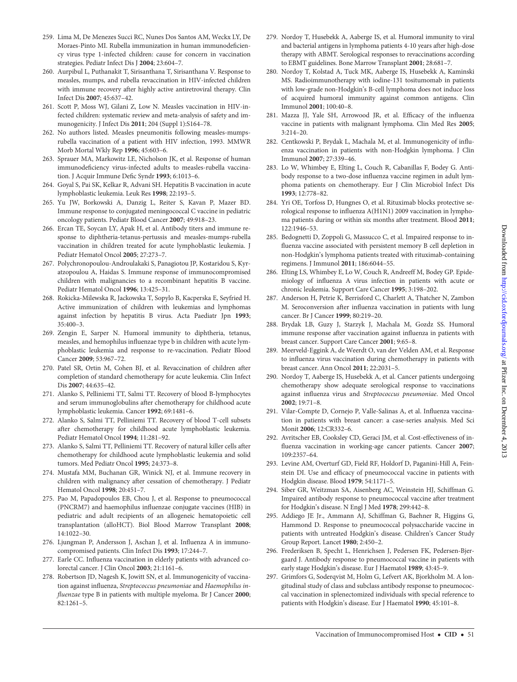- <span id="page-50-0"></span>259. Lima M, De Menezes Succi RC, Nunes Dos Santos AM, Weckx LY, De Moraes-Pinto MI. Rubella immunization in human immunodeficiency virus type 1-infected children: cause for concern in vaccination strategies. Pediatr Infect Dis J 2004; 23:604–7.
- 260. Aurpibul L, Puthanakit T, Sirisanthana T, Sirisanthana V. Response to measles, mumps, and rubella revaccination in HIV-infected children with immune recovery after highly active antiretroviral therapy. Clin Infect Dis 2007; 45:637–42.
- 261. Scott P, Moss WJ, Gilani Z, Low N. Measles vaccination in HIV-infected children: systematic review and meta-analysis of safety and immunogenicity. J Infect Dis 2011; 204 (Suppl 1):S164–78.
- 262. No authors listed. Measles pneumonitis following measles-mumpsrubella vaccination of a patient with HIV infection, 1993. MMWR Morb Mortal Wkly Rep 1996; 45:603–6.
- 263. Sprauer MA, Markowitz LE, Nicholson JK, et al. Response of human immunodeficiency virus-infected adults to measles-rubella vaccination. J Acquir Immune Defic Syndr 1993; 6:1013–6.
- 264. Goyal S, Pai SK, Kelkar R, Advani SH. Hepatitis B vaccination in acute lymphoblastic leukemia. Leuk Res 1998; 22:193–5.
- 265. Yu JW, Borkowski A, Danzig L, Reiter S, Kavan P, Mazer BD. Immune response to conjugated meningococcal C vaccine in pediatric oncology patients. Pediatr Blood Cancer 2007; 49:918–23.
- 266. Ercan TE, Soycan LY, Apak H, et al. Antibody titers and immune response to diphtheria-tetanus-pertussis and measles-mumps-rubella vaccination in children treated for acute lymphoblastic leukemia. J Pediatr Hematol Oncol 2005; 27:273–7.
- 267. Polychronopoulou-Androulakaki S, Panagiotou JP, Kostaridou S, Kyratzopoulou A, Haidas S. Immune response of immunocompromised children with malignancies to a recombinant hepatitis B vaccine. Pediatr Hematol Oncol 1996; 13:425–31.
- 268. Rokicka-Milewska R, Jackowska T, Sopylo B, Kacperska E, Seyfried H. Active immunization of children with leukemias and lymphomas against infection by hepatitis B virus. Acta Paediatr Jpn 1993; 35:400–3.
- 269. Zengin E, Sarper N. Humoral immunity to diphtheria, tetanus, measles, and hemophilus influenzae type b in children with acute lymphoblastic leukemia and response to re-vaccination. Pediatr Blood Cancer 2009; 53:967–72.
- 270. Patel SR, Ortin M, Cohen BJ, et al. Revaccination of children after completion of standard chemotherapy for acute leukemia. Clin Infect Dis 2007; 44:635–42.
- 271. Alanko S, Pelliniemi TT, Salmi TT. Recovery of blood B-lymphocytes and serum immunoglobulins after chemotherapy for childhood acute lymphoblastic leukemia. Cancer 1992; 69:1481–6.
- 272. Alanko S, Salmi TT, Pelliniemi TT. Recovery of blood T-cell subsets after chemotherapy for childhood acute lymphoblastic leukemia. Pediatr Hematol Oncol 1994; 11:281–92.
- 273. Alanko S, Salmi TT, Pelliniemi TT. Recovery of natural killer cells after chemotherapy for childhood acute lymphoblastic leukemia and solid tumors. Med Pediatr Oncol 1995; 24:373–8.
- 274. Mustafa MM, Buchanan GR, Winick NJ, et al. Immune recovery in children with malignancy after cessation of chemotherapy. J Pediatr Hematol Oncol 1998; 20:451–7.
- 275. Pao M, Papadopoulos EB, Chou J, et al. Response to pneumococcal (PNCRM7) and haemophilus influenzae conjugate vaccines (HIB) in pediatric and adult recipients of an allogeneic hematopoietic cell transplantation (alloHCT). Biol Blood Marrow Transplant 2008; 14:1022–30.
- 276. Ljungman P, Andersson J, Aschan J, et al. Influenza A in immunocompromised patients. Clin Infect Dis 1993; 17:244–7.
- 277. Earle CC. Influenza vaccination in elderly patients with advanced colorectal cancer. J Clin Oncol 2003; 21:1161–6.
- 278. Robertson JD, Nagesh K, Jowitt SN, et al. Immunogenicity of vaccination against influenza, Streptococcus pneumoniae and Haemophilus influenzae type B in patients with multiple myeloma. Br J Cancer 2000; 82:1261–5.
- 279. Nordoy T, Husebekk A, Aaberge IS, et al. Humoral immunity to viral and bacterial antigens in lymphoma patients 4-10 years after high-dose therapy with ABMT. Serological responses to revaccinations according to EBMT guidelines. Bone Marrow Transplant 2001; 28:681–7.
- 280. Nordoy T, Kolstad A, Tuck MK, Aaberge IS, Husebekk A, Kaminski MS. Radioimmunotherapy with iodine-131 tositumomab in patients with low-grade non-Hodgkin's B-cell lymphoma does not induce loss of acquired humoral immunity against common antigens. Clin Immunol 2001; 100:40–8.
- 281. Mazza JJ, Yale SH, Arrowood JR, et al. Efficacy of the influenza vaccine in patients with malignant lymphoma. Clin Med Res 2005; 3:214–20.
- 282. Centkowski P, Brydak L, Machala M, et al. Immunogenicity of influenza vaccination in patients with non-Hodgkin lymphoma. J Clin Immunol 2007; 27:339–46.
- 283. Lo W, Whimbey E, Elting L, Couch R, Cabanillas F, Bodey G. Antibody response to a two-dose influenza vaccine regimen in adult lymphoma patients on chemotherapy. Eur J Clin Microbiol Infect Dis 1993; 12:778–82.
- 284. Yri OE, Torfoss D, Hungnes O, et al. Rituximab blocks protective serological response to influenza A(H1N1) 2009 vaccination in lymphoma patients during or within six months after treatment. Blood 2011; 122:1946–53.
- 285. Bedognetti D, Zoppoli G, Massucco C, et al. Impaired response to influenza vaccine associated with persistent memory B cell depletion in non-Hodgkin's lymphoma patients treated with rituximab-containing regimens. J Immunol 2011; 186:6044–55.
- 286. Elting LS, Whimbey E, Lo W, Couch R, Andreeff M, Bodey GP. Epidemiology of influenza A virus infection in patients with acute or chronic leukemia. Support Care Cancer 1995; 3:198–202.
- 287. Anderson H, Petrie K, Berrisford C, Charlett A, Thatcher N, Zambon M. Seroconversion after influenza vaccination in patients with lung cancer. Br J Cancer 1999; 80:219–20.
- 288. Brydak LB, Guzy J, Starzyk J, Machala M, Gozdz SS. Humoral immune response after vaccination against influenza in patients with breast cancer. Support Care Cancer 2001; 9:65–8.
- 289. Meerveld-Eggink A, de Weerdt O, van der Velden AM, et al. Response to influenza virus vaccination during chemotherapy in patients with breast cancer. Ann Oncol 2011; 22:2031–5.
- 290. Nordoy T, Aaberge IS, Husebekk A, et al. Cancer patients undergoing chemotherapy show adequate serological response to vaccinations against influenza virus and Streptococcus pneumoniae. Med Oncol 2002; 19:71–8.
- 291. Vilar-Compte D, Cornejo P, Valle-Salinas A, et al. Influenza vaccination in patients with breast cancer: a case-series analysis. Med Sci Monit 2006; 12:CR332–6.
- 292. Avritscher EB, Cooksley CD, Geraci JM, et al. Cost-effectiveness of influenza vaccination in working-age cancer patients. Cancer 2007; 109:2357–64.
- 293. Levine AM, Overturf GD, Field RF, Holdorf D, Paganini-Hill A, Feinstein DI. Use and efficacy of pneumococcal vaccine in patients with Hodgkin disease. Blood 1979; 54:1171–5.
- 294. Siber GR, Weitzman SA, Aisenberg AC, Weinstein HJ, Schiffman G. Impaired antibody response to pneumococcal vaccine after treatment for Hodgkin's disease. N Engl J Med 1978; 299:442–8.
- 295. Addiego JE Jr., Ammann AJ, Schiffman G, Baehner R, Higgins G, Hammond D. Response to pneumococcal polysaccharide vaccine in patients with untreated Hodgkin's disease. Children's Cancer Study Group Report. Lancet 1980; 2:450–2.
- 296. Frederiksen B, Specht L, Henrichsen J, Pedersen FK, Pedersen-Bjergaard J. Antibody response to pneumococcal vaccine in patients with early stage Hodgkin's disease. Eur J Haematol 1989; 43:45–9.
- 297. Grimfors G, Soderqvist M, Holm G, Lefvert AK, Bjorkholm M. A longitudinal study of class and subclass antibody response to pneumococcal vaccination in splenectomized individuals with special reference to patients with Hodgkin's disease. Eur J Haematol 1990; 45:101–8.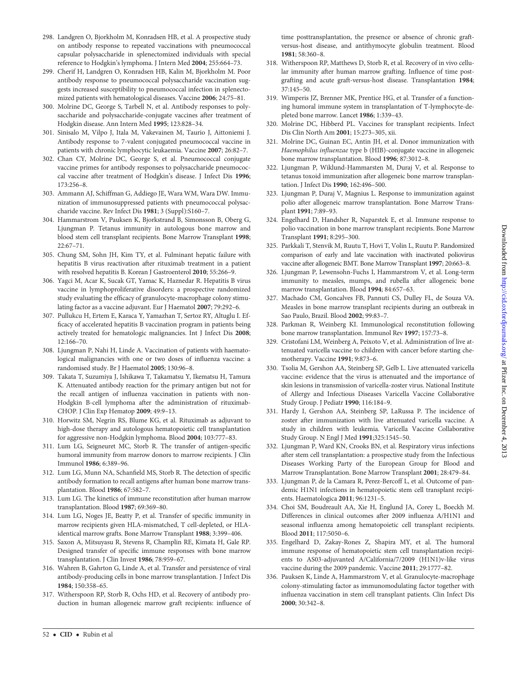- <span id="page-51-0"></span>298. Landgren O, Bjorkholm M, Konradsen HB, et al. A prospective study on antibody response to repeated vaccinations with pneumococcal capsular polysaccharide in splenectomized individuals with special reference to Hodgkin's lymphoma. J Intern Med 2004; 255:664–73.
- 299. Cherif H, Landgren O, Konradsen HB, Kalin M, Bjorkholm M. Poor antibody response to pneumococcal polysaccharide vaccination suggests increased susceptibility to pneumococcal infection in splenectomized patients with hematological diseases. Vaccine 2006; 24:75–81.
- 300. Molrine DC, George S, Tarbell N, et al. Antibody responses to polysaccharide and polysaccharide-conjugate vaccines after treatment of Hodgkin disease. Ann Intern Med 1995; 123:828–34.
- 301. Sinisalo M, Vilpo J, Itala M, Vakevainen M, Taurio J, Aittoniemi J. Antibody response to 7-valent conjugated pneumococcal vaccine in patients with chronic lymphocytic leukaemia. Vaccine 2007; 26:82–7.
- 302. Chan CY, Molrine DC, George S, et al. Pneumococcal conjugate vaccine primes for antibody responses to polysaccharide pneumococcal vaccine after treatment of Hodgkin's disease. J Infect Dis 1996; 173:256–8.
- 303. Ammann AJ, Schiffman G, Addiego JE, Wara WM, Wara DW. Immunization of immunosuppressed patients with pneumococcal polysaccharide vaccine. Rev Infect Dis 1981; 3 (Suppl):S160–7.
- 304. Hammarstrom V, Pauksen K, Bjorkstrand B, Simonsson B, Oberg G, Ljungman P. Tetanus immunity in autologous bone marrow and blood stem cell transplant recipients. Bone Marrow Transplant 1998; 22:67–71.
- 305. Chung SM, Sohn JH, Kim TY, et al. Fulminant hepatic failure with hepatitis B virus reactivation after rituximab treatment in a patient with resolved hepatitis B. Korean J Gastroenterol 2010; 55:266–9.
- 306. Yagci M, Acar K, Sucak GT, Yamac K, Haznedar R. Hepatitis B virus vaccine in lymphoproliferative disorders: a prospective randomized study evaluating the efficacy of granulocyte-macrophage colony stimulating factor as a vaccine adjuvant. Eur J Haematol 2007; 79:292–6.
- 307. Pullukcu H, Ertem E, Karaca Y, Yamazhan T, Sertoz RY, Altuglu I. Efficacy of accelerated hepatitis B vaccination program in patients being actively treated for hematologic malignancies. Int J Infect Dis 2008; 12:166–70.
- 308. Ljungman P, Nahi H, Linde A. Vaccination of patients with haematological malignancies with one or two doses of influenza vaccine: a randomised study. Br J Haematol 2005; 130:96–8.
- 309. Takata T, Suzumiya J, Ishikawa T, Takamatsu Y, Ikematsu H, Tamura K. Attenuated antibody reaction for the primary antigen but not for the recall antigen of influenza vaccination in patients with non-Hodgkin B-cell lymphoma after the administration of rituximab-CHOP. J Clin Exp Hematop 2009; 49:9–13.
- 310. Horwitz SM, Negrin RS, Blume KG, et al. Rituximab as adjuvant to high-dose therapy and autologous hematopoietic cell transplantation for aggressive non-Hodgkin lymphoma. Blood 2004; 103:777–83.
- 311. Lum LG, Seigneuret MC, Storb R. The transfer of antigen-specific humoral immunity from marrow donors to marrow recipients. J Clin Immunol 1986; 6:389–96.
- 312. Lum LG, Munn NA, Schanfield MS, Storb R. The detection of specific antibody formation to recall antigens after human bone marrow transplantation. Blood 1986; 67:582–7.
- 313. Lum LG. The kinetics of immune reconstitution after human marrow transplantation. Blood 1987; 69:369–80.
- 314. Lum LG, Noges JE, Beatty P, et al. Transfer of specific immunity in marrow recipients given HLA-mismatched, T cell-depleted, or HLAidentical marrow grafts. Bone Marrow Transplant 1988; 3:399–406.
- 315. Saxon A, Mitsuyasu R, Stevens R, Champlin RE, Kimata H, Gale RP. Designed transfer of specific immune responses with bone marrow transplantation. J Clin Invest 1986; 78:959–67.
- 316. Wahren B, Gahrton G, Linde A, et al. Transfer and persistence of viral antibody-producing cells in bone marrow transplantation. J Infect Dis 1984; 150:358–65.
- 317. Witherspoon RP, Storb R, Ochs HD, et al. Recovery of antibody production in human allogeneic marrow graft recipients: influence of

time posttransplantation, the presence or absence of chronic graftversus-host disease, and antithymocyte globulin treatment. Blood 1981; 58:360–8.

- 318. Witherspoon RP, Matthews D, Storb R, et al. Recovery of in vivo cellular immunity after human marrow grafting. Influence of time postgrafting and acute graft-versus-host disease. Transplantation 1984; 37:145–50.
- 319. Wimperis JZ, Brenner MK, Prentice HG, et al. Transfer of a functioning humoral immune system in transplantation of T-lymphocyte-depleted bone marrow. Lancet 1986; 1:339–43.
- 320. Molrine DC, Hibberd PL. Vaccines for transplant recipients. Infect Dis Clin North Am 2001; 15:273–305, xii.
- 321. Molrine DC, Guinan EC, Antin JH, et al. Donor immunization with Haemophilus influenzae type b (HIB)-conjugate vaccine in allogeneic bone marrow transplantation. Blood 1996; 87:3012–8.
- 322. Ljungman P, Wiklund-Hammarsten M, Duraj V, et al. Response to tetanus toxoid immunization after allogeneic bone marrow transplantation. J Infect Dis 1990; 162:496–500.
- 323. Ljungman P, Duraj V, Magnius L. Response to immunization against polio after allogeneic marrow transplantation. Bone Marrow Transplant 1991; 7:89–93.
- 324. Engelhard D, Handsher R, Naparstek E, et al. Immune response to polio vaccination in bone marrow transplant recipients. Bone Marrow Transplant 1991; 8:295–300.
- 325. Parkkali T, Stenvik M, Ruutu T, Hovi T, Volin L, Ruutu P. Randomized comparison of early and late vaccination with inactivated poliovirus vaccine after allogeneic BMT. Bone Marrow Transplant 1997; 20:663–8.
- 326. Ljungman P, Lewensohn-Fuchs I, Hammarstrom V, et al. Long-term immunity to measles, mumps, and rubella after allogeneic bone marrow transplantation. Blood 1994; 84:657–63.
- 327. Machado CM, Goncalves FB, Pannuti CS, Dulley FL, de Souza VA. Measles in bone marrow transplant recipients during an outbreak in Sao Paulo, Brazil. Blood 2002; 99:83–7.
- 328. Parkman R, Weinberg KI. Immunological reconstitution following bone marrow transplantation. Immunol Rev 1997; 157:73–8.
- 329. Cristofani LM, Weinberg A, Peixoto V, et al. Administration of live attenuated varicella vaccine to children with cancer before starting chemotherapy. Vaccine 1991; 9:873–6.
- 330. Tsolia M, Gershon AA, Steinberg SP, Gelb L. Live attenuated varicella vaccine: evidence that the virus is attenuated and the importance of skin lesions in transmission of varicella-zoster virus. National Institute of Allergy and Infectious Diseases Varicella Vaccine Collaborative Study Group. J Pediatr 1990; 116:184–9.
- 331. Hardy I, Gershon AA, Steinberg SP, LaRussa P. The incidence of zoster after immunization with live attenuated varicella vaccine. A study in children with leukemia. Varicella Vaccine Collaborative Study Group. N Engl J Med 1991;325:1545–50.
- 332. Ljungman P, Ward KN, Crooks BN, et al. Respiratory virus infections after stem cell transplantation: a prospective study from the Infectious Diseases Working Party of the European Group for Blood and Marrow Transplantation. Bone Marrow Transplant 2001; 28:479–84.
- 333. Ljungman P, de la Camara R, Perez-Bercoff L, et al. Outcome of pandemic H1N1 infections in hematopoietic stem cell transplant recipients. Haematologica 2011; 96:1231–5.
- 334. Choi SM, Boudreault AA, Xie H, Englund JA, Corey L, Boeckh M. Differences in clinical outcomes after 2009 influenza A/H1N1 and seasonal influenza among hematopoietic cell transplant recipients. Blood 2011; 117:5050–6.
- 335. Engelhard D, Zakay-Rones Z, Shapira MY, et al. The humoral immune response of hematopoietic stem cell transplantation recipients to AS03-adjuvanted A/California/7/2009 (H1N1)v-like virus vaccine during the 2009 pandemic. Vaccine 2011; 29:1777–82.
- 336. Pauksen K, Linde A, Hammarstrom V, et al. Granulocyte-macrophage colony-stimulating factor as immunomodulating factor together with influenza vaccination in stem cell transplant patients. Clin Infect Dis 2000; 30:342–8.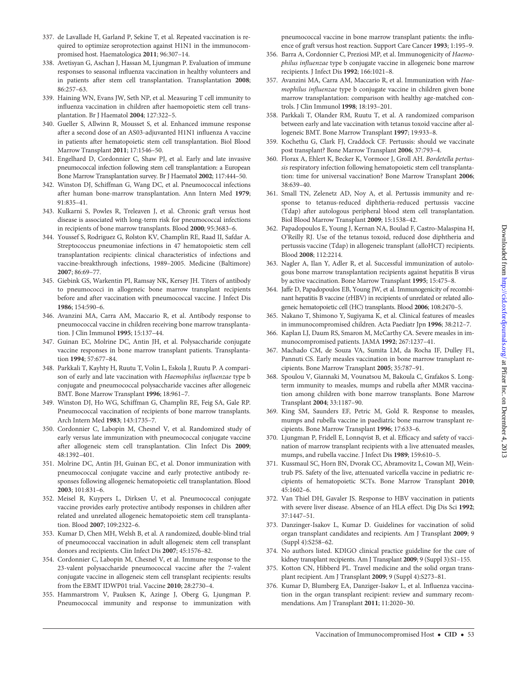- <span id="page-52-0"></span>337. de Lavallade H, Garland P, Sekine T, et al. Repeated vaccination is required to optimize seroprotection against H1N1 in the immunocompromised host. Haematologica 2011; 96:307–14.
- 338. Avetisyan G, Aschan J, Hassan M, Ljungman P. Evaluation of immune responses to seasonal influenza vaccination in healthy volunteers and in patients after stem cell transplantation. Transplantation 2008; 86:257–63.
- 339. Haining WN, Evans JW, Seth NP, et al. Measuring T cell immunity to influenza vaccination in children after haemopoietic stem cell transplantation. Br J Haematol 2004; 127:322–5.
- 340. Gueller S, Allwinn R, Mousset S, et al. Enhanced immune response after a second dose of an AS03-adjuvanted H1N1 influenza A vaccine in patients after hematopoietic stem cell transplantation. Biol Blood Marrow Transplant 2011; 17:1546–50.
- 341. Engelhard D, Cordonnier C, Shaw PJ, et al. Early and late invasive pneumococcal infection following stem cell transplantation: a European Bone Marrow Transplantation survey. Br J Haematol 2002; 117:444–50.
- 342. Winston DJ, Schiffman G, Wang DC, et al. Pneumococcal infections after human bone-marrow transplantation. Ann Intern Med 1979; 91:835–41.
- 343. Kulkarni S, Powles R, Treleaven J, et al. Chronic graft versus host disease is associated with long-term risk for pneumococcal infections in recipients of bone marrow transplants. Blood 2000; 95:3683–6.
- 344. Youssef S, Rodriguez G, Rolston KV, Champlin RE, Raad II, Safdar A. Streptococcus pneumoniae infections in 47 hematopoietic stem cell transplantation recipients: clinical characteristics of infections and vaccine-breakthrough infections, 1989–2005. Medicine (Baltimore) 2007; 86:69–77.
- 345. Giebink GS, Warkentin PI, Ramsay NK, Kersey JH. Titers of antibody to pneumococci in allogeneic bone marrow transplant recipients before and after vaccination with pneumococcal vaccine. J Infect Dis 1986; 154:590–6.
- 346. Avanzini MA, Carra AM, Maccario R, et al. Antibody response to pneumococcal vaccine in children receiving bone marrow transplantation. J Clin Immunol 1995; 15:137–44.
- 347. Guinan EC, Molrine DC, Antin JH, et al. Polysaccharide conjugate vaccine responses in bone marrow transplant patients. Transplantation 1994; 57:677–84.
- 348. Parkkali T, Kayhty H, Ruutu T, Volin L, Eskola J, Ruutu P. A comparison of early and late vaccination with Haemophilus influenzae type b conjugate and pneumococcal polysaccharide vaccines after allogeneic BMT. Bone Marrow Transplant 1996; 18:961–7.
- 349. Winston DJ, Ho WG, Schiffman G, Champlin RE, Feig SA, Gale RP. Pneumococcal vaccination of recipients of bone marrow transplants. Arch Intern Med 1983; 143:1735–7.
- 350. Cordonnier C, Labopin M, Chesnel V, et al. Randomized study of early versus late immunization with pneumococcal conjugate vaccine after allogeneic stem cell transplantation. Clin Infect Dis 2009; 48:1392–401.
- 351. Molrine DC, Antin JH, Guinan EC, et al. Donor immunization with pneumococcal conjugate vaccine and early protective antibody responses following allogeneic hematopoietic cell transplantation. Blood 2003; 101:831–6.
- 352. Meisel R, Kuypers L, Dirksen U, et al. Pneumococcal conjugate vaccine provides early protective antibody responses in children after related and unrelated allogeneic hematopoietic stem cell transplantation. Blood 2007; 109:2322–6.
- 353. Kumar D, Chen MH, Welsh B, et al. A randomized, double-blind trial of pneumococcal vaccination in adult allogeneic stem cell transplant donors and recipients. Clin Infect Dis 2007; 45:1576–82.
- 354. Cordonnier C, Labopin M, Chesnel V, et al. Immune response to the 23-valent polysaccharide pneumococcal vaccine after the 7-valent conjugate vaccine in allogeneic stem cell transplant recipients: results from the EBMT IDWP01 trial. Vaccine 2010; 28:2730–4.
- 355. Hammarstrom V, Pauksen K, Azinge J, Oberg G, Ljungman P. Pneumococcal immunity and response to immunization with

pneumococcal vaccine in bone marrow transplant patients: the influence of graft versus host reaction. Support Care Cancer 1993; 1:195–9.

- 356. Barra A, Cordonnier C, Preziosi MP, et al. Immunogenicity of Haemophilus influenzae type b conjugate vaccine in allogeneic bone marrow recipients. J Infect Dis 1992; 166:1021–8.
- 357. Avanzini MA, Carra AM, Maccario R, et al. Immunization with Haemophilus influenzae type b conjugate vaccine in children given bone marrow transplantation: comparison with healthy age-matched controls. J Clin Immunol 1998; 18:193–201.
- 358. Parkkali T, Olander RM, Ruutu T, et al. A randomized comparison between early and late vaccination with tetanus toxoid vaccine after allogeneic BMT. Bone Marrow Transplant 1997; 19:933–8.
- 359. Kochethu G, Clark FJ, Craddock CF. Pertussis: should we vaccinate post transplant? Bone Marrow Transplant 2006; 37:793–4.
- 360. Florax A, Ehlert K, Becker K, Vormoor J, Groll AH. Bordetella pertussis respiratory infection following hematopoietic stem cell transplantation: time for universal vaccination? Bone Marrow Transplant 2006; 38:639–40.
- 361. Small TN, Zelenetz AD, Noy A, et al. Pertussis immunity and response to tetanus-reduced diphtheria-reduced pertussis vaccine (Tdap) after autologous peripheral blood stem cell transplantation. Biol Blood Marrow Transplant 2009; 15:1538–42.
- 362. Papadopoulos E, Young J, Kernan NA, Boulad F, Castro-Malaspina H, O'Reilly RJ. Use of the tetanus toxoid, reduced dose diphtheria and pertussis vaccine (Tdap) in allogeneic transplant (alloHCT) recipients. Blood 2008; 112:2214.
- 363. Nagler A, Ilan Y, Adler R, et al. Successful immunization of autologous bone marrow transplantation recipients against hepatitis B virus by active vaccination. Bone Marrow Transplant 1995; 15:475–8.
- 364. Jaffe D, Papadopoulos EB, Young JW, et al. Immunogenicity of recombinant hepatitis B vaccine (rHBV) in recipients of unrelated or related allogeneic hematopoietic cell (HC) transplants. Blood 2006; 108:2470–5.
- 365. Nakano T, Shimono Y, Sugiyama K, et al. Clinical features of measles in immunocompromised children. Acta Paediatr Jpn 1996; 38:212–7.
- 366. Kaplan LJ, Daum RS, Smaron M, McCarthy CA. Severe measles in immunocompromised patients. JAMA 1992; 267:1237–41.
- 367. Machado CM, de Souza VA, Sumita LM, da Rocha IF, Dulley FL, Pannuti CS. Early measles vaccination in bone marrow transplant recipients. Bone Marrow Transplant 2005; 35:787–91.
- 368. Spoulou V, Giannaki M, Vounatsou M, Bakoula C, Grafakos S. Longterm immunity to measles, mumps and rubella after MMR vaccination among children with bone marrow transplants. Bone Marrow Transplant 2004; 33:1187–90.
- 369. King SM, Saunders EF, Petric M, Gold R. Response to measles, mumps and rubella vaccine in paediatric bone marrow transplant recipients. Bone Marrow Transplant 1996; 17:633–6.
- 370. Ljungman P, Fridell E, Lonnqvist B, et al. Efficacy and safety of vaccination of marrow transplant recipients with a live attenuated measles, mumps, and rubella vaccine. J Infect Dis 1989; 159:610–5.
- 371. Kussmaul SC, Horn BN, Dvorak CC, Abramovitz L, Cowan MJ, Weintrub PS. Safety of the live, attenuated varicella vaccine in pediatric recipients of hematopoietic SCTs. Bone Marrow Transplant 2010; 45:1602–6.
- 372. Van Thiel DH, Gavaler JS. Response to HBV vaccination in patients with severe liver disease. Absence of an HLA effect. Dig Dis Sci 1992; 37:1447–51.
- 373. Danzinger-Isakov L, Kumar D. Guidelines for vaccination of solid organ transplant candidates and recipients. Am J Transplant 2009; 9 (Suppl 4):S258–62.
- 374. No authors listed. KDIGO clinical practice guideline for the care of kidney transplant recipients. Am J Transplant 2009; 9 (Suppl 3):S1–155.
- 375. Kotton CN, Hibberd PL. Travel medicine and the solid organ transplant recipient. Am J Transplant 2009; 9 (Suppl 4):S273–81.
- 376. Kumar D, Blumberg EA, Danziger-Isakov L, et al. Influenza vaccination in the organ transplant recipient: review and summary recommendations. Am J Transplant 2011; 11:2020–30.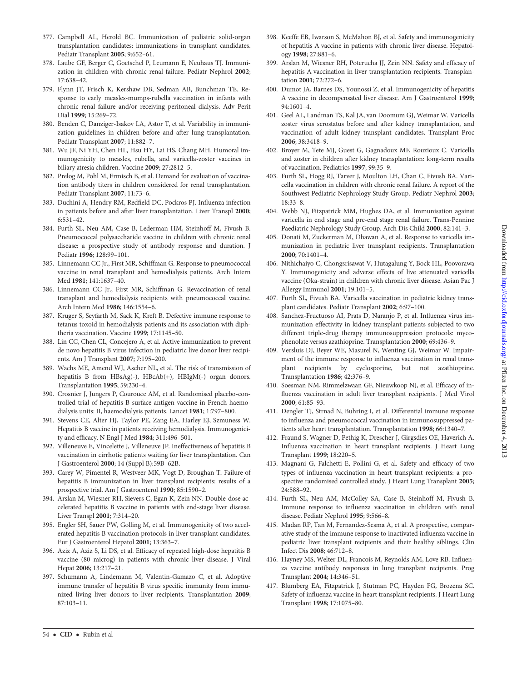- <span id="page-53-0"></span>377. Campbell AL, Herold BC. Immunization of pediatric solid-organ transplantation candidates: immunizations in transplant candidates. Pediatr Transplant 2005; 9:652–61.
- 378. Laube GF, Berger C, Goetschel P, Leumann E, Neuhaus TJ. Immunization in children with chronic renal failure. Pediatr Nephrol 2002; 17:638–42.
- 379. Flynn JT, Frisch K, Kershaw DB, Sedman AB, Bunchman TE. Response to early measles-mumps-rubella vaccination in infants with chronic renal failure and/or receiving peritoneal dialysis. Adv Perit Dial 1999; 15:269–72.
- 380. Benden C, Danziger-Isakov LA, Astor T, et al. Variability in immunization guidelines in children before and after lung transplantation. Pediatr Transplant 2007; 11:882–7.
- 381. Wu JF, Ni YH, Chen HL, Hsu HY, Lai HS, Chang MH. Humoral immunogenicity to measles, rubella, and varicella-zoster vaccines in biliary atresia children. Vaccine 2009; 27:2812–5.
- 382. Prelog M, Pohl M, Ermisch B, et al. Demand for evaluation of vaccination antibody titers in children considered for renal transplantation. Pediatr Transplant 2007; 11:73–6.
- 383. Duchini A, Hendry RM, Redfield DC, Pockros PJ. Influenza infection in patients before and after liver transplantation. Liver Transpl 2000; 6:531–42.
- 384. Furth SL, Neu AM, Case B, Lederman HM, Steinhoff M, Fivush B. Pneumococcal polysaccharide vaccine in children with chronic renal disease: a prospective study of antibody response and duration. J Pediatr 1996; 128:99–101.
- 385. Linnemann CC Jr., First MR, Schiffman G. Response to pneumococcal vaccine in renal transplant and hemodialysis patients. Arch Intern Med 1981; 141:1637–40.
- 386. Linnemann CC Jr., First MR, Schiffman G. Revaccination of renal transplant and hemodialysis recipients with pneumococcal vaccine. Arch Intern Med 1986; 146:1554–6.
- 387. Kruger S, Seyfarth M, Sack K, Kreft B. Defective immune response to tetanus toxoid in hemodialysis patients and its association with diphtheria vaccination. Vaccine 1999; 17:1145–50.
- 388. Lin CC, Chen CL, Concejero A, et al. Active immunization to prevent de novo hepatitis B virus infection in pediatric live donor liver recipients. Am J Transplant 2007; 7:195–200.
- 389. Wachs ME, Amend WJ, Ascher NL, et al. The risk of transmission of hepatitis B from HBsAg(-), HBcAb(+), HBIgM(-) organ donors. Transplantation 1995; 59:230–4.
- 390. Crosnier J, Jungers P, Courouce AM, et al. Randomised placebo-controlled trial of hepatitis B surface antigen vaccine in French haemodialysis units: II, haemodialysis patients. Lancet 1981; 1:797–800.
- 391. Stevens CE, Alter HJ, Taylor PE, Zang EA, Harley EJ, Szmuness W. Hepatitis B vaccine in patients receiving hemodialysis. Immunogenicity and efficacy. N Engl J Med 1984; 311:496–501.
- 392. Villeneuve E, Vincelette J, Villeneuve JP. Ineffectiveness of hepatitis B vaccination in cirrhotic patients waiting for liver transplantation. Can J Gastroenterol 2000; 14 (Suppl B):59B–62B.
- 393. Carey W, Pimentel R, Westveer MK, Vogt D, Broughan T. Failure of hepatitis B immunization in liver transplant recipients: results of a prospective trial. Am J Gastroenterol 1990; 85:1590–2.
- 394. Arslan M, Wiesner RH, Sievers C, Egan K, Zein NN. Double-dose accelerated hepatitis B vaccine in patients with end-stage liver disease. Liver Transpl 2001; 7:314–20.
- 395. Engler SH, Sauer PW, Golling M, et al. Immunogenicity of two accelerated hepatitis B vaccination protocols in liver transplant candidates. Eur J Gastroenterol Hepatol 2001; 13:363–7.
- 396. Aziz A, Aziz S, Li DS, et al. Efficacy of repeated high-dose hepatitis B vaccine (80 microg) in patients with chronic liver disease. J Viral Hepat 2006; 13:217–21.
- 397. Schumann A, Lindemann M, Valentin-Gamazo C, et al. Adoptive immune transfer of hepatitis B virus specific immunity from immunized living liver donors to liver recipients. Transplantation 2009; 87:103–11.
- 398. Keeffe EB, Iwarson S, McMahon BJ, et al. Safety and immunogenicity of hepatitis A vaccine in patients with chronic liver disease. Hepatology 1998; 27:881–6.
- 399. Arslan M, Wiesner RH, Poterucha JJ, Zein NN. Safety and efficacy of hepatitis A vaccination in liver transplantation recipients. Transplantation 2001; 72:272–6.
- 400. Dumot JA, Barnes DS, Younossi Z, et al. Immunogenicity of hepatitis A vaccine in decompensated liver disease. Am J Gastroenterol 1999; 94:1601–4.
- 401. Geel AL, Landman TS, Kal JA, van Doomum GJ, Weimar W. Varicella zoster virus serostatus before and after kidney transplantation, and vaccination of adult kidney transplant candidates. Transplant Proc 2006; 38:3418–9.
- 402. Broyer M, Tete MJ, Guest G, Gagnadoux MF, Rouzioux C. Varicella and zoster in children after kidney transplantation: long-term results of vaccination. Pediatrics 1997; 99:35–9.
- 403. Furth SL, Hogg RJ, Tarver J, Moulton LH, Chan C, Fivush BA. Varicella vaccination in children with chronic renal failure. A report of the Southwest Pediatric Nephrology Study Group. Pediatr Nephrol 2003; 18:33–8.
- 404. Webb NJ, Fitzpatrick MM, Hughes DA, et al. Immunisation against varicella in end stage and pre-end stage renal failure. Trans-Pennine Paediatric Nephrology Study Group. Arch Dis Child 2000; 82:141–3.
- 405. Donati M, Zuckerman M, Dhawan A, et al. Response to varicella immunization in pediatric liver transplant recipients. Transplantation 2000; 70:1401–4.
- 406. Nithichaiyo C, Chongsrisawat V, Hutagalung Y, Bock HL, Poovorawa Y. Immunogenicity and adverse effects of live attenuated varicella vaccine (Oka-strain) in children with chronic liver disease. Asian Pac J Allergy Immunol 2001; 19:101–5.
- 407. Furth SL, Fivush BA. Varicella vaccination in pediatric kidney transplant candidates. Pediatr Transplant 2002; 6:97–100.
- 408. Sanchez-Fructuoso AI, Prats D, Naranjo P, et al. Influenza virus immunization effectivity in kidney transplant patients subjected to two different triple-drug therapy immunosuppression protocols: mycophenolate versus azathioprine. Transplantation 2000; 69:436–9.
- 409. Versluis DJ, Beyer WE, Masurel N, Wenting GJ, Weimar W. Impairment of the immune response to influenza vaccination in renal transplant recipients by cyclosporine, but not azathioprine. Transplantation 1986; 42:376–9.
- 410. Soesman NM, Rimmelzwaan GF, Nieuwkoop NJ, et al. Efficacy of influenza vaccination in adult liver transplant recipients. J Med Virol 2000; 61:85–93.
- 411. Dengler TJ, Strnad N, Buhring I, et al. Differential immune response to influenza and pneumococcal vaccination in immunosuppressed patients after heart transplantation. Transplantation 1998; 66:1340–7.
- 412. Fraund S, Wagner D, Pethig K, Drescher J, Girgsdies OE, Haverich A. Influenza vaccination in heart transplant recipients. J Heart Lung Transplant 1999; 18:220–5.
- 413. Magnani G, Falchetti E, Pollini G, et al. Safety and efficacy of two types of influenza vaccination in heart transplant recipients: a prospective randomised controlled study. J Heart Lung Transplant 2005; 24:588–92.
- 414. Furth SL, Neu AM, McColley SA, Case B, Steinhoff M, Fivush B. Immune response to influenza vaccination in children with renal disease. Pediatr Nephrol 1995; 9:566–8.
- 415. Madan RP, Tan M, Fernandez-Sesma A, et al. A prospective, comparative study of the immune response to inactivated influenza vaccine in pediatric liver transplant recipients and their healthy siblings. Clin Infect Dis 2008; 46:712–8.
- 416. Hayney MS, Welter DL, Francois M, Reynolds AM, Love RB. Influenza vaccine antibody responses in lung transplant recipients. Prog Transplant 2004; 14:346–51.
- 417. Blumberg EA, Fitzpatrick J, Stutman PC, Hayden FG, Brozena SC. Safety of influenza vaccine in heart transplant recipients. J Heart Lung Transplant 1998; 17:1075–80.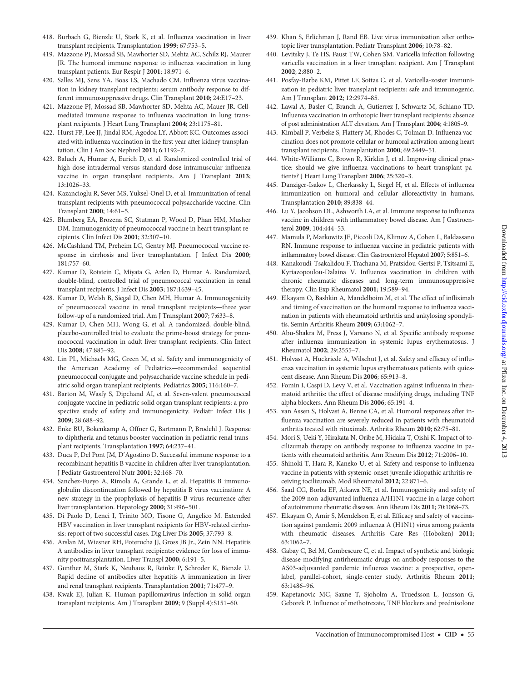- <span id="page-54-0"></span>419. Mazzone PJ, Mossad SB, Mawhorter SD, Mehta AC, Schilz RJ, Maurer JR. The humoral immune response to influenza vaccination in lung transplant patients. Eur Respir J 2001; 18:971–6.
- 420. Salles MJ, Sens YA, Boas LS, Machado CM. Influenza virus vaccination in kidney transplant recipients: serum antibody response to different immunosuppressive drugs. Clin Transplant 2010; 24:E17–23.
- 421. Mazzone PJ, Mossad SB, Mawhorter SD, Mehta AC, Mauer JR. Cellmediated immune response to influenza vaccination in lung transplant recipients. J Heart Lung Transplant 2004; 23:1175–81.
- 422. Hurst FP, Lee JJ, Jindal RM, Agodoa LY, Abbott KC. Outcomes associated with influenza vaccination in the first year after kidney transplantation. Clin J Am Soc Nephrol 2011; 6:1192–7.
- 423. Baluch A, Humar A, Eurich D, et al. Randomized controlled trial of high-dose intradermal versus standard-dose intramuscular influenza vaccine in organ transplant recipients. Am J Transplant 2013; 13:1026–33.
- 424. Kazancioglu R, Sever MS, Yuksel-Onel D, et al. Immunization of renal transplant recipients with pneumococcal polysaccharide vaccine. Clin Transplant 2000; 14:61–5.
- 425. Blumberg EA, Brozena SC, Stutman P, Wood D, Phan HM, Musher DM. Immunogenicity of pneumococcal vaccine in heart transplant recipients. Clin Infect Dis 2001; 32:307–10.
- 426. McCashland TM, Preheim LC, Gentry MJ. Pneumococcal vaccine response in cirrhosis and liver transplantation. J Infect Dis 2000; 181:757–60.
- 427. Kumar D, Rotstein C, Miyata G, Arlen D, Humar A. Randomized, double-blind, controlled trial of pneumococcal vaccination in renal transplant recipients. J Infect Dis 2003; 187:1639–45.
- 428. Kumar D, Welsh B, Siegal D, Chen MH, Humar A. Immunogenicity of pneumococcal vaccine in renal transplant recipients—three year follow-up of a randomized trial. Am J Transplant 2007; 7:633–8.
- 429. Kumar D, Chen MH, Wong G, et al. A randomized, double-blind, placebo-controlled trial to evaluate the prime-boost strategy for pneumococcal vaccination in adult liver transplant recipients. Clin Infect Dis 2008; 47:885–92.
- 430. Lin PL, Michaels MG, Green M, et al. Safety and immunogenicity of the American Academy of Pediatrics—recommended sequential pneumococcal conjugate and polysaccharide vaccine schedule in pediatric solid organ transplant recipients. Pediatrics 2005; 116:160–7.
- 431. Barton M, Wasfy S, Dipchand AI, et al. Seven-valent pneumococcal conjugate vaccine in pediatric solid organ transplant recipients: a prospective study of safety and immunogenicity. Pediatr Infect Dis J 2009; 28:688–92.
- 432. Enke BU, Bokenkamp A, Offner G, Bartmann P, Brodehl J. Response to diphtheria and tetanus booster vaccination in pediatric renal transplant recipients. Transplantation 1997; 64:237–41.
- 433. Duca P, Del Pont JM, D'Agostino D. Successful immune response to a recombinant hepatitis B vaccine in children after liver transplantation. J Pediatr Gastroenterol Nutr 2001; 32:168–70.
- 434. Sanchez-Fueyo A, Rimola A, Grande L, et al. Hepatitis B immunoglobulin discontinuation followed by hepatitis B virus vaccination: A new strategy in the prophylaxis of hepatitis B virus recurrence after liver transplantation. Hepatology 2000; 31:496–501.
- 435. Di Paolo D, Lenci I, Trinito MO, Tisone G, Angelico M. Extended HBV vaccination in liver transplant recipients for HBV-related cirrhosis: report of two successful cases. Dig Liver Dis 2005; 37:793–8.
- 436. Arslan M, Wiesner RH, Poterucha JJ, Gross JB Jr., Zein NN. Hepatitis A antibodies in liver transplant recipients: evidence for loss of immunity posttransplantation. Liver Transpl 2000; 6:191–5.
- 437. Gunther M, Stark K, Neuhaus R, Reinke P, Schroder K, Bienzle U. Rapid decline of antibodies after hepatitis A immunization in liver and renal transplant recipients. Transplantation 2001; 71:477–9.
- 438. Kwak EJ, Julian K. Human papillomavirus infection in solid organ transplant recipients. Am J Transplant 2009; 9 (Suppl 4):S151–60.
- 439. Khan S, Erlichman J, Rand EB. Live virus immunization after orthotopic liver transplantation. Pediatr Transplant 2006; 10:78–82.
- 440. Levitsky J, Te HS, Faust TW, Cohen SM. Varicella infection following varicella vaccination in a liver transplant recipient. Am J Transplant 2002; 2:880–2.
- 441. Posfay-Barbe KM, Pittet LF, Sottas C, et al. Varicella-zoster immunization in pediatric liver transplant recipients: safe and immunogenic. Am J Transplant 2012; 12:2974–85.
- 442. Lawal A, Basler C, Branch A, Gutierrez J, Schwartz M, Schiano TD. Influenza vaccination in orthotopic liver transplant recipients: absence of post administration ALT elevation. Am J Transplant 2004; 4:1805–9.
- 443. Kimball P, Verbeke S, Flattery M, Rhodes C, Tolman D. Influenza vaccination does not promote cellular or humoral activation among heart transplant recipients. Transplantation 2000; 69:2449–51.
- 444. White-Williams C, Brown R, Kirklin J, et al. Improving clinical practice: should we give influenza vaccinations to heart transplant patients? J Heart Lung Transplant 2006; 25:320–3.
- 445. Danziger-Isakov L, Cherkassky L, Siegel H, et al. Effects of influenza immunization on humoral and cellular alloreactivity in humans. Transplantation 2010; 89:838–44.
- 446. Lu Y, Jacobson DL, Ashworth LA, et al. Immune response to influenza vaccine in children with inflammatory bowel disease. Am J Gastroenterol 2009; 104:444–53.
- 447. Mamula P, Markowitz JE, Piccoli DA, Klimov A, Cohen L, Baldassano RN. Immune response to influenza vaccine in pediatric patients with inflammatory bowel disease. Clin Gastroenterol Hepatol 2007; 5:851–6.
- 448. Kanakoudi-Tsakalidou F, Trachana M, Pratsidou-Gertsi P, Tsitsami E, Kyriazopoulou-Dalaina V. Influenza vaccination in children with chronic rheumatic diseases and long-term immunosuppressive therapy. Clin Exp Rheumatol 2001; 19:589–94.
- 449. Elkayam O, Bashkin A, Mandelboim M, et al. The effect of infliximab and timing of vaccination on the humoral response to influenza vaccination in patients with rheumatoid arthritis and ankylosing spondylitis. Semin Arthritis Rheum 2009; 63:1062–7.
- 450. Abu-Shakra M, Press J, Varsano N, et al. Specific antibody response after influenza immunization in systemic lupus erythematosus. J Rheumatol 2002; 29:2555–7.
- 451. Holvast A, Huckriede A, Wilschut J, et al. Safety and efficacy of influenza vaccination in systemic lupus erythematosus patients with quiescent disease. Ann Rheum Dis 2006; 65:913–8.
- 452. Fomin I, Caspi D, Levy V, et al. Vaccination against influenza in rheumatoid arthritis: the effect of disease modifying drugs, including TNF alpha blockers. Ann Rheum Dis 2006; 65:191–4.
- 453. van Assen S, Holvast A, Benne CA, et al. Humoral responses after influenza vaccination are severely reduced in patients with rheumatoid arthritis treated with rituximab. Arthritis Rheum 2010; 62:75–81.
- 454. Mori S, Ueki Y, Hirakata N, Oribe M, Hidaka T, Oishi K. Impact of tocilizumab therapy on antibody response to influenza vaccine in patients with rheumatoid arthritis. Ann Rheum Dis 2012; 71:2006–10.
- 455. Shinoki T, Hara R, Kaneko U, et al. Safety and response to influenza vaccine in patients with systemic-onset juvenile idiopathic arthritis receiving tocilizumab. Mod Rheumatol 2012; 22:871–6.
- 456. Saad CG, Borba EF, Aikawa NE, et al. Immunogenicity and safety of the 2009 non-adjuvanted influenza A/H1N1 vaccine in a large cohort of autoimmune rheumatic diseases. Ann Rheum Dis 2011; 70:1068–73.
- 457. Elkayam O, Amir S, Mendelson E, et al. Efficacy and safety of vaccination against pandemic 2009 influenza A (H1N1) virus among patients with rheumatic diseases. Arthritis Care Res (Hoboken) 2011; 63:1062–7.
- 458. Gabay C, Bel M, Combescure C, et al. Impact of synthetic and biologic disease-modifying antirheumatic drugs on antibody responses to the AS03-adjuvanted pandemic influenza vaccine: a prospective, openlabel, parallel-cohort, single-center study. Arthritis Rheum 2011; 63:1486–96.
- 459. Kapetanovic MC, Saxne T, Sjoholm A, Truedsson L, Jonsson G, Geborek P. Influence of methotrexate, TNF blockers and prednisolone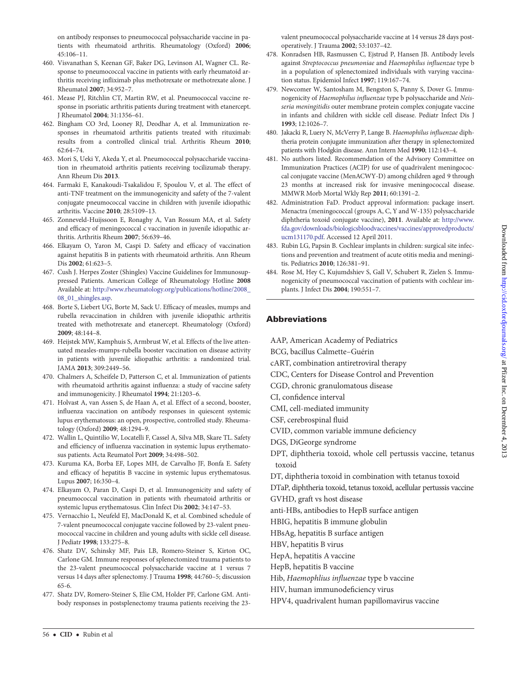<span id="page-55-0"></span>on antibody responses to pneumococcal polysaccharide vaccine in patients with rheumatoid arthritis. Rheumatology (Oxford) 2006; 45:106–11.

- 460. Visvanathan S, Keenan GF, Baker DG, Levinson AI, Wagner CL. Response to pneumococcal vaccine in patients with early rheumatoid arthritis receiving infliximab plus methotrexate or methotrexate alone. J Rheumatol 2007; 34:952–7.
- 461. Mease PJ, Ritchlin CT, Martin RW, et al. Pneumococcal vaccine response in psoriatic arthritis patients during treatment with etanercept. J Rheumatol 2004; 31:1356–61.
- 462. Bingham CO 3rd, Looney RJ, Deodhar A, et al. Immunization responses in rheumatoid arthritis patients treated with rituximab: results from a controlled clinical trial. Arthritis Rheum 2010; 62:64–74.
- 463. Mori S, Ueki Y, Akeda Y, et al. Pneumococcal polysaccharide vaccination in rheumatoid arthritis patients receiving tocilizumab therapy. Ann Rheum Dis 2013.
- 464. Farmaki E, Kanakoudi-Tsakalidou F, Spoulou V, et al. The effect of anti-TNF treatment on the immunogenicity and safety of the 7-valent conjugate pneumococcal vaccine in children with juvenile idiopathic arthritis. Vaccine 2010; 28:5109–13.
- 465. Zonneveld-Huijssoon E, Ronaghy A, Van Rossum MA, et al. Safety and efficacy of meningococcal c vaccination in juvenile idiopathic arthritis. Arthritis Rheum 2007; 56:639–46.
- 466. Elkayam O, Yaron M, Caspi D. Safety and efficacy of vaccination against hepatitis B in patients with rheumatoid arthritis. Ann Rheum Dis 2002; 61:623–5.
- 467. Cush J. Herpes Zoster (Shingles) Vaccine Guidelines for Immunosuppressed Patients. American College of Rheumatology Hotline 2008 Available at: [http://www.rheumatology.org/publications/hotline/2008\\_](http://www.rheumatology.org/publications/hotline/2008_08_01_shingles.asp) [08\\_01\\_shingles.asp](http://www.rheumatology.org/publications/hotline/2008_08_01_shingles.asp).
- 468. Borte S, Liebert UG, Borte M, Sack U. Efficacy of measles, mumps and rubella revaccination in children with juvenile idiopathic arthritis treated with methotrexate and etanercept. Rheumatology (Oxford) 2009; 48:144–8.
- 469. Heijstek MW, Kamphuis S, Armbrust W, et al. Effects of the live attenuated measles-mumps-rubella booster vaccination on disease activity in patients with juvenile idiopathic arthritis: a randomized trial. JAMA 2013; 309:2449–56.
- 470. Chalmers A, Scheifele D, Patterson C, et al. Immunization of patients with rheumatoid arthritis against influenza: a study of vaccine safety and immunogenicity. J Rheumatol 1994; 21:1203–6.
- 471. Holvast A, van Assen S, de Haan A, et al. Effect of a second, booster, influenza vaccination on antibody responses in quiescent systemic lupus erythematosus: an open, prospective, controlled study. Rheumatology (Oxford) 2009; 48:1294–9.
- 472. Wallin L, Quintilio W, Locatelli F, Cassel A, Silva MB, Skare TL. Safety and efficiency of influenza vaccination in systemic lupus erythematosus patients. Acta Reumatol Port 2009; 34:498–502.
- 473. Kuruma KA, Borba EF, Lopes MH, de Carvalho JF, Bonfa E. Safety and efficacy of hepatitis B vaccine in systemic lupus erythematosus. Lupus 2007; 16:350–4.
- 474. Elkayam O, Paran D, Caspi D, et al. Immunogenicity and safety of pneumococcal vaccination in patients with rheumatoid arthritis or systemic lupus erythematosus. Clin Infect Dis 2002; 34:147–53.
- 475. Vernacchio L, Neufeld EJ, MacDonald K, et al. Combined schedule of 7-valent pneumococcal conjugate vaccine followed by 23-valent pneumococcal vaccine in children and young adults with sickle cell disease. J Pediatr 1998; 133:275–8.
- 476. Shatz DV, Schinsky MF, Pais LB, Romero-Steiner S, Kirton OC, Carlone GM. Immune responses of splenectomized trauma patients to the 23-valent pneumococcal polysaccharide vaccine at 1 versus 7 versus 14 days after splenectomy. J Trauma 1998; 44:760–5; discussion 65-6.
- 477. Shatz DV, Romero-Steiner S, Elie CM, Holder PF, Carlone GM. Antibody responses in postsplenectomy trauma patients receiving the 23-

valent pneumococcal polysaccharide vaccine at 14 versus 28 days postoperatively. J Trauma 2002; 53:1037–42.

- 478. Konradsen HB, Rasmussen C, Ejstrud P, Hansen JB. Antibody levels against Streptococcus pneumoniae and Haemophilus influenzae type b in a population of splenectomized individuals with varying vaccination status. Epidemiol Infect 1997; 119:167–74.
- 479. Newcomer W, Santosham M, Bengston S, Panny S, Dover G. Immunogenicity of Haemophilus influenzae type b polysaccharide and Neisseria meningitidis outer membrane protein complex conjugate vaccine in infants and children with sickle cell disease. Pediatr Infect Dis J 1993; 12:1026–7.
- 480. Jakacki R, Luery N, McVerry P, Lange B. Haemophilus influenzae diphtheria protein conjugate immunization after therapy in splenectomized patients with Hodgkin disease. Ann Intern Med 1990; 112:143–4.
- 481. No authors listed. Recommendation of the Advisory Committee on Immunization Practices (ACIP) for use of quadrivalent meningococcal conjugate vaccine (MenACWY-D) among children aged 9 through 23 months at increased risk for invasive meningococcal disease. MMWR Morb Mortal Wkly Rep 2011; 60:1391–2.
- 482. Administration FaD. Product approval information: package insert. Menactra (meningococcal (groups A, C, Y and W-135) polysaccharide diphtheria toxoid conjugate vaccine), 2011. Available at: [http://www.](http://www.fda.gov/downloads/biologicsbloodvaccines/vaccines/approvedproducts/ucm131170.pdf) [fda.gov/downloads/biologicsbloodvaccines/vaccines/approvedproducts/](http://www.fda.gov/downloads/biologicsbloodvaccines/vaccines/approvedproducts/ucm131170.pdf) [ucm131170.pdf.](http://www.fda.gov/downloads/biologicsbloodvaccines/vaccines/approvedproducts/ucm131170.pdf) Accessed 12 April 2011.
- 483. Rubin LG, Papsin B. Cochlear implants in children: surgical site infections and prevention and treatment of acute otitis media and meningitis. Pediatrics 2010; 126:381–91.
- 484. Rose M, Hey C, Kujumdshiev S, Gall V, Schubert R, Zielen S. Immunogenicity of pneumococcal vaccination of patients with cochlear implants. J Infect Dis 2004; 190:551–7.

# **Abbreviations**

- AAP, American Academy of Pediatrics BCG, bacillus Calmette–Guérin cART, combination antiretroviral therapy CDC, Centers for Disease Control and Prevention CGD, chronic granulomatous disease CI, confidence interval CMI, cell-mediated immunity CSF, cerebrospinal fluid CVID, common variable immune deficiency DGS, DiGeorge syndrome DPT, diphtheria toxoid, whole cell pertussis vaccine, tetanus toxoid DT, diphtheria toxoid in combination with tetanus toxoid DTaP, diphtheria toxoid, tetanus toxoid, acellular pertussis vaccine GVHD, graft vs host disease anti-HBs, antibodies to HepB surface antigen HBIG, hepatitis B immune globulin HBsAg, hepatitis B surface antigen HBV, hepatitis B virus HepA, hepatitis A vaccine HepB, hepatitis B vaccine Hib, Haemophlius influenzae type b vaccine HIV, human immunodeficiency virus
- HPV4, quadrivalent human papillomavirus vaccine